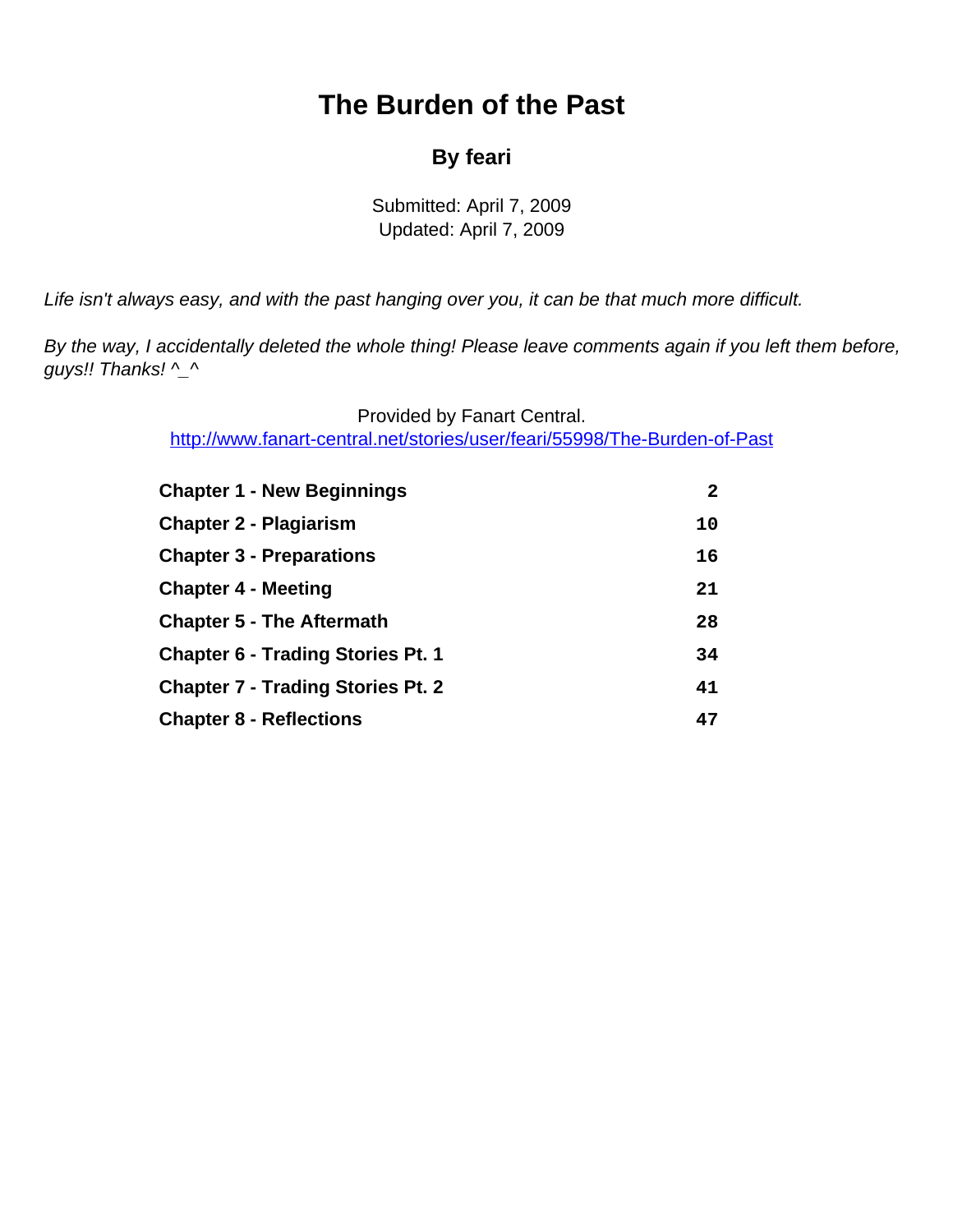# **The Burden of the Past**

### **By feari**

Submitted: April 7, 2009 Updated: April 7, 2009

<span id="page-0-0"></span>Life isn't always easy, and with the past hanging over you, it can be that much more difficult.

By the way, I accidentally deleted the whole thing! Please leave comments again if you left them before, guys!! Thanks! ^\_^

> Provided by Fanart Central. [http://www.fanart-central.net/stories/user/feari/55998/The-Burden-of-Past](#page-0-0)

| <b>Chapter 1 - New Beginnings</b>        | $\mathbf{2}$ |
|------------------------------------------|--------------|
| <b>Chapter 2 - Plagiarism</b>            | 10           |
| <b>Chapter 3 - Preparations</b>          | 16           |
| <b>Chapter 4 - Meeting</b>               | 21           |
| <b>Chapter 5 - The Aftermath</b>         | 28           |
| <b>Chapter 6 - Trading Stories Pt. 1</b> | 34           |
| <b>Chapter 7 - Trading Stories Pt. 2</b> | 41           |
| <b>Chapter 8 - Reflections</b>           | 47           |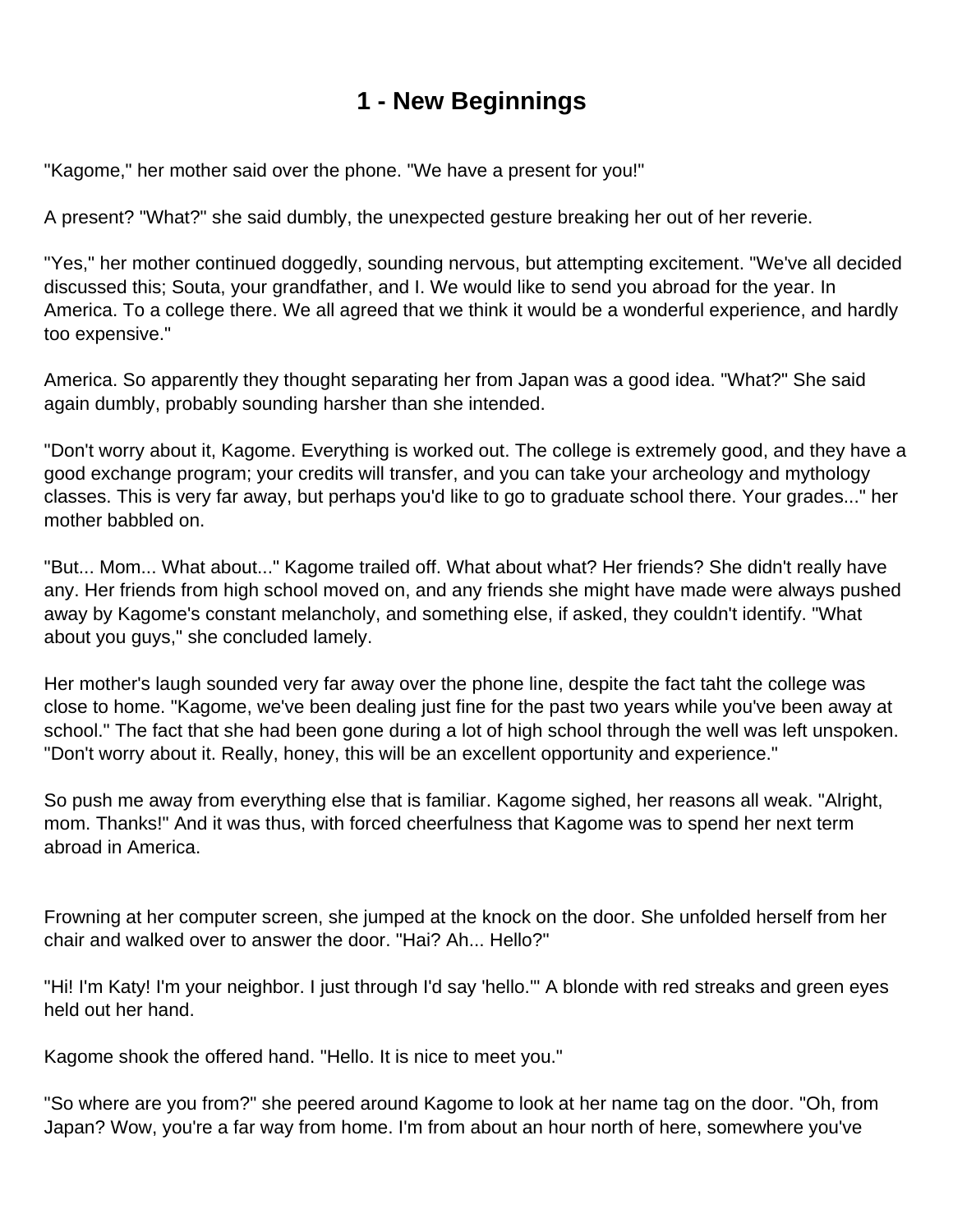# **1 - New Beginnings**

<span id="page-1-0"></span>"Kagome," her mother said over the phone. "We have a present for you!"

A present? "What?" she said dumbly, the unexpected gesture breaking her out of her reverie.

"Yes," her mother continued doggedly, sounding nervous, but attempting excitement. "We've all decided discussed this; Souta, your grandfather, and I. We would like to send you abroad for the year. In America. To a college there. We all agreed that we think it would be a wonderful experience, and hardly too expensive."

America. So apparently they thought separating her from Japan was a good idea. "What?" She said again dumbly, probably sounding harsher than she intended.

"Don't worry about it, Kagome. Everything is worked out. The college is extremely good, and they have a good exchange program; your credits will transfer, and you can take your archeology and mythology classes. This is very far away, but perhaps you'd like to go to graduate school there. Your grades..." her mother babbled on.

"But... Mom... What about..." Kagome trailed off. What about what? Her friends? She didn't really have any. Her friends from high school moved on, and any friends she might have made were always pushed away by Kagome's constant melancholy, and something else, if asked, they couldn't identify. "What about you guys," she concluded lamely.

Her mother's laugh sounded very far away over the phone line, despite the fact taht the college was close to home. "Kagome, we've been dealing just fine for the past two years while you've been away at school." The fact that she had been gone during a lot of high school through the well was left unspoken. "Don't worry about it. Really, honey, this will be an excellent opportunity and experience."

So push me away from everything else that is familiar. Kagome sighed, her reasons all weak. "Alright, mom. Thanks!" And it was thus, with forced cheerfulness that Kagome was to spend her next term abroad in America.

Frowning at her computer screen, she jumped at the knock on the door. She unfolded herself from her chair and walked over to answer the door. "Hai? Ah... Hello?"

"Hi! I'm Katy! I'm your neighbor. I just through I'd say 'hello.'" A blonde with red streaks and green eyes held out her hand.

Kagome shook the offered hand. "Hello. It is nice to meet you."

"So where are you from?" she peered around Kagome to look at her name tag on the door. "Oh, from Japan? Wow, you're a far way from home. I'm from about an hour north of here, somewhere you've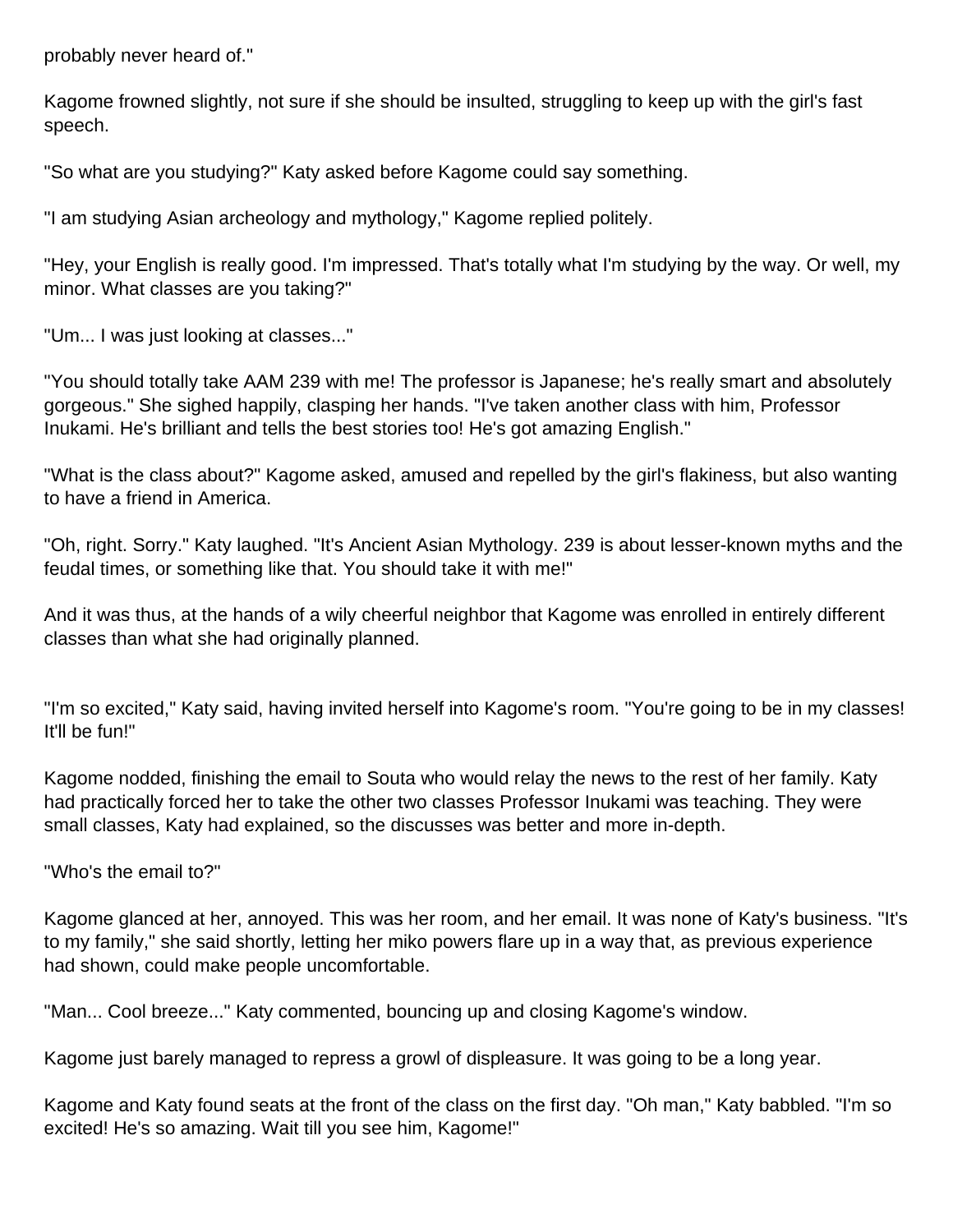probably never heard of."

Kagome frowned slightly, not sure if she should be insulted, struggling to keep up with the girl's fast speech.

"So what are you studying?" Katy asked before Kagome could say something.

"I am studying Asian archeology and mythology," Kagome replied politely.

"Hey, your English is really good. I'm impressed. That's totally what I'm studying by the way. Or well, my minor. What classes are you taking?"

"Um... I was just looking at classes..."

"You should totally take AAM 239 with me! The professor is Japanese; he's really smart and absolutely gorgeous." She sighed happily, clasping her hands. "I've taken another class with him, Professor Inukami. He's brilliant and tells the best stories too! He's got amazing English."

"What is the class about?" Kagome asked, amused and repelled by the girl's flakiness, but also wanting to have a friend in America.

"Oh, right. Sorry." Katy laughed. "It's Ancient Asian Mythology. 239 is about lesser-known myths and the feudal times, or something like that. You should take it with me!"

And it was thus, at the hands of a wily cheerful neighbor that Kagome was enrolled in entirely different classes than what she had originally planned.

"I'm so excited," Katy said, having invited herself into Kagome's room. "You're going to be in my classes! It'll be fun!"

Kagome nodded, finishing the email to Souta who would relay the news to the rest of her family. Katy had practically forced her to take the other two classes Professor Inukami was teaching. They were small classes, Katy had explained, so the discusses was better and more in-depth.

"Who's the email to?"

Kagome glanced at her, annoyed. This was her room, and her email. It was none of Katy's business. "It's to my family," she said shortly, letting her miko powers flare up in a way that, as previous experience had shown, could make people uncomfortable.

"Man... Cool breeze..." Katy commented, bouncing up and closing Kagome's window.

Kagome just barely managed to repress a growl of displeasure. It was going to be a long year.

Kagome and Katy found seats at the front of the class on the first day. "Oh man," Katy babbled. "I'm so excited! He's so amazing. Wait till you see him, Kagome!"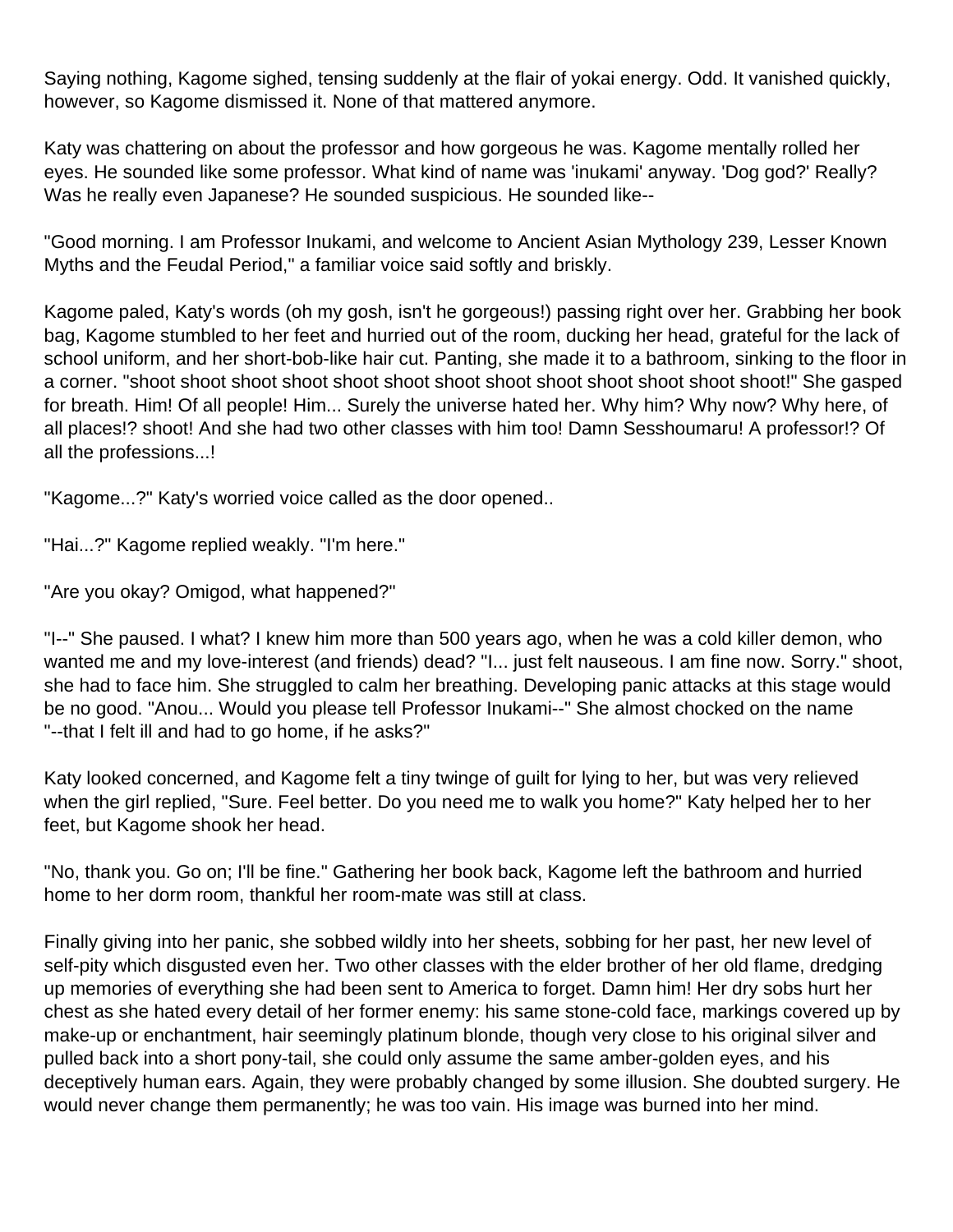Saying nothing, Kagome sighed, tensing suddenly at the flair of yokai energy. Odd. It vanished quickly, however, so Kagome dismissed it. None of that mattered anymore.

Katy was chattering on about the professor and how gorgeous he was. Kagome mentally rolled her eyes. He sounded like some professor. What kind of name was 'inukami' anyway. 'Dog god?' Really? Was he really even Japanese? He sounded suspicious. He sounded like--

"Good morning. I am Professor Inukami, and welcome to Ancient Asian Mythology 239, Lesser Known Myths and the Feudal Period," a familiar voice said softly and briskly.

Kagome paled, Katy's words (oh my gosh, isn't he gorgeous!) passing right over her. Grabbing her book bag, Kagome stumbled to her feet and hurried out of the room, ducking her head, grateful for the lack of school uniform, and her short-bob-like hair cut. Panting, she made it to a bathroom, sinking to the floor in a corner. "shoot shoot shoot shoot shoot shoot shoot shoot shoot shoot shoot shoot shoot!" She gasped for breath. Him! Of all people! Him... Surely the universe hated her. Why him? Why now? Why here, of all places!? shoot! And she had two other classes with him too! Damn Sesshoumaru! A professor!? Of all the professions...!

"Kagome...?" Katy's worried voice called as the door opened..

"Hai...?" Kagome replied weakly. "I'm here."

"Are you okay? Omigod, what happened?"

"I--" She paused. I what? I knew him more than 500 years ago, when he was a cold killer demon, who wanted me and my love-interest (and friends) dead? "I... just felt nauseous. I am fine now. Sorry." shoot, she had to face him. She struggled to calm her breathing. Developing panic attacks at this stage would be no good. "Anou... Would you please tell Professor Inukami--" She almost chocked on the name "--that I felt ill and had to go home, if he asks?"

Katy looked concerned, and Kagome felt a tiny twinge of guilt for lying to her, but was very relieved when the girl replied, "Sure. Feel better. Do you need me to walk you home?" Katy helped her to her feet, but Kagome shook her head.

"No, thank you. Go on; I'll be fine." Gathering her book back, Kagome left the bathroom and hurried home to her dorm room, thankful her room-mate was still at class.

Finally giving into her panic, she sobbed wildly into her sheets, sobbing for her past, her new level of self-pity which disgusted even her. Two other classes with the elder brother of her old flame, dredging up memories of everything she had been sent to America to forget. Damn him! Her dry sobs hurt her chest as she hated every detail of her former enemy: his same stone-cold face, markings covered up by make-up or enchantment, hair seemingly platinum blonde, though very close to his original silver and pulled back into a short pony-tail, she could only assume the same amber-golden eyes, and his deceptively human ears. Again, they were probably changed by some illusion. She doubted surgery. He would never change them permanently; he was too vain. His image was burned into her mind.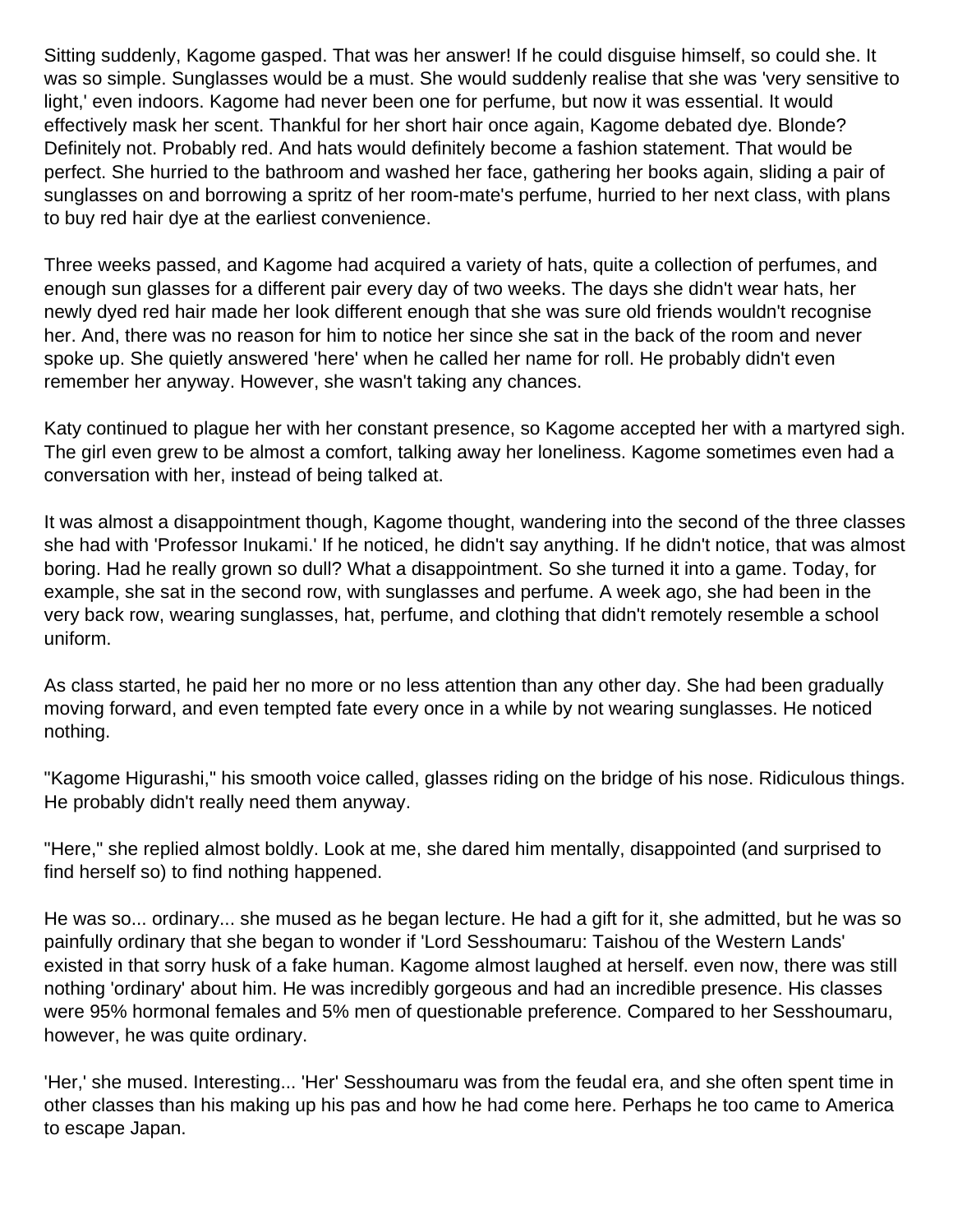Sitting suddenly, Kagome gasped. That was her answer! If he could disguise himself, so could she. It was so simple. Sunglasses would be a must. She would suddenly realise that she was 'very sensitive to light,' even indoors. Kagome had never been one for perfume, but now it was essential. It would effectively mask her scent. Thankful for her short hair once again, Kagome debated dye. Blonde? Definitely not. Probably red. And hats would definitely become a fashion statement. That would be perfect. She hurried to the bathroom and washed her face, gathering her books again, sliding a pair of sunglasses on and borrowing a spritz of her room-mate's perfume, hurried to her next class, with plans to buy red hair dye at the earliest convenience.

Three weeks passed, and Kagome had acquired a variety of hats, quite a collection of perfumes, and enough sun glasses for a different pair every day of two weeks. The days she didn't wear hats, her newly dyed red hair made her look different enough that she was sure old friends wouldn't recognise her. And, there was no reason for him to notice her since she sat in the back of the room and never spoke up. She quietly answered 'here' when he called her name for roll. He probably didn't even remember her anyway. However, she wasn't taking any chances.

Katy continued to plague her with her constant presence, so Kagome accepted her with a martyred sigh. The girl even grew to be almost a comfort, talking away her loneliness. Kagome sometimes even had a conversation with her, instead of being talked at.

It was almost a disappointment though, Kagome thought, wandering into the second of the three classes she had with 'Professor Inukami.' If he noticed, he didn't say anything. If he didn't notice, that was almost boring. Had he really grown so dull? What a disappointment. So she turned it into a game. Today, for example, she sat in the second row, with sunglasses and perfume. A week ago, she had been in the very back row, wearing sunglasses, hat, perfume, and clothing that didn't remotely resemble a school uniform.

As class started, he paid her no more or no less attention than any other day. She had been gradually moving forward, and even tempted fate every once in a while by not wearing sunglasses. He noticed nothing.

"Kagome Higurashi," his smooth voice called, glasses riding on the bridge of his nose. Ridiculous things. He probably didn't really need them anyway.

"Here," she replied almost boldly. Look at me, she dared him mentally, disappointed (and surprised to find herself so) to find nothing happened.

He was so... ordinary... she mused as he began lecture. He had a gift for it, she admitted, but he was so painfully ordinary that she began to wonder if 'Lord Sesshoumaru: Taishou of the Western Lands' existed in that sorry husk of a fake human. Kagome almost laughed at herself. even now, there was still nothing 'ordinary' about him. He was incredibly gorgeous and had an incredible presence. His classes were 95% hormonal females and 5% men of questionable preference. Compared to her Sesshoumaru, however, he was quite ordinary.

'Her,' she mused. Interesting... 'Her' Sesshoumaru was from the feudal era, and she often spent time in other classes than his making up his pas and how he had come here. Perhaps he too came to America to escape Japan.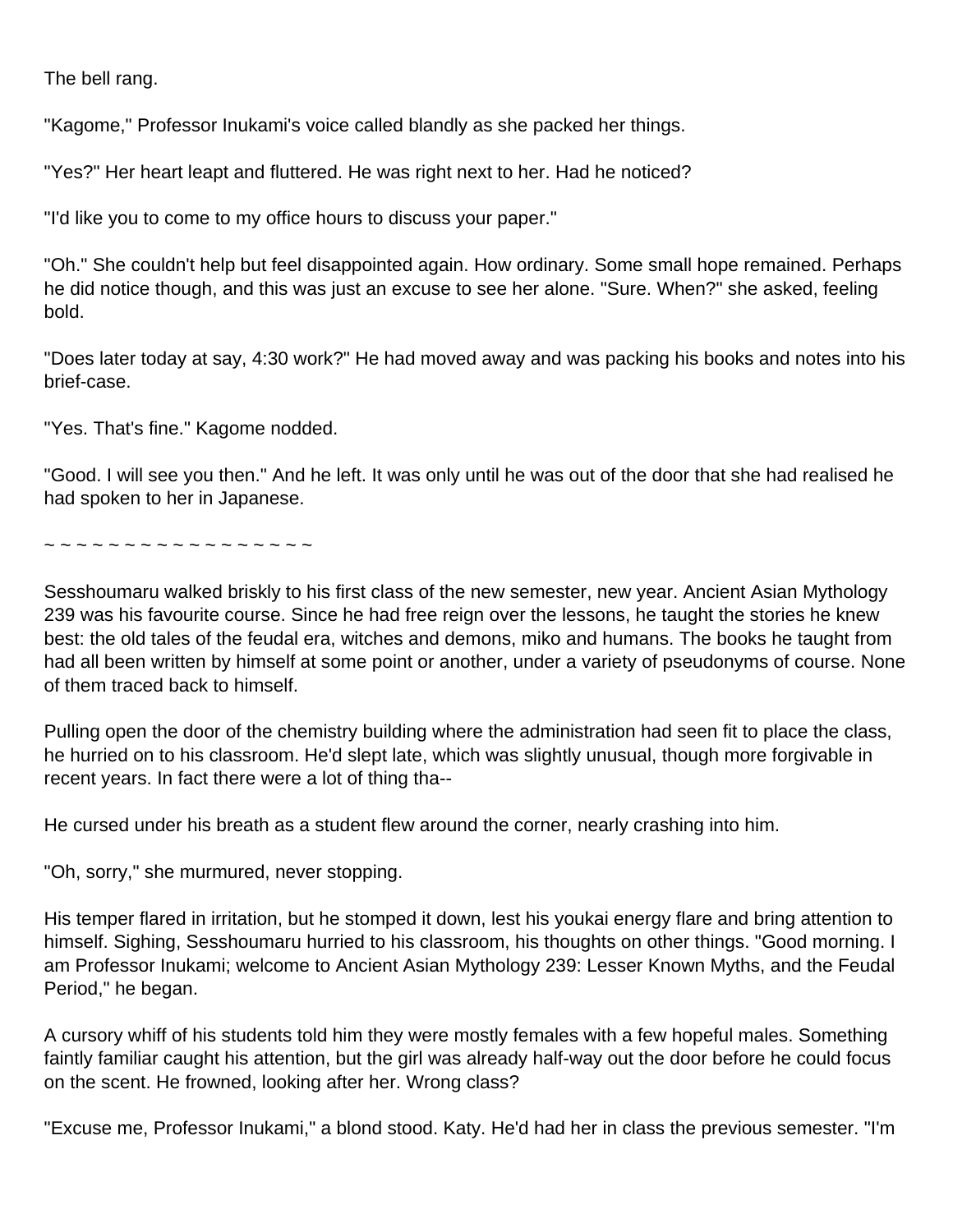The bell rang.

"Kagome," Professor Inukami's voice called blandly as she packed her things.

"Yes?" Her heart leapt and fluttered. He was right next to her. Had he noticed?

"I'd like you to come to my office hours to discuss your paper."

"Oh." She couldn't help but feel disappointed again. How ordinary. Some small hope remained. Perhaps he did notice though, and this was just an excuse to see her alone. "Sure. When?" she asked, feeling bold.

"Does later today at say, 4:30 work?" He had moved away and was packing his books and notes into his brief-case.

"Yes. That's fine." Kagome nodded.

"Good. I will see you then." And he left. It was only until he was out of the door that she had realised he had spoken to her in Japanese.

~ ~ ~ ~ ~ ~ ~ ~ ~ ~ ~ ~ ~ ~ ~ ~ ~ ~

Sesshoumaru walked briskly to his first class of the new semester, new year. Ancient Asian Mythology 239 was his favourite course. Since he had free reign over the lessons, he taught the stories he knew best: the old tales of the feudal era, witches and demons, miko and humans. The books he taught from had all been written by himself at some point or another, under a variety of pseudonyms of course. None of them traced back to himself.

Pulling open the door of the chemistry building where the administration had seen fit to place the class, he hurried on to his classroom. He'd slept late, which was slightly unusual, though more forgivable in recent years. In fact there were a lot of thing tha--

He cursed under his breath as a student flew around the corner, nearly crashing into him.

"Oh, sorry," she murmured, never stopping.

His temper flared in irritation, but he stomped it down, lest his youkai energy flare and bring attention to himself. Sighing, Sesshoumaru hurried to his classroom, his thoughts on other things. "Good morning. I am Professor Inukami; welcome to Ancient Asian Mythology 239: Lesser Known Myths, and the Feudal Period," he began.

A cursory whiff of his students told him they were mostly females with a few hopeful males. Something faintly familiar caught his attention, but the girl was already half-way out the door before he could focus on the scent. He frowned, looking after her. Wrong class?

"Excuse me, Professor Inukami," a blond stood. Katy. He'd had her in class the previous semester. "I'm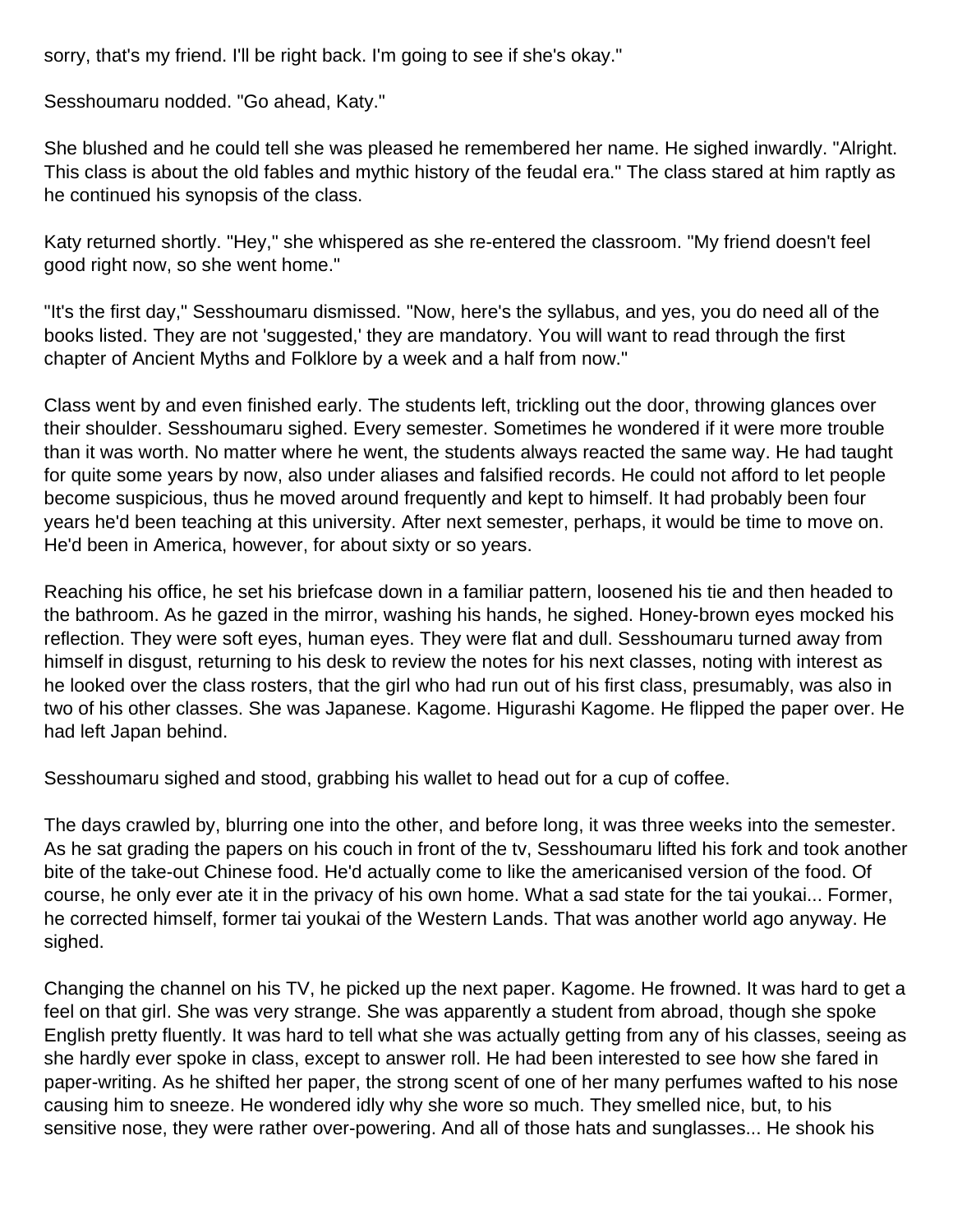sorry, that's my friend. I'll be right back. I'm going to see if she's okay."

Sesshoumaru nodded. "Go ahead, Katy."

She blushed and he could tell she was pleased he remembered her name. He sighed inwardly. "Alright. This class is about the old fables and mythic history of the feudal era." The class stared at him raptly as he continued his synopsis of the class.

Katy returned shortly. "Hey," she whispered as she re-entered the classroom. "My friend doesn't feel good right now, so she went home."

"It's the first day," Sesshoumaru dismissed. "Now, here's the syllabus, and yes, you do need all of the books listed. They are not 'suggested,' they are mandatory. You will want to read through the first chapter of Ancient Myths and Folklore by a week and a half from now."

Class went by and even finished early. The students left, trickling out the door, throwing glances over their shoulder. Sesshoumaru sighed. Every semester. Sometimes he wondered if it were more trouble than it was worth. No matter where he went, the students always reacted the same way. He had taught for quite some years by now, also under aliases and falsified records. He could not afford to let people become suspicious, thus he moved around frequently and kept to himself. It had probably been four years he'd been teaching at this university. After next semester, perhaps, it would be time to move on. He'd been in America, however, for about sixty or so years.

Reaching his office, he set his briefcase down in a familiar pattern, loosened his tie and then headed to the bathroom. As he gazed in the mirror, washing his hands, he sighed. Honey-brown eyes mocked his reflection. They were soft eyes, human eyes. They were flat and dull. Sesshoumaru turned away from himself in disgust, returning to his desk to review the notes for his next classes, noting with interest as he looked over the class rosters, that the girl who had run out of his first class, presumably, was also in two of his other classes. She was Japanese. Kagome. Higurashi Kagome. He flipped the paper over. He had left Japan behind.

Sesshoumaru sighed and stood, grabbing his wallet to head out for a cup of coffee.

The days crawled by, blurring one into the other, and before long, it was three weeks into the semester. As he sat grading the papers on his couch in front of the tv, Sesshoumaru lifted his fork and took another bite of the take-out Chinese food. He'd actually come to like the americanised version of the food. Of course, he only ever ate it in the privacy of his own home. What a sad state for the tai youkai... Former, he corrected himself, former tai youkai of the Western Lands. That was another world ago anyway. He sighed.

Changing the channel on his TV, he picked up the next paper. Kagome. He frowned. It was hard to get a feel on that girl. She was very strange. She was apparently a student from abroad, though she spoke English pretty fluently. It was hard to tell what she was actually getting from any of his classes, seeing as she hardly ever spoke in class, except to answer roll. He had been interested to see how she fared in paper-writing. As he shifted her paper, the strong scent of one of her many perfumes wafted to his nose causing him to sneeze. He wondered idly why she wore so much. They smelled nice, but, to his sensitive nose, they were rather over-powering. And all of those hats and sunglasses... He shook his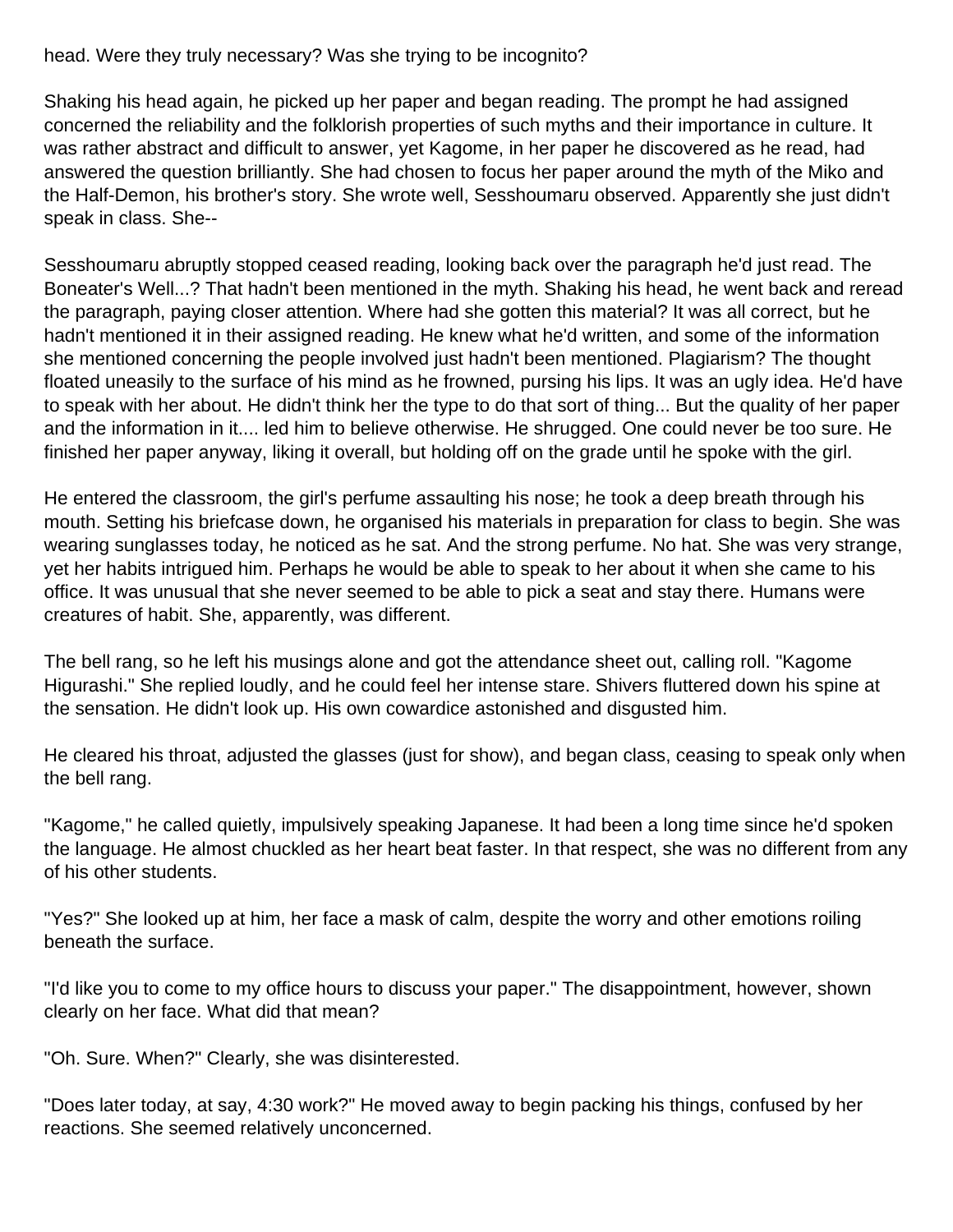head. Were they truly necessary? Was she trying to be incognito?

Shaking his head again, he picked up her paper and began reading. The prompt he had assigned concerned the reliability and the folklorish properties of such myths and their importance in culture. It was rather abstract and difficult to answer, yet Kagome, in her paper he discovered as he read, had answered the question brilliantly. She had chosen to focus her paper around the myth of the Miko and the Half-Demon, his brother's story. She wrote well, Sesshoumaru observed. Apparently she just didn't speak in class. She--

Sesshoumaru abruptly stopped ceased reading, looking back over the paragraph he'd just read. The Boneater's Well...? That hadn't been mentioned in the myth. Shaking his head, he went back and reread the paragraph, paying closer attention. Where had she gotten this material? It was all correct, but he hadn't mentioned it in their assigned reading. He knew what he'd written, and some of the information she mentioned concerning the people involved just hadn't been mentioned. Plagiarism? The thought floated uneasily to the surface of his mind as he frowned, pursing his lips. It was an ugly idea. He'd have to speak with her about. He didn't think her the type to do that sort of thing... But the quality of her paper and the information in it.... led him to believe otherwise. He shrugged. One could never be too sure. He finished her paper anyway, liking it overall, but holding off on the grade until he spoke with the girl.

He entered the classroom, the girl's perfume assaulting his nose; he took a deep breath through his mouth. Setting his briefcase down, he organised his materials in preparation for class to begin. She was wearing sunglasses today, he noticed as he sat. And the strong perfume. No hat. She was very strange, yet her habits intrigued him. Perhaps he would be able to speak to her about it when she came to his office. It was unusual that she never seemed to be able to pick a seat and stay there. Humans were creatures of habit. She, apparently, was different.

The bell rang, so he left his musings alone and got the attendance sheet out, calling roll. "Kagome Higurashi." She replied loudly, and he could feel her intense stare. Shivers fluttered down his spine at the sensation. He didn't look up. His own cowardice astonished and disgusted him.

He cleared his throat, adjusted the glasses (just for show), and began class, ceasing to speak only when the bell rang.

"Kagome," he called quietly, impulsively speaking Japanese. It had been a long time since he'd spoken the language. He almost chuckled as her heart beat faster. In that respect, she was no different from any of his other students.

"Yes?" She looked up at him, her face a mask of calm, despite the worry and other emotions roiling beneath the surface.

"I'd like you to come to my office hours to discuss your paper." The disappointment, however, shown clearly on her face. What did that mean?

"Oh. Sure. When?" Clearly, she was disinterested.

"Does later today, at say, 4:30 work?" He moved away to begin packing his things, confused by her reactions. She seemed relatively unconcerned.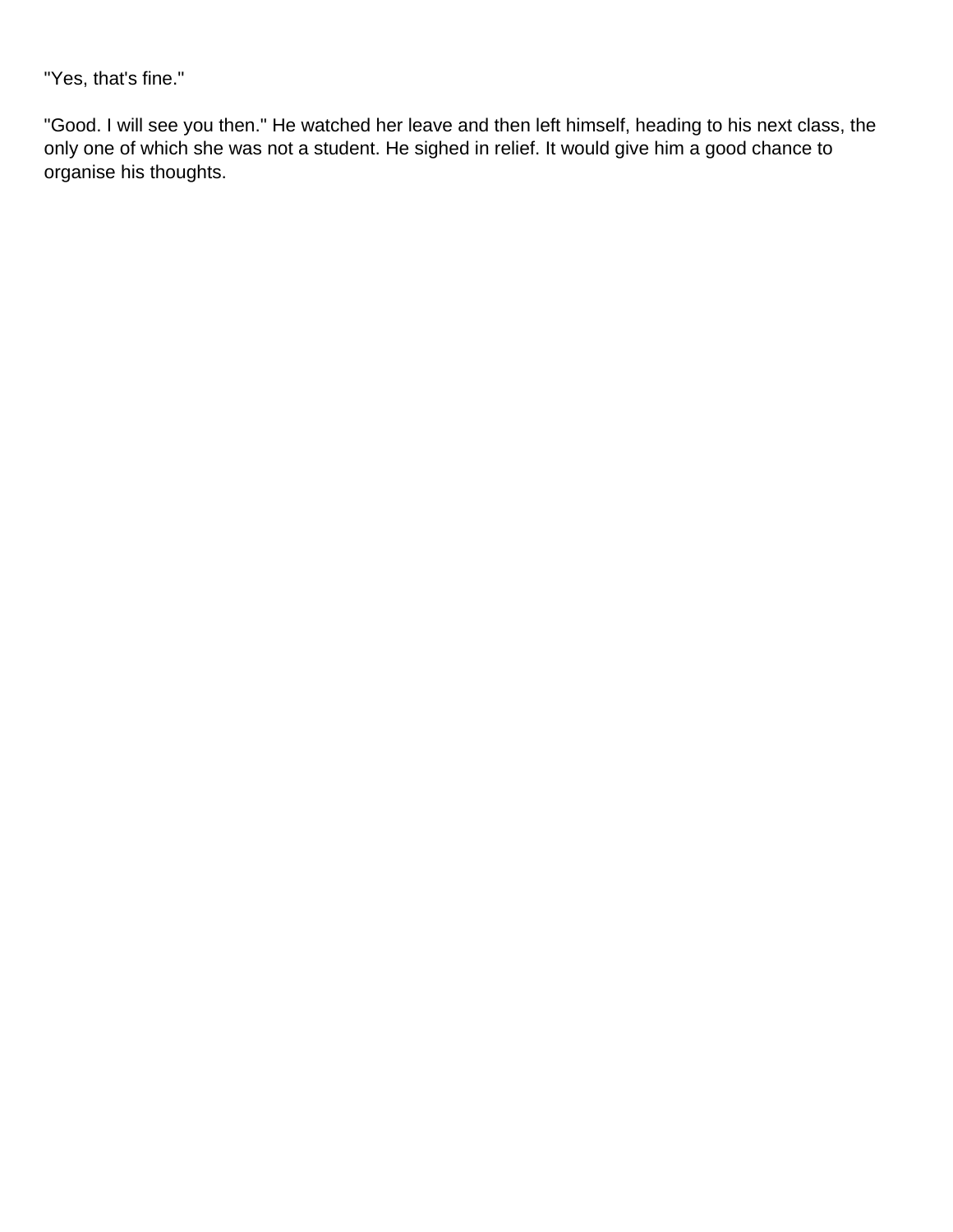"Yes, that's fine."

"Good. I will see you then." He watched her leave and then left himself, heading to his next class, the only one of which she was not a student. He sighed in relief. It would give him a good chance to organise his thoughts.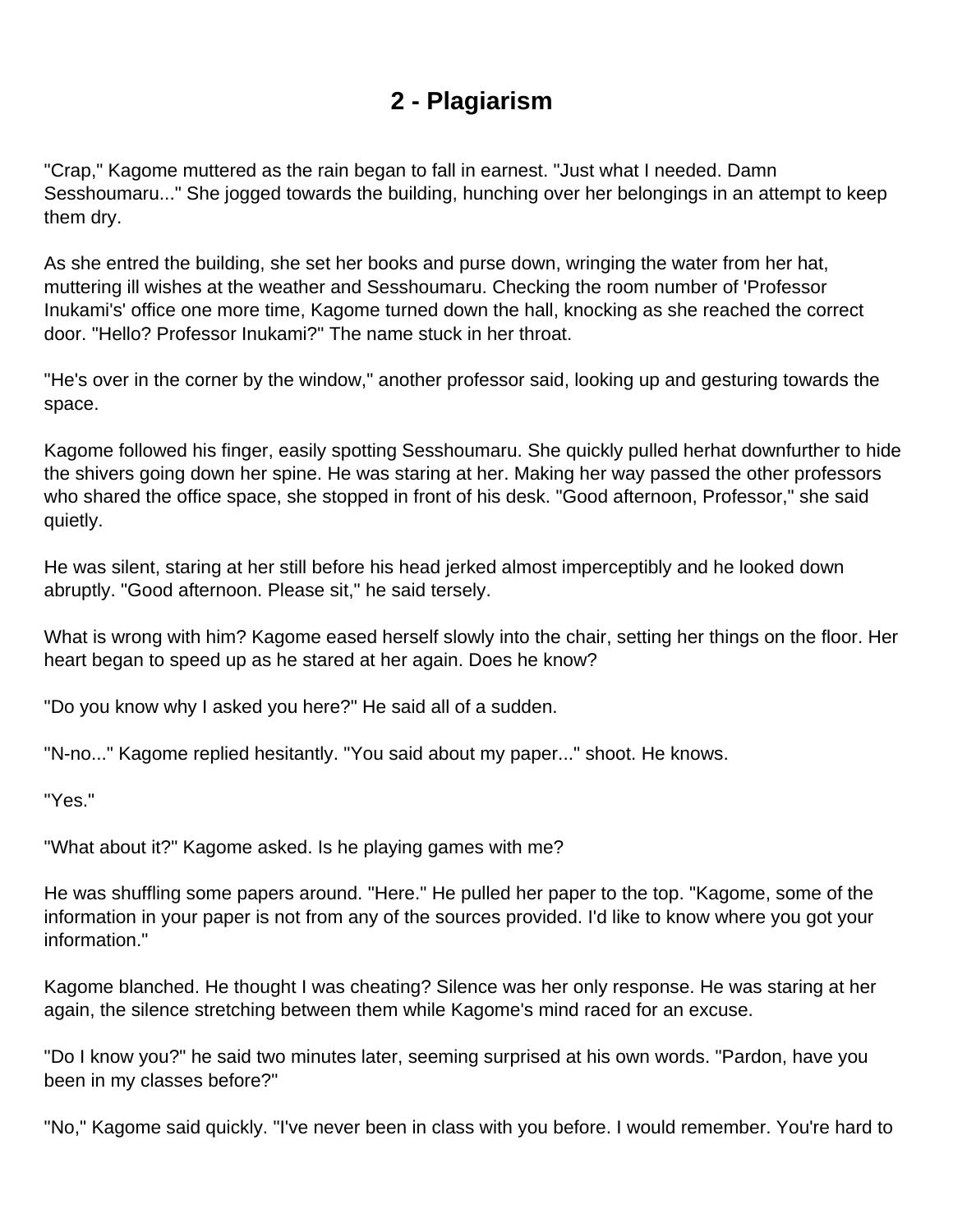### **2 - Plagiarism**

<span id="page-9-0"></span>"Crap," Kagome muttered as the rain began to fall in earnest. "Just what I needed. Damn Sesshoumaru..." She jogged towards the building, hunching over her belongings in an attempt to keep them dry.

As she entred the building, she set her books and purse down, wringing the water from her hat, muttering ill wishes at the weather and Sesshoumaru. Checking the room number of 'Professor Inukami's' office one more time, Kagome turned down the hall, knocking as she reached the correct door. "Hello? Professor Inukami?" The name stuck in her throat.

"He's over in the corner by the window," another professor said, looking up and gesturing towards the space.

Kagome followed his finger, easily spotting Sesshoumaru. She quickly pulled herhat downfurther to hide the shivers going down her spine. He was staring at her. Making her way passed the other professors who shared the office space, she stopped in front of his desk. "Good afternoon, Professor," she said quietly.

He was silent, staring at her still before his head jerked almost imperceptibly and he looked down abruptly. "Good afternoon. Please sit," he said tersely.

What is wrong with him? Kagome eased herself slowly into the chair, setting her things on the floor. Her heart began to speed up as he stared at her again. Does he know?

"Do you know why I asked you here?" He said all of a sudden.

"N-no..." Kagome replied hesitantly. "You said about my paper..." shoot. He knows.

"Yes."

"What about it?" Kagome asked. Is he playing games with me?

He was shuffling some papers around. "Here." He pulled her paper to the top. "Kagome, some of the information in your paper is not from any of the sources provided. I'd like to know where you got your information."

Kagome blanched. He thought I was cheating? Silence was her only response. He was staring at her again, the silence stretching between them while Kagome's mind raced for an excuse.

"Do I know you?" he said two minutes later, seeming surprised at his own words. "Pardon, have you been in my classes before?"

"No," Kagome said quickly. "I've never been in class with you before. I would remember. You're hard to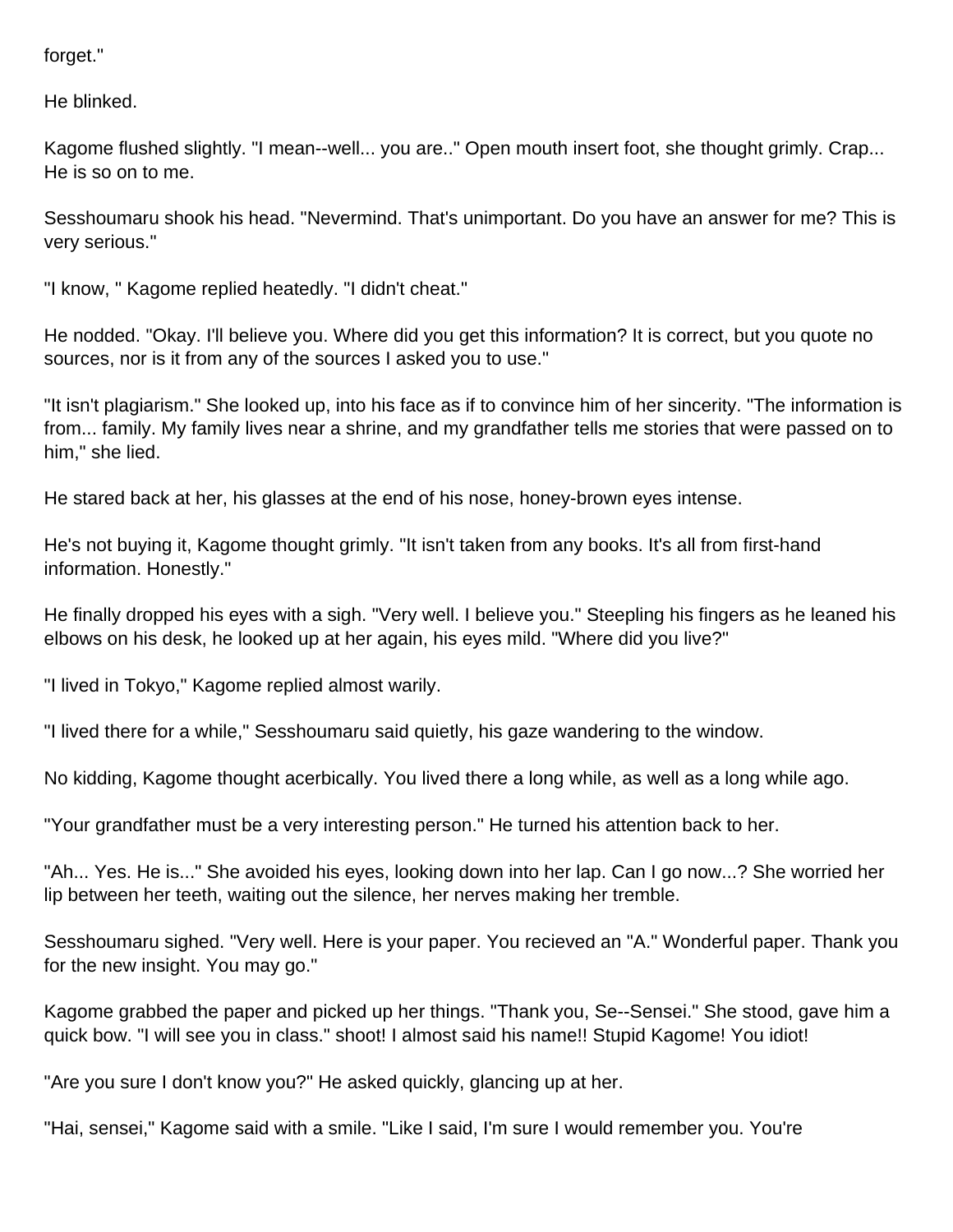forget."

He blinked.

Kagome flushed slightly. "I mean--well... you are.." Open mouth insert foot, she thought grimly. Crap... He is so on to me.

Sesshoumaru shook his head. "Nevermind. That's unimportant. Do you have an answer for me? This is very serious."

"I know, " Kagome replied heatedly. "I didn't cheat."

He nodded. "Okay. I'll believe you. Where did you get this information? It is correct, but you quote no sources, nor is it from any of the sources I asked you to use."

"It isn't plagiarism." She looked up, into his face as if to convince him of her sincerity. "The information is from... family. My family lives near a shrine, and my grandfather tells me stories that were passed on to him," she lied.

He stared back at her, his glasses at the end of his nose, honey-brown eyes intense.

He's not buying it, Kagome thought grimly. "It isn't taken from any books. It's all from first-hand information. Honestly."

He finally dropped his eyes with a sigh. "Very well. I believe you." Steepling his fingers as he leaned his elbows on his desk, he looked up at her again, his eyes mild. "Where did you live?"

"I lived in Tokyo," Kagome replied almost warily.

"I lived there for a while," Sesshoumaru said quietly, his gaze wandering to the window.

No kidding, Kagome thought acerbically. You lived there a long while, as well as a long while ago.

"Your grandfather must be a very interesting person." He turned his attention back to her.

"Ah... Yes. He is..." She avoided his eyes, looking down into her lap. Can I go now...? She worried her lip between her teeth, waiting out the silence, her nerves making her tremble.

Sesshoumaru sighed. "Very well. Here is your paper. You recieved an "A." Wonderful paper. Thank you for the new insight. You may go."

Kagome grabbed the paper and picked up her things. "Thank you, Se--Sensei." She stood, gave him a quick bow. "I will see you in class." shoot! I almost said his name!! Stupid Kagome! You idiot!

"Are you sure I don't know you?" He asked quickly, glancing up at her.

"Hai, sensei," Kagome said with a smile. "Like I said, I'm sure I would remember you. You're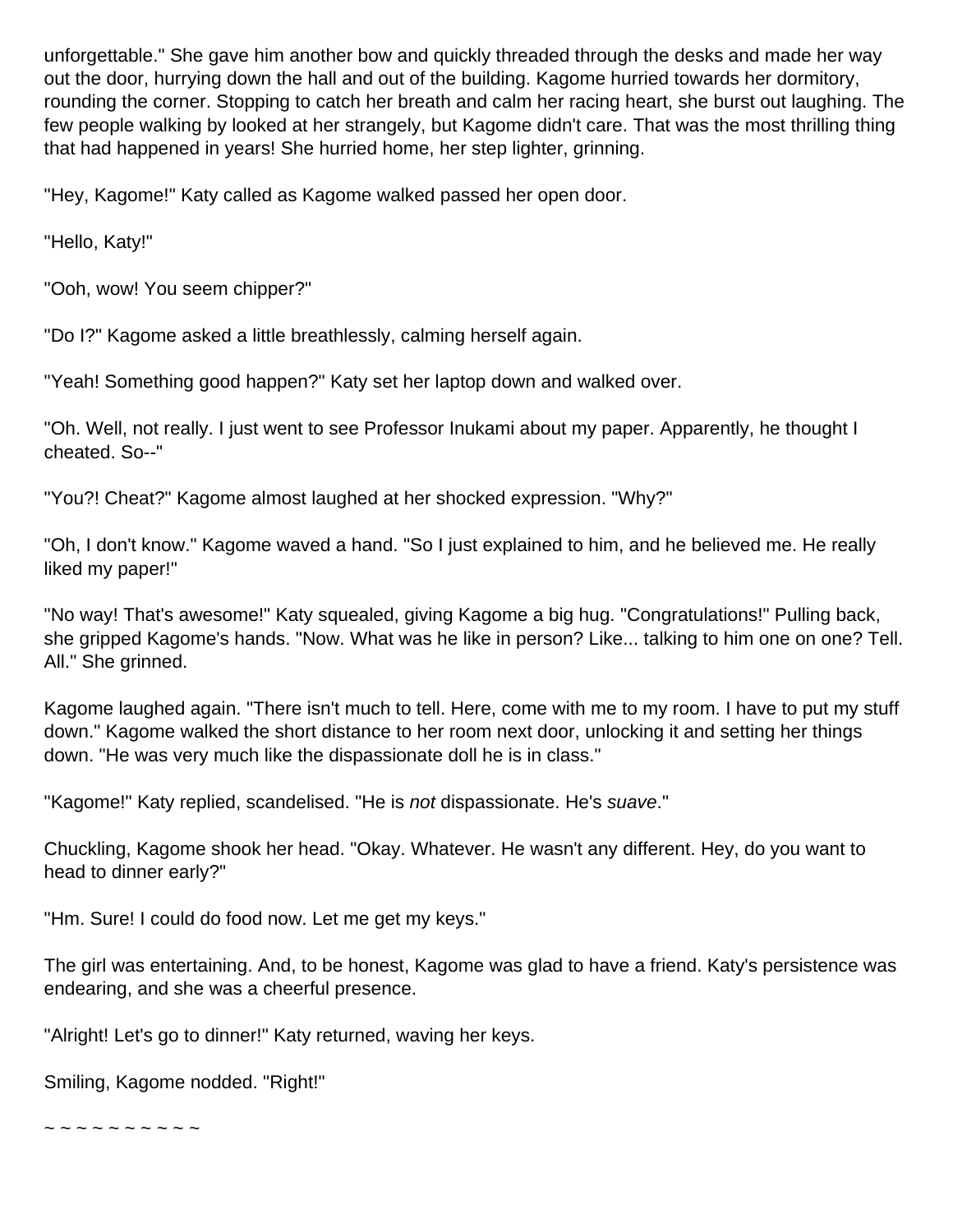unforgettable." She gave him another bow and quickly threaded through the desks and made her way out the door, hurrying down the hall and out of the building. Kagome hurried towards her dormitory, rounding the corner. Stopping to catch her breath and calm her racing heart, she burst out laughing. The few people walking by looked at her strangely, but Kagome didn't care. That was the most thrilling thing that had happened in years! She hurried home, her step lighter, grinning.

"Hey, Kagome!" Katy called as Kagome walked passed her open door.

"Hello, Katy!"

"Ooh, wow! You seem chipper?"

"Do I?" Kagome asked a little breathlessly, calming herself again.

"Yeah! Something good happen?" Katy set her laptop down and walked over.

"Oh. Well, not really. I just went to see Professor Inukami about my paper. Apparently, he thought I cheated. So--"

"You?! Cheat?" Kagome almost laughed at her shocked expression. "Why?"

"Oh, I don't know." Kagome waved a hand. "So I just explained to him, and he believed me. He really liked my paper!"

"No way! That's awesome!" Katy squealed, giving Kagome a big hug. "Congratulations!" Pulling back, she gripped Kagome's hands. "Now. What was he like in person? Like... talking to him one on one? Tell. All." She grinned.

Kagome laughed again. "There isn't much to tell. Here, come with me to my room. I have to put my stuff down." Kagome walked the short distance to her room next door, unlocking it and setting her things down. "He was very much like the dispassionate doll he is in class."

"Kagome!" Katy replied, scandelised. "He is not dispassionate. He's suave."

Chuckling, Kagome shook her head. "Okay. Whatever. He wasn't any different. Hey, do you want to head to dinner early?"

"Hm. Sure! I could do food now. Let me get my keys."

The girl was entertaining. And, to be honest, Kagome was glad to have a friend. Katy's persistence was endearing, and she was a cheerful presence.

"Alright! Let's go to dinner!" Katy returned, waving her keys.

Smiling, Kagome nodded. "Right!"

~ ~ ~ ~ ~ ~ ~ ~ ~ ~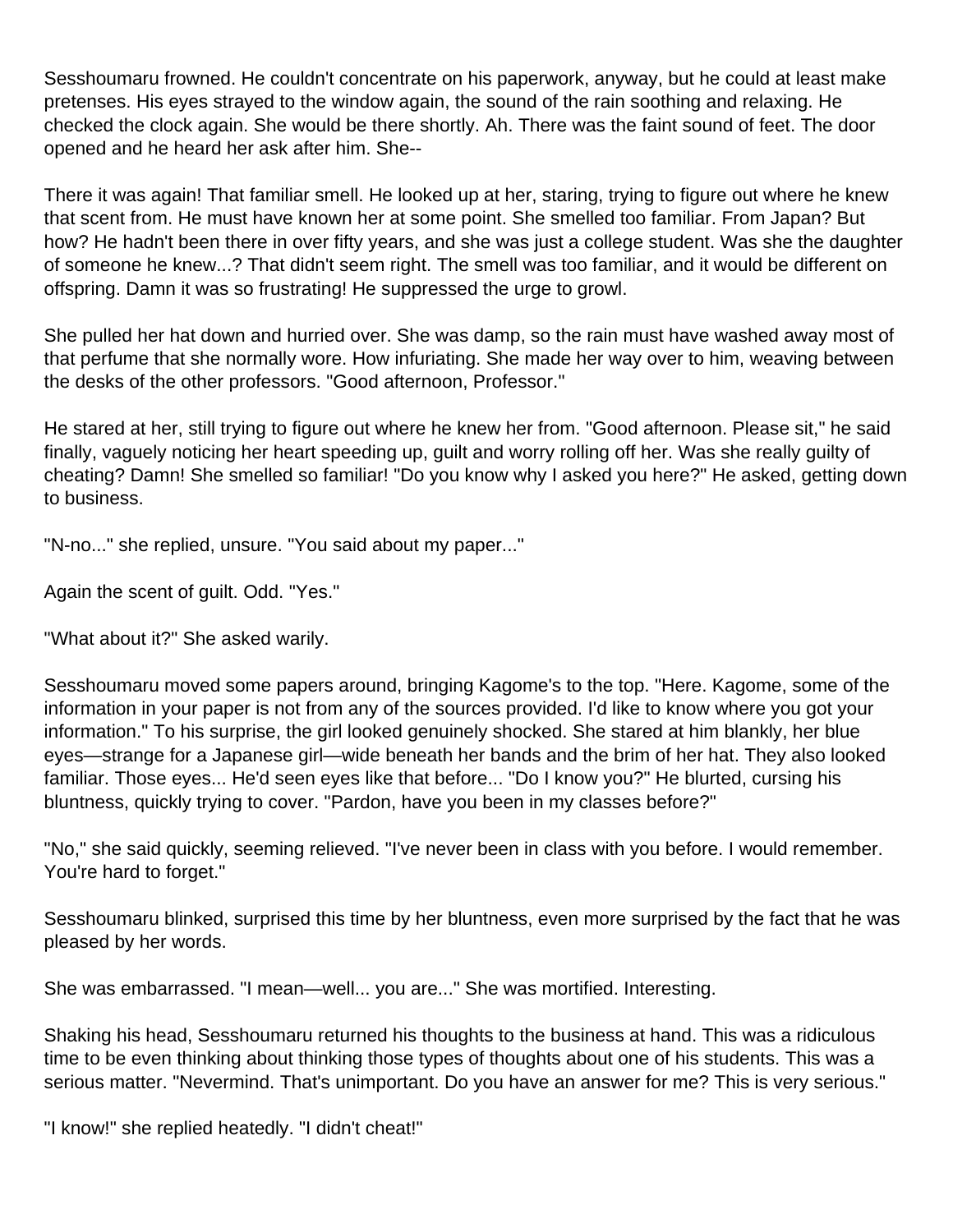Sesshoumaru frowned. He couldn't concentrate on his paperwork, anyway, but he could at least make pretenses. His eyes strayed to the window again, the sound of the rain soothing and relaxing. He checked the clock again. She would be there shortly. Ah. There was the faint sound of feet. The door opened and he heard her ask after him. She--

There it was again! That familiar smell. He looked up at her, staring, trying to figure out where he knew that scent from. He must have known her at some point. She smelled too familiar. From Japan? But how? He hadn't been there in over fifty years, and she was just a college student. Was she the daughter of someone he knew...? That didn't seem right. The smell was too familiar, and it would be different on offspring. Damn it was so frustrating! He suppressed the urge to growl.

She pulled her hat down and hurried over. She was damp, so the rain must have washed away most of that perfume that she normally wore. How infuriating. She made her way over to him, weaving between the desks of the other professors. "Good afternoon, Professor."

He stared at her, still trying to figure out where he knew her from. "Good afternoon. Please sit," he said finally, vaguely noticing her heart speeding up, guilt and worry rolling off her. Was she really guilty of cheating? Damn! She smelled so familiar! "Do you know why I asked you here?" He asked, getting down to business.

"N-no..." she replied, unsure. "You said about my paper..."

Again the scent of guilt. Odd. "Yes."

"What about it?" She asked warily.

Sesshoumaru moved some papers around, bringing Kagome's to the top. "Here. Kagome, some of the information in your paper is not from any of the sources provided. I'd like to know where you got your information." To his surprise, the girl looked genuinely shocked. She stared at him blankly, her blue eyes—strange for a Japanese girl—wide beneath her bands and the brim of her hat. They also looked familiar. Those eyes... He'd seen eyes like that before... "Do I know you?" He blurted, cursing his bluntness, quickly trying to cover. "Pardon, have you been in my classes before?"

"No," she said quickly, seeming relieved. "I've never been in class with you before. I would remember. You're hard to forget."

Sesshoumaru blinked, surprised this time by her bluntness, even more surprised by the fact that he was pleased by her words.

She was embarrassed. "I mean—well... you are..." She was mortified. Interesting.

Shaking his head, Sesshoumaru returned his thoughts to the business at hand. This was a ridiculous time to be even thinking about thinking those types of thoughts about one of his students. This was a serious matter. "Nevermind. That's unimportant. Do you have an answer for me? This is very serious."

"I know!" she replied heatedly. "I didn't cheat!"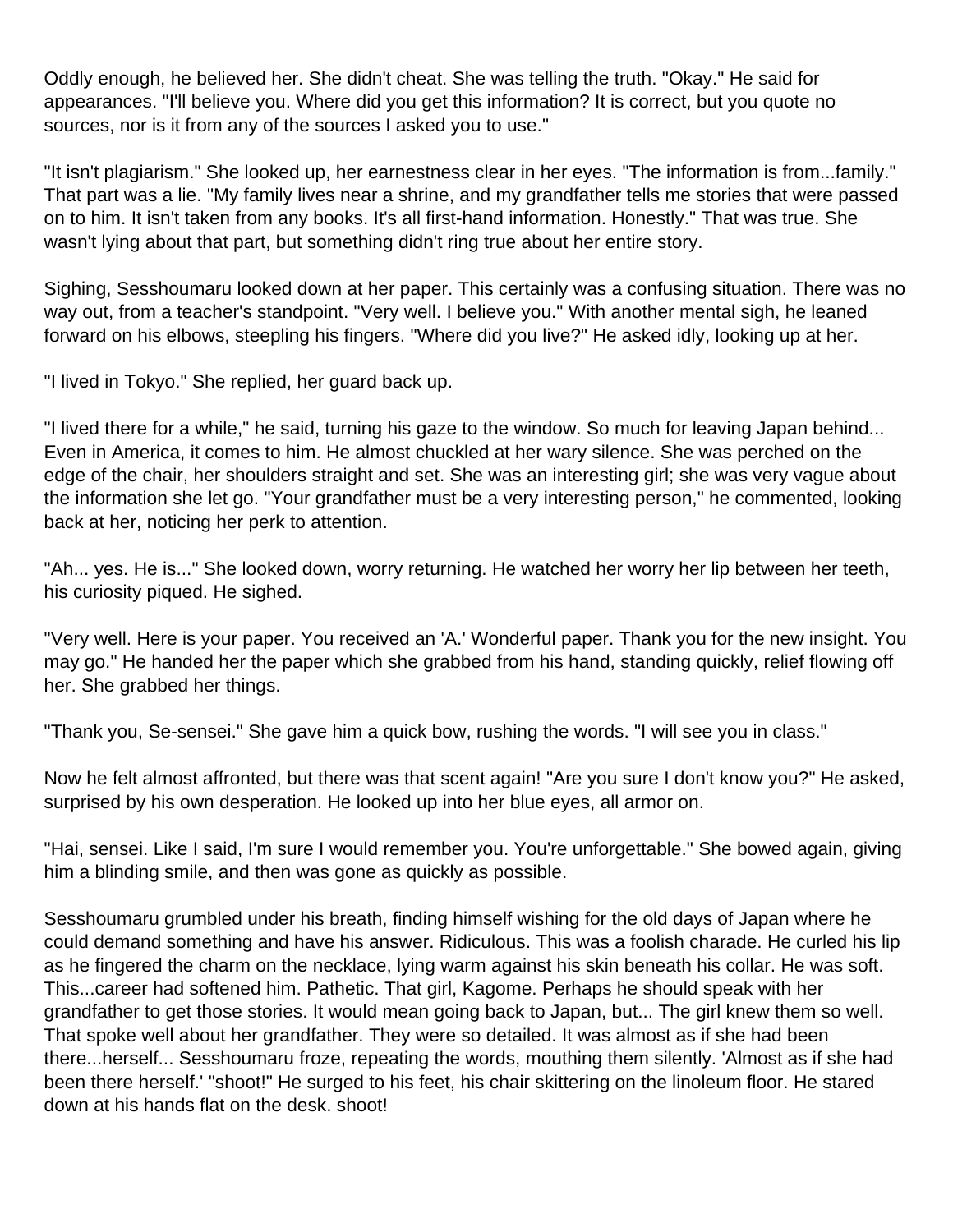Oddly enough, he believed her. She didn't cheat. She was telling the truth. "Okay." He said for appearances. "I'll believe you. Where did you get this information? It is correct, but you quote no sources, nor is it from any of the sources I asked you to use."

"It isn't plagiarism." She looked up, her earnestness clear in her eyes. "The information is from...family." That part was a lie. "My family lives near a shrine, and my grandfather tells me stories that were passed on to him. It isn't taken from any books. It's all first-hand information. Honestly." That was true. She wasn't lying about that part, but something didn't ring true about her entire story.

Sighing, Sesshoumaru looked down at her paper. This certainly was a confusing situation. There was no way out, from a teacher's standpoint. "Very well. I believe you." With another mental sigh, he leaned forward on his elbows, steepling his fingers. "Where did you live?" He asked idly, looking up at her.

"I lived in Tokyo." She replied, her guard back up.

"I lived there for a while," he said, turning his gaze to the window. So much for leaving Japan behind... Even in America, it comes to him. He almost chuckled at her wary silence. She was perched on the edge of the chair, her shoulders straight and set. She was an interesting girl; she was very vague about the information she let go. "Your grandfather must be a very interesting person," he commented, looking back at her, noticing her perk to attention.

"Ah... yes. He is..." She looked down, worry returning. He watched her worry her lip between her teeth, his curiosity piqued. He sighed.

"Very well. Here is your paper. You received an 'A.' Wonderful paper. Thank you for the new insight. You may go." He handed her the paper which she grabbed from his hand, standing quickly, relief flowing off her. She grabbed her things.

"Thank you, Se-sensei." She gave him a quick bow, rushing the words. "I will see you in class."

Now he felt almost affronted, but there was that scent again! "Are you sure I don't know you?" He asked, surprised by his own desperation. He looked up into her blue eyes, all armor on.

"Hai, sensei. Like I said, I'm sure I would remember you. You're unforgettable." She bowed again, giving him a blinding smile, and then was gone as quickly as possible.

Sesshoumaru grumbled under his breath, finding himself wishing for the old days of Japan where he could demand something and have his answer. Ridiculous. This was a foolish charade. He curled his lip as he fingered the charm on the necklace, lying warm against his skin beneath his collar. He was soft. This...career had softened him. Pathetic. That girl, Kagome. Perhaps he should speak with her grandfather to get those stories. It would mean going back to Japan, but... The girl knew them so well. That spoke well about her grandfather. They were so detailed. It was almost as if she had been there...herself... Sesshoumaru froze, repeating the words, mouthing them silently. 'Almost as if she had been there herself.' "shoot!" He surged to his feet, his chair skittering on the linoleum floor. He stared down at his hands flat on the desk. shoot!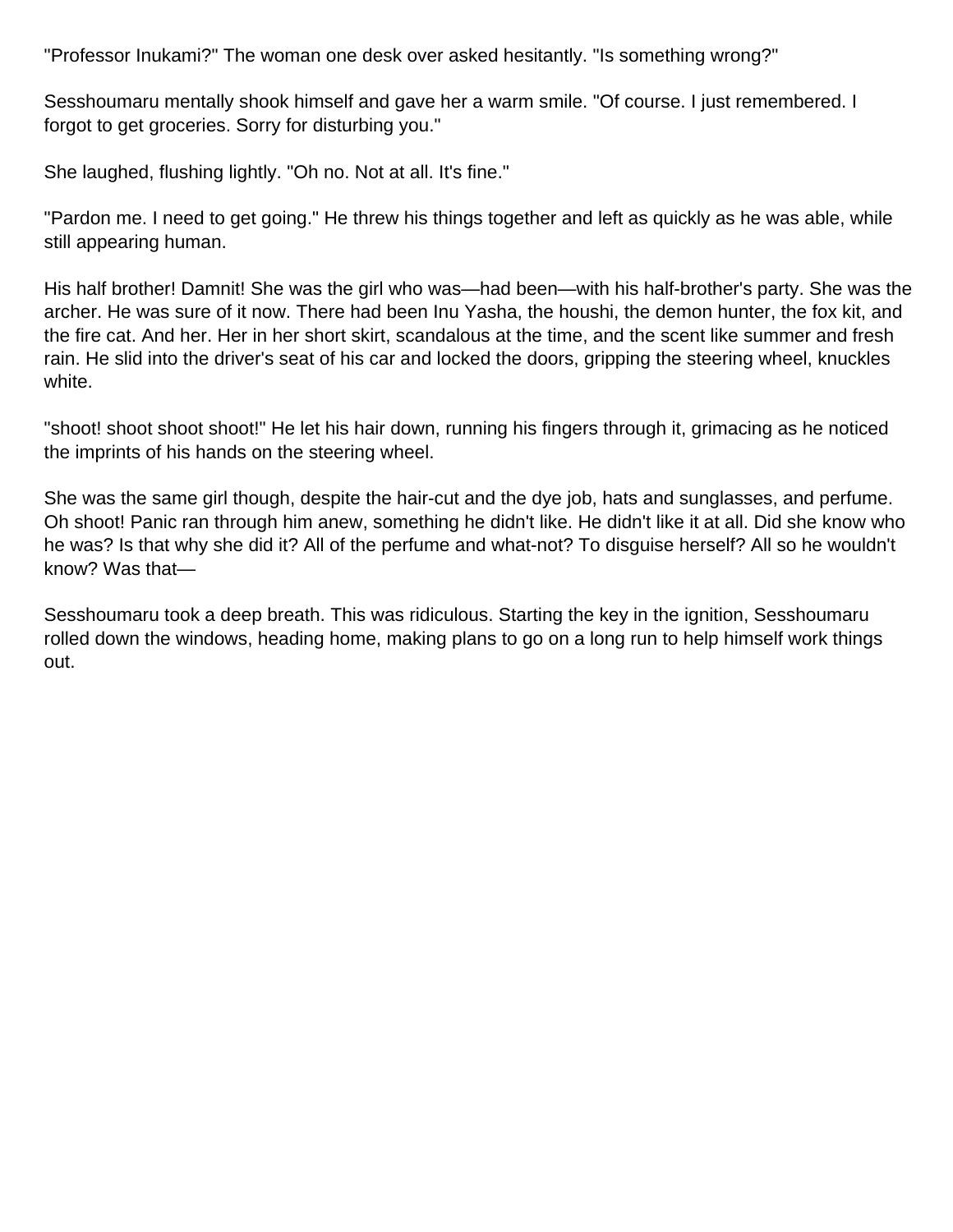"Professor Inukami?" The woman one desk over asked hesitantly. "Is something wrong?"

Sesshoumaru mentally shook himself and gave her a warm smile. "Of course. I just remembered. I forgot to get groceries. Sorry for disturbing you."

She laughed, flushing lightly. "Oh no. Not at all. It's fine."

"Pardon me. I need to get going." He threw his things together and left as quickly as he was able, while still appearing human.

His half brother! Damnit! She was the girl who was—had been—with his half-brother's party. She was the archer. He was sure of it now. There had been Inu Yasha, the houshi, the demon hunter, the fox kit, and the fire cat. And her. Her in her short skirt, scandalous at the time, and the scent like summer and fresh rain. He slid into the driver's seat of his car and locked the doors, gripping the steering wheel, knuckles white.

"shoot! shoot shoot shoot!" He let his hair down, running his fingers through it, grimacing as he noticed the imprints of his hands on the steering wheel.

She was the same girl though, despite the hair-cut and the dye job, hats and sunglasses, and perfume. Oh shoot! Panic ran through him anew, something he didn't like. He didn't like it at all. Did she know who he was? Is that why she did it? All of the perfume and what-not? To disguise herself? All so he wouldn't know? Was that—

Sesshoumaru took a deep breath. This was ridiculous. Starting the key in the ignition, Sesshoumaru rolled down the windows, heading home, making plans to go on a long run to help himself work things out.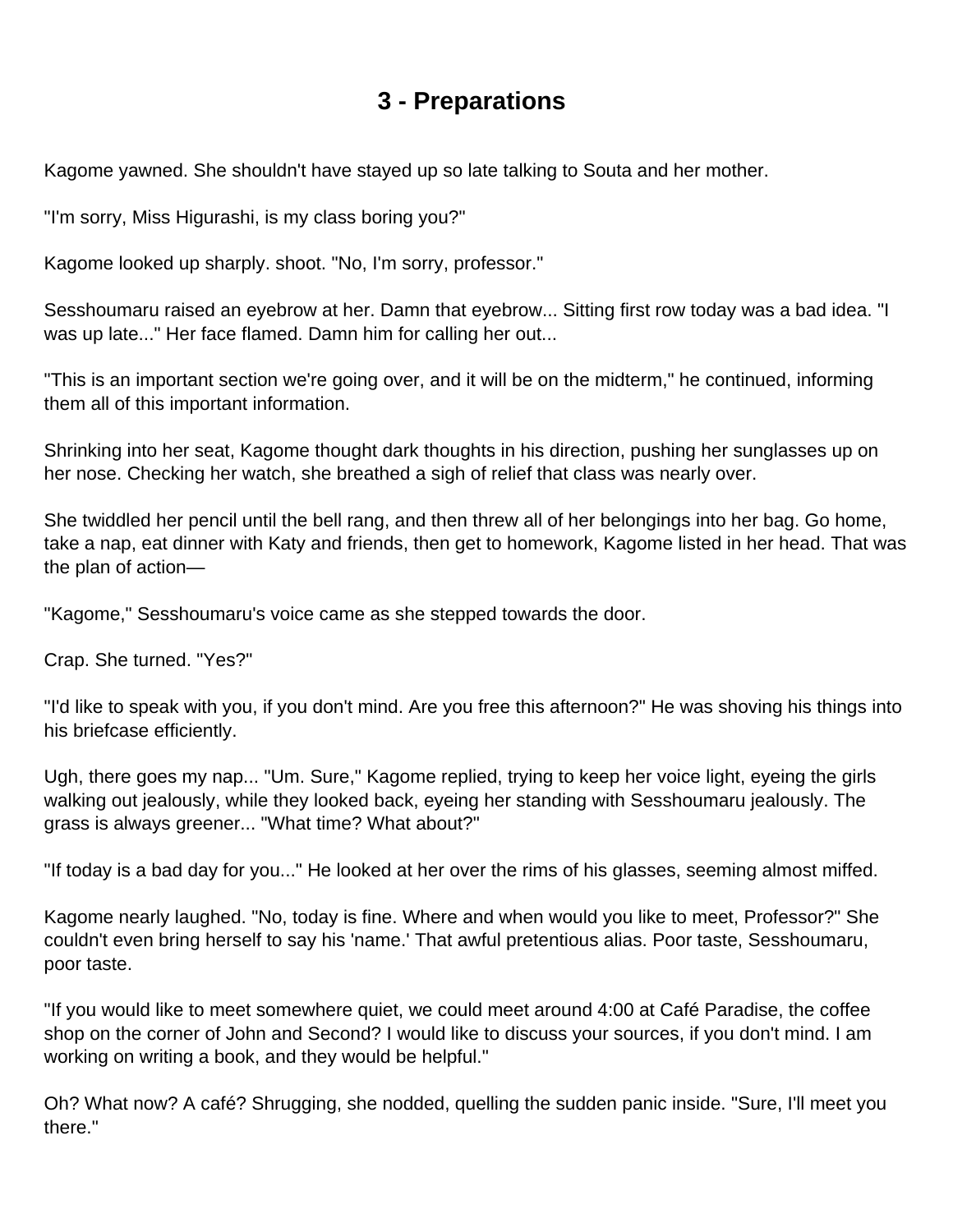### **3 - Preparations**

<span id="page-15-0"></span>Kagome yawned. She shouldn't have stayed up so late talking to Souta and her mother.

"I'm sorry, Miss Higurashi, is my class boring you?"

Kagome looked up sharply. shoot. "No, I'm sorry, professor."

Sesshoumaru raised an eyebrow at her. Damn that eyebrow... Sitting first row today was a bad idea. "I was up late..." Her face flamed. Damn him for calling her out...

"This is an important section we're going over, and it will be on the midterm," he continued, informing them all of this important information.

Shrinking into her seat, Kagome thought dark thoughts in his direction, pushing her sunglasses up on her nose. Checking her watch, she breathed a sigh of relief that class was nearly over.

She twiddled her pencil until the bell rang, and then threw all of her belongings into her bag. Go home, take a nap, eat dinner with Katy and friends, then get to homework, Kagome listed in her head. That was the plan of action—

"Kagome," Sesshoumaru's voice came as she stepped towards the door.

Crap. She turned. "Yes?"

"I'd like to speak with you, if you don't mind. Are you free this afternoon?" He was shoving his things into his briefcase efficiently.

Ugh, there goes my nap... "Um. Sure," Kagome replied, trying to keep her voice light, eyeing the girls walking out jealously, while they looked back, eyeing her standing with Sesshoumaru jealously. The grass is always greener... "What time? What about?"

"If today is a bad day for you..." He looked at her over the rims of his glasses, seeming almost miffed.

Kagome nearly laughed. "No, today is fine. Where and when would you like to meet, Professor?" She couldn't even bring herself to say his 'name.' That awful pretentious alias. Poor taste, Sesshoumaru, poor taste.

"If you would like to meet somewhere quiet, we could meet around 4:00 at Café Paradise, the coffee shop on the corner of John and Second? I would like to discuss your sources, if you don't mind. I am working on writing a book, and they would be helpful."

Oh? What now? A café? Shrugging, she nodded, quelling the sudden panic inside. "Sure, I'll meet you there."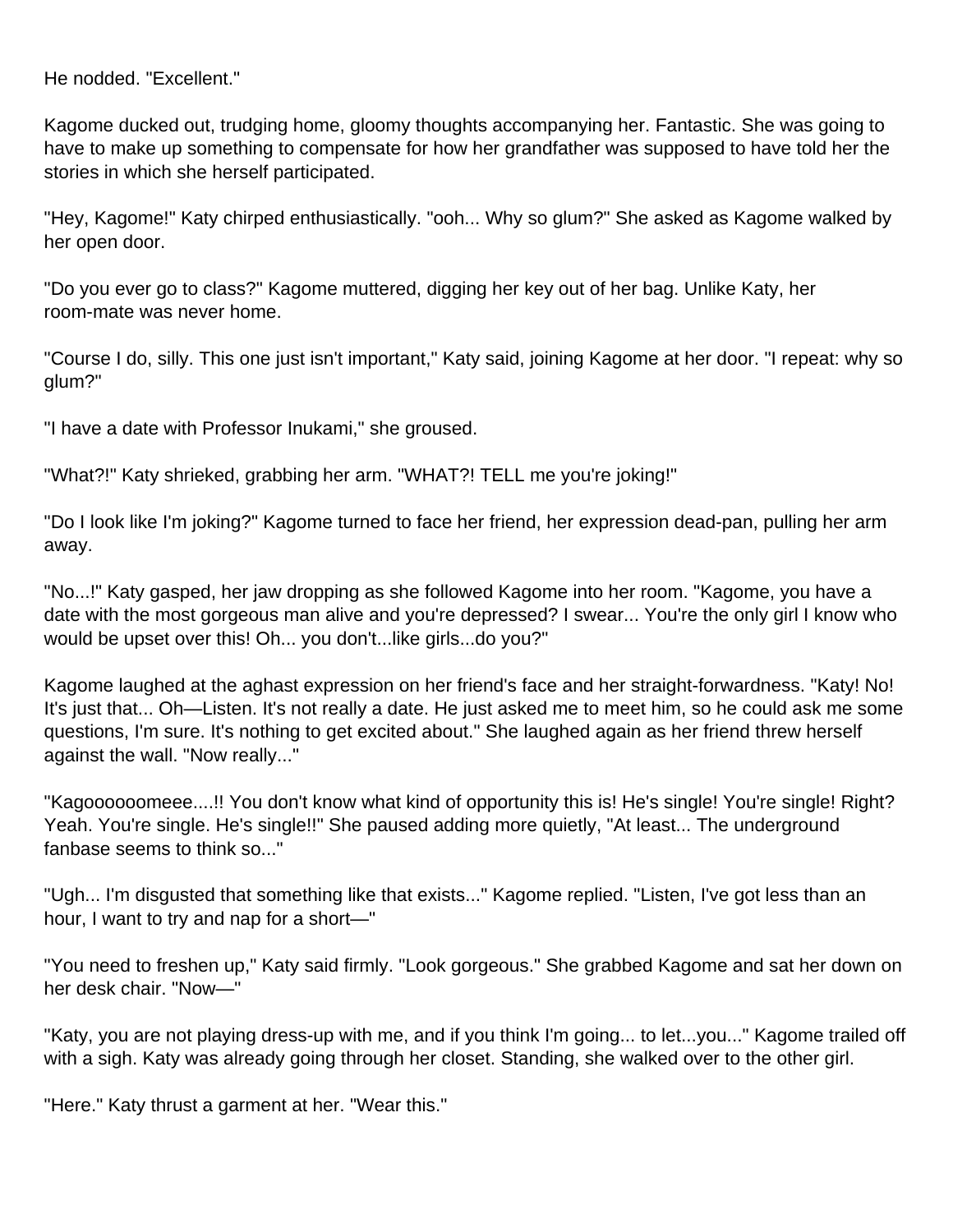He nodded. "Excellent."

Kagome ducked out, trudging home, gloomy thoughts accompanying her. Fantastic. She was going to have to make up something to compensate for how her grandfather was supposed to have told her the stories in which she herself participated.

"Hey, Kagome!" Katy chirped enthusiastically. "ooh... Why so glum?" She asked as Kagome walked by her open door.

"Do you ever go to class?" Kagome muttered, digging her key out of her bag. Unlike Katy, her room-mate was never home.

"Course I do, silly. This one just isn't important," Katy said, joining Kagome at her door. "I repeat: why so glum?"

"I have a date with Professor Inukami," she groused.

"What?!" Katy shrieked, grabbing her arm. "WHAT?! TELL me you're joking!"

"Do I look like I'm joking?" Kagome turned to face her friend, her expression dead-pan, pulling her arm away.

"No...!" Katy gasped, her jaw dropping as she followed Kagome into her room. "Kagome, you have a date with the most gorgeous man alive and you're depressed? I swear... You're the only girl I know who would be upset over this! Oh... you don't...like girls...do you?"

Kagome laughed at the aghast expression on her friend's face and her straight-forwardness. "Katy! No! It's just that... Oh—Listen. It's not really a date. He just asked me to meet him, so he could ask me some questions, I'm sure. It's nothing to get excited about." She laughed again as her friend threw herself against the wall. "Now really..."

"Kagoooooomeee....!! You don't know what kind of opportunity this is! He's single! You're single! Right? Yeah. You're single. He's single!!" She paused adding more quietly, "At least... The underground fanbase seems to think so..."

"Ugh... I'm disgusted that something like that exists..." Kagome replied. "Listen, I've got less than an hour, I want to try and nap for a short—"

"You need to freshen up," Katy said firmly. "Look gorgeous." She grabbed Kagome and sat her down on her desk chair. "Now—"

"Katy, you are not playing dress-up with me, and if you think I'm going... to let...you..." Kagome trailed off with a sigh. Katy was already going through her closet. Standing, she walked over to the other girl.

"Here." Katy thrust a garment at her. "Wear this."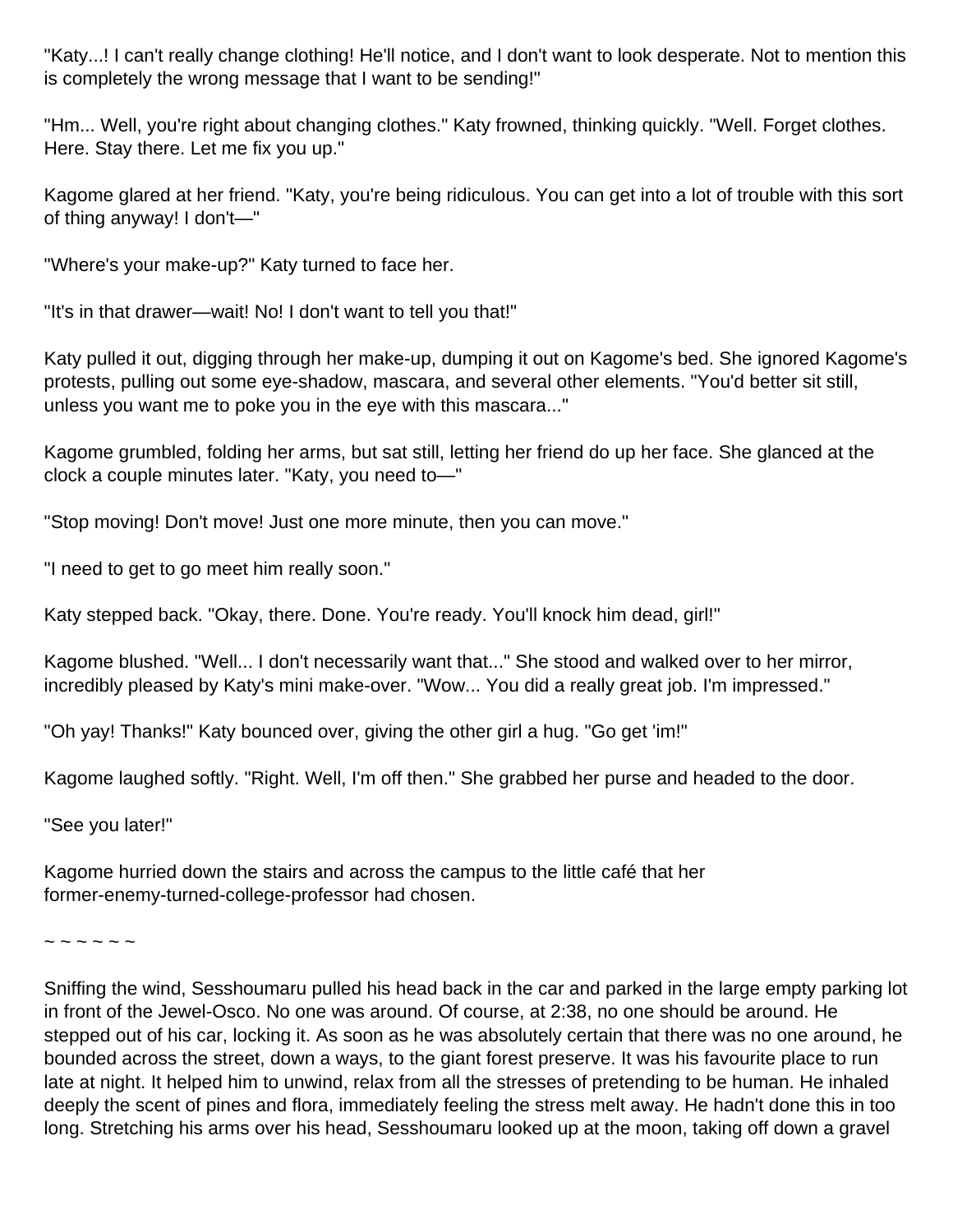"Katy...! I can't really change clothing! He'll notice, and I don't want to look desperate. Not to mention this is completely the wrong message that I want to be sending!"

"Hm... Well, you're right about changing clothes." Katy frowned, thinking quickly. "Well. Forget clothes. Here. Stay there. Let me fix you up."

Kagome glared at her friend. "Katy, you're being ridiculous. You can get into a lot of trouble with this sort of thing anyway! I don't—"

"Where's your make-up?" Katy turned to face her.

"It's in that drawer—wait! No! I don't want to tell you that!"

Katy pulled it out, digging through her make-up, dumping it out on Kagome's bed. She ignored Kagome's protests, pulling out some eye-shadow, mascara, and several other elements. "You'd better sit still, unless you want me to poke you in the eye with this mascara..."

Kagome grumbled, folding her arms, but sat still, letting her friend do up her face. She glanced at the clock a couple minutes later. "Katy, you need to—"

"Stop moving! Don't move! Just one more minute, then you can move."

"I need to get to go meet him really soon."

Katy stepped back. "Okay, there. Done. You're ready. You'll knock him dead, girl!"

Kagome blushed. "Well... I don't necessarily want that..." She stood and walked over to her mirror, incredibly pleased by Katy's mini make-over. "Wow... You did a really great job. I'm impressed."

"Oh yay! Thanks!" Katy bounced over, giving the other girl a hug. "Go get 'im!"

Kagome laughed softly. "Right. Well, I'm off then." She grabbed her purse and headed to the door.

"See you later!"

Kagome hurried down the stairs and across the campus to the little café that her former-enemy-turned-college-professor had chosen.

 $\sim$   $\sim$   $\sim$   $\sim$   $\sim$ 

Sniffing the wind, Sesshoumaru pulled his head back in the car and parked in the large empty parking lot in front of the Jewel-Osco. No one was around. Of course, at 2:38, no one should be around. He stepped out of his car, locking it. As soon as he was absolutely certain that there was no one around, he bounded across the street, down a ways, to the giant forest preserve. It was his favourite place to run late at night. It helped him to unwind, relax from all the stresses of pretending to be human. He inhaled deeply the scent of pines and flora, immediately feeling the stress melt away. He hadn't done this in too long. Stretching his arms over his head, Sesshoumaru looked up at the moon, taking off down a gravel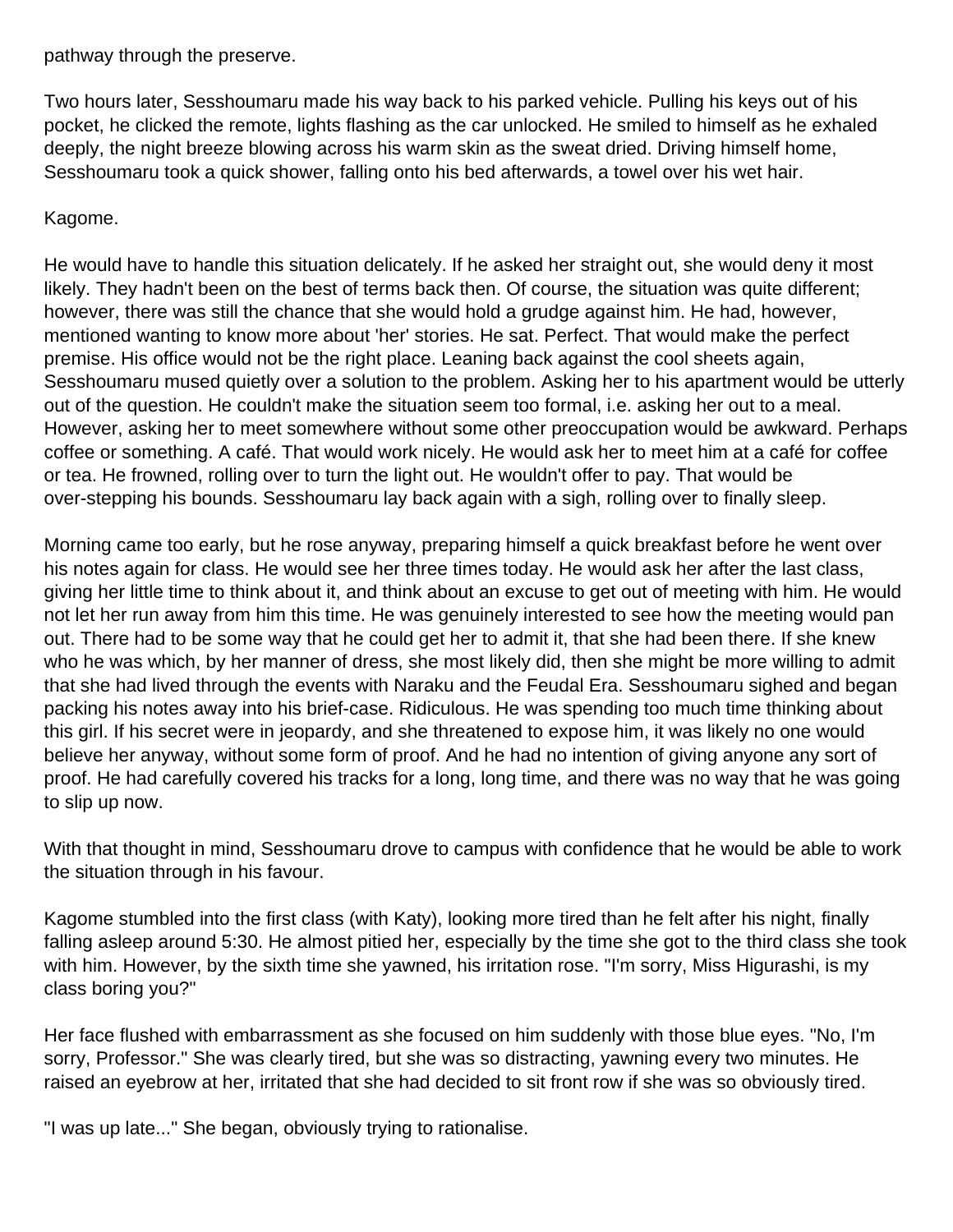pathway through the preserve.

Two hours later, Sesshoumaru made his way back to his parked vehicle. Pulling his keys out of his pocket, he clicked the remote, lights flashing as the car unlocked. He smiled to himself as he exhaled deeply, the night breeze blowing across his warm skin as the sweat dried. Driving himself home, Sesshoumaru took a quick shower, falling onto his bed afterwards, a towel over his wet hair.

### Kagome.

He would have to handle this situation delicately. If he asked her straight out, she would deny it most likely. They hadn't been on the best of terms back then. Of course, the situation was quite different; however, there was still the chance that she would hold a grudge against him. He had, however, mentioned wanting to know more about 'her' stories. He sat. Perfect. That would make the perfect premise. His office would not be the right place. Leaning back against the cool sheets again, Sesshoumaru mused quietly over a solution to the problem. Asking her to his apartment would be utterly out of the question. He couldn't make the situation seem too formal, i.e. asking her out to a meal. However, asking her to meet somewhere without some other preoccupation would be awkward. Perhaps coffee or something. A café. That would work nicely. He would ask her to meet him at a café for coffee or tea. He frowned, rolling over to turn the light out. He wouldn't offer to pay. That would be over-stepping his bounds. Sesshoumaru lay back again with a sigh, rolling over to finally sleep.

Morning came too early, but he rose anyway, preparing himself a quick breakfast before he went over his notes again for class. He would see her three times today. He would ask her after the last class, giving her little time to think about it, and think about an excuse to get out of meeting with him. He would not let her run away from him this time. He was genuinely interested to see how the meeting would pan out. There had to be some way that he could get her to admit it, that she had been there. If she knew who he was which, by her manner of dress, she most likely did, then she might be more willing to admit that she had lived through the events with Naraku and the Feudal Era. Sesshoumaru sighed and began packing his notes away into his brief-case. Ridiculous. He was spending too much time thinking about this girl. If his secret were in jeopardy, and she threatened to expose him, it was likely no one would believe her anyway, without some form of proof. And he had no intention of giving anyone any sort of proof. He had carefully covered his tracks for a long, long time, and there was no way that he was going to slip up now.

With that thought in mind, Sesshoumaru drove to campus with confidence that he would be able to work the situation through in his favour.

Kagome stumbled into the first class (with Katy), looking more tired than he felt after his night, finally falling asleep around 5:30. He almost pitied her, especially by the time she got to the third class she took with him. However, by the sixth time she yawned, his irritation rose. "I'm sorry, Miss Higurashi, is my class boring you?"

Her face flushed with embarrassment as she focused on him suddenly with those blue eyes. "No, I'm sorry, Professor." She was clearly tired, but she was so distracting, yawning every two minutes. He raised an eyebrow at her, irritated that she had decided to sit front row if she was so obviously tired.

"I was up late..." She began, obviously trying to rationalise.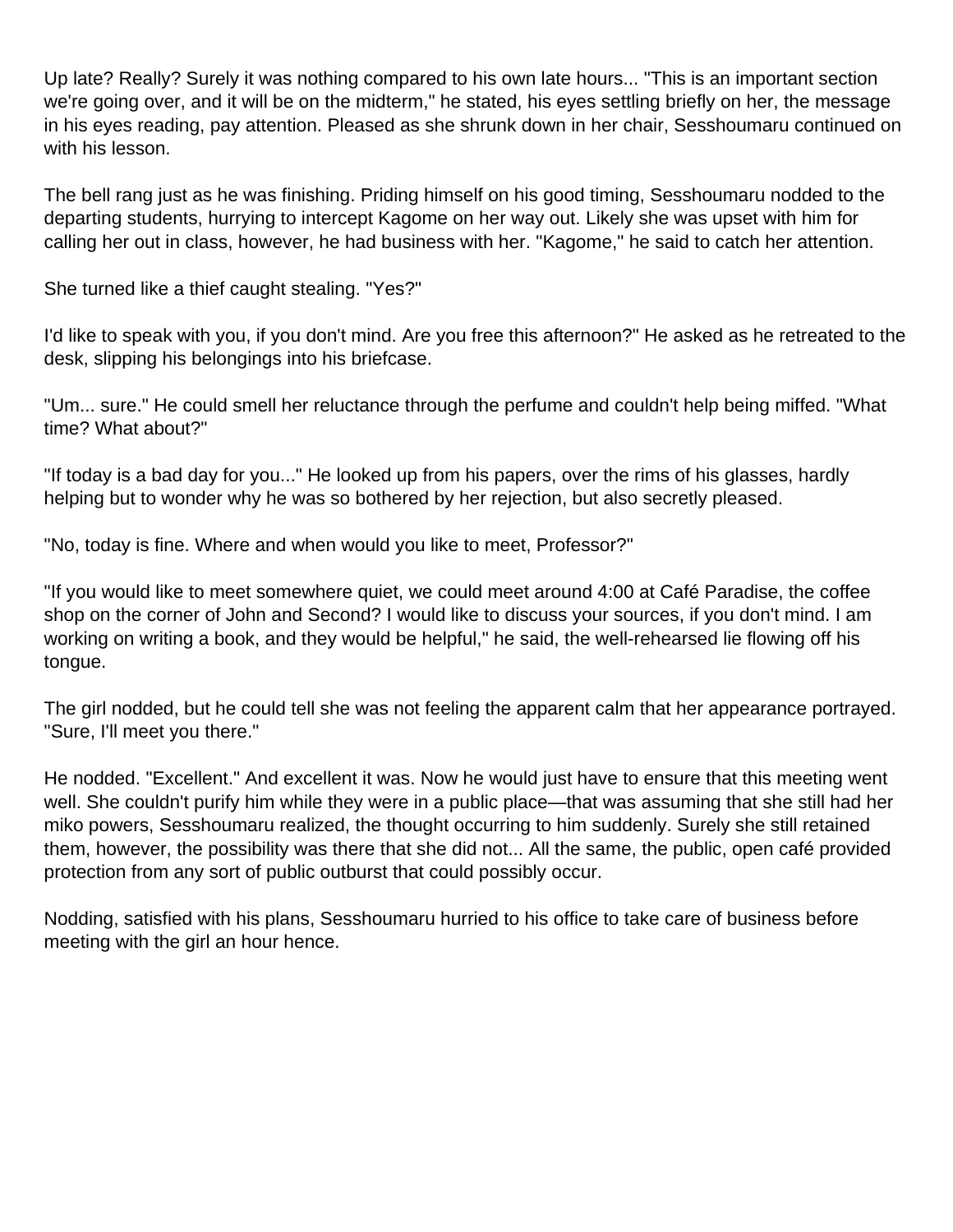Up late? Really? Surely it was nothing compared to his own late hours... "This is an important section we're going over, and it will be on the midterm," he stated, his eyes settling briefly on her, the message in his eyes reading, pay attention. Pleased as she shrunk down in her chair, Sesshoumaru continued on with his lesson.

The bell rang just as he was finishing. Priding himself on his good timing, Sesshoumaru nodded to the departing students, hurrying to intercept Kagome on her way out. Likely she was upset with him for calling her out in class, however, he had business with her. "Kagome," he said to catch her attention.

She turned like a thief caught stealing. "Yes?"

I'd like to speak with you, if you don't mind. Are you free this afternoon?" He asked as he retreated to the desk, slipping his belongings into his briefcase.

"Um... sure." He could smell her reluctance through the perfume and couldn't help being miffed. "What time? What about?"

"If today is a bad day for you..." He looked up from his papers, over the rims of his glasses, hardly helping but to wonder why he was so bothered by her rejection, but also secretly pleased.

"No, today is fine. Where and when would you like to meet, Professor?"

"If you would like to meet somewhere quiet, we could meet around 4:00 at Café Paradise, the coffee shop on the corner of John and Second? I would like to discuss your sources, if you don't mind. I am working on writing a book, and they would be helpful," he said, the well-rehearsed lie flowing off his tongue.

The girl nodded, but he could tell she was not feeling the apparent calm that her appearance portrayed. "Sure, I'll meet you there."

He nodded. "Excellent." And excellent it was. Now he would just have to ensure that this meeting went well. She couldn't purify him while they were in a public place—that was assuming that she still had her miko powers, Sesshoumaru realized, the thought occurring to him suddenly. Surely she still retained them, however, the possibility was there that she did not... All the same, the public, open café provided protection from any sort of public outburst that could possibly occur.

Nodding, satisfied with his plans, Sesshoumaru hurried to his office to take care of business before meeting with the girl an hour hence.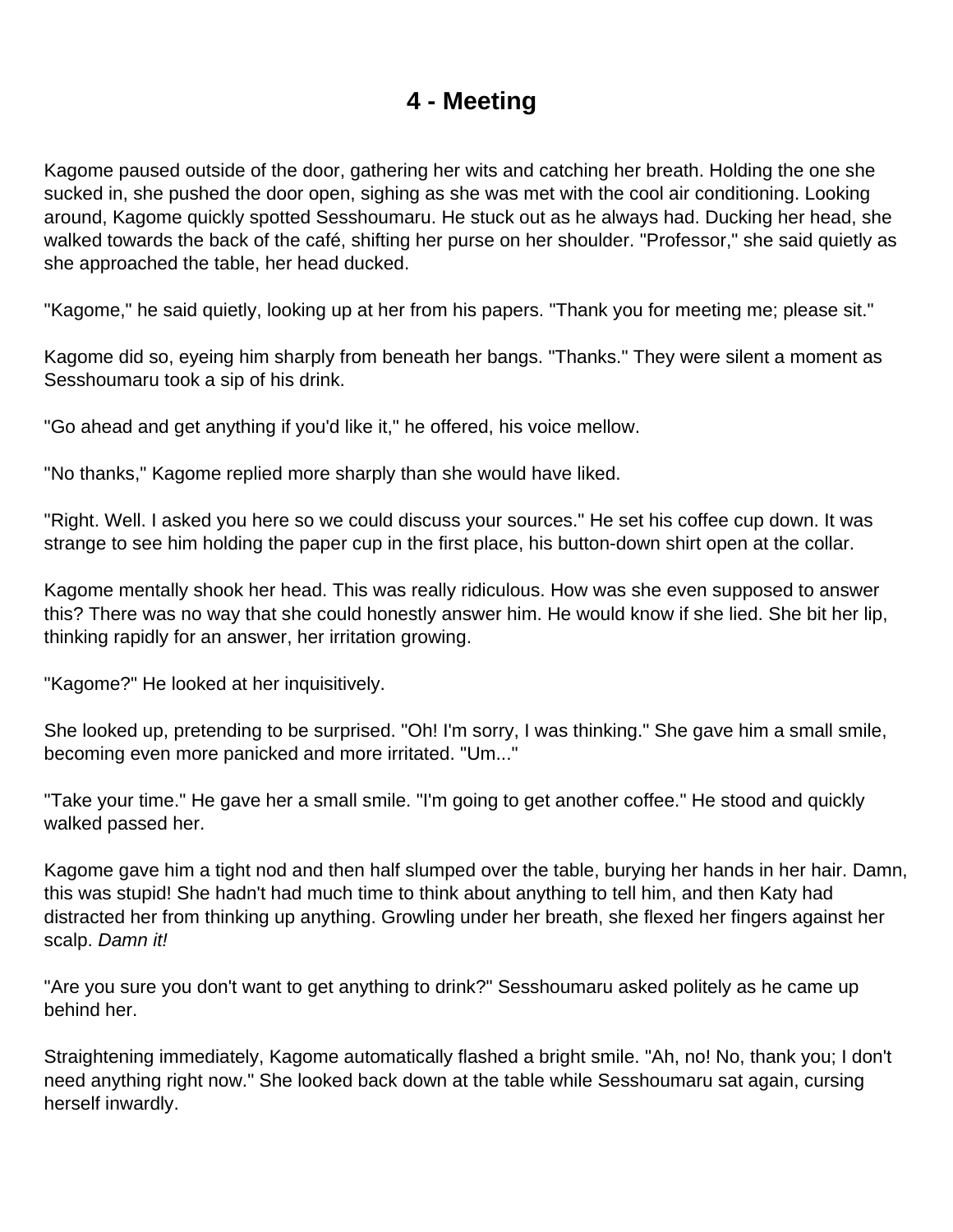### **4 - Meeting**

<span id="page-20-0"></span>Kagome paused outside of the door, gathering her wits and catching her breath. Holding the one she sucked in, she pushed the door open, sighing as she was met with the cool air conditioning. Looking around, Kagome quickly spotted Sesshoumaru. He stuck out as he always had. Ducking her head, she walked towards the back of the café, shifting her purse on her shoulder. "Professor," she said quietly as she approached the table, her head ducked.

"Kagome," he said quietly, looking up at her from his papers. "Thank you for meeting me; please sit."

Kagome did so, eyeing him sharply from beneath her bangs. "Thanks." They were silent a moment as Sesshoumaru took a sip of his drink.

"Go ahead and get anything if you'd like it," he offered, his voice mellow.

"No thanks," Kagome replied more sharply than she would have liked.

"Right. Well. I asked you here so we could discuss your sources." He set his coffee cup down. It was strange to see him holding the paper cup in the first place, his button-down shirt open at the collar.

Kagome mentally shook her head. This was really ridiculous. How was she even supposed to answer this? There was no way that she could honestly answer him. He would know if she lied. She bit her lip, thinking rapidly for an answer, her irritation growing.

"Kagome?" He looked at her inquisitively.

She looked up, pretending to be surprised. "Oh! I'm sorry, I was thinking." She gave him a small smile, becoming even more panicked and more irritated. "Um..."

"Take your time." He gave her a small smile. "I'm going to get another coffee." He stood and quickly walked passed her.

Kagome gave him a tight nod and then half slumped over the table, burying her hands in her hair. Damn, this was stupid! She hadn't had much time to think about anything to tell him, and then Katy had distracted her from thinking up anything. Growling under her breath, she flexed her fingers against her scalp. Damn it!

"Are you sure you don't want to get anything to drink?" Sesshoumaru asked politely as he came up behind her.

Straightening immediately, Kagome automatically flashed a bright smile. "Ah, no! No, thank you; I don't need anything right now." She looked back down at the table while Sesshoumaru sat again, cursing herself inwardly.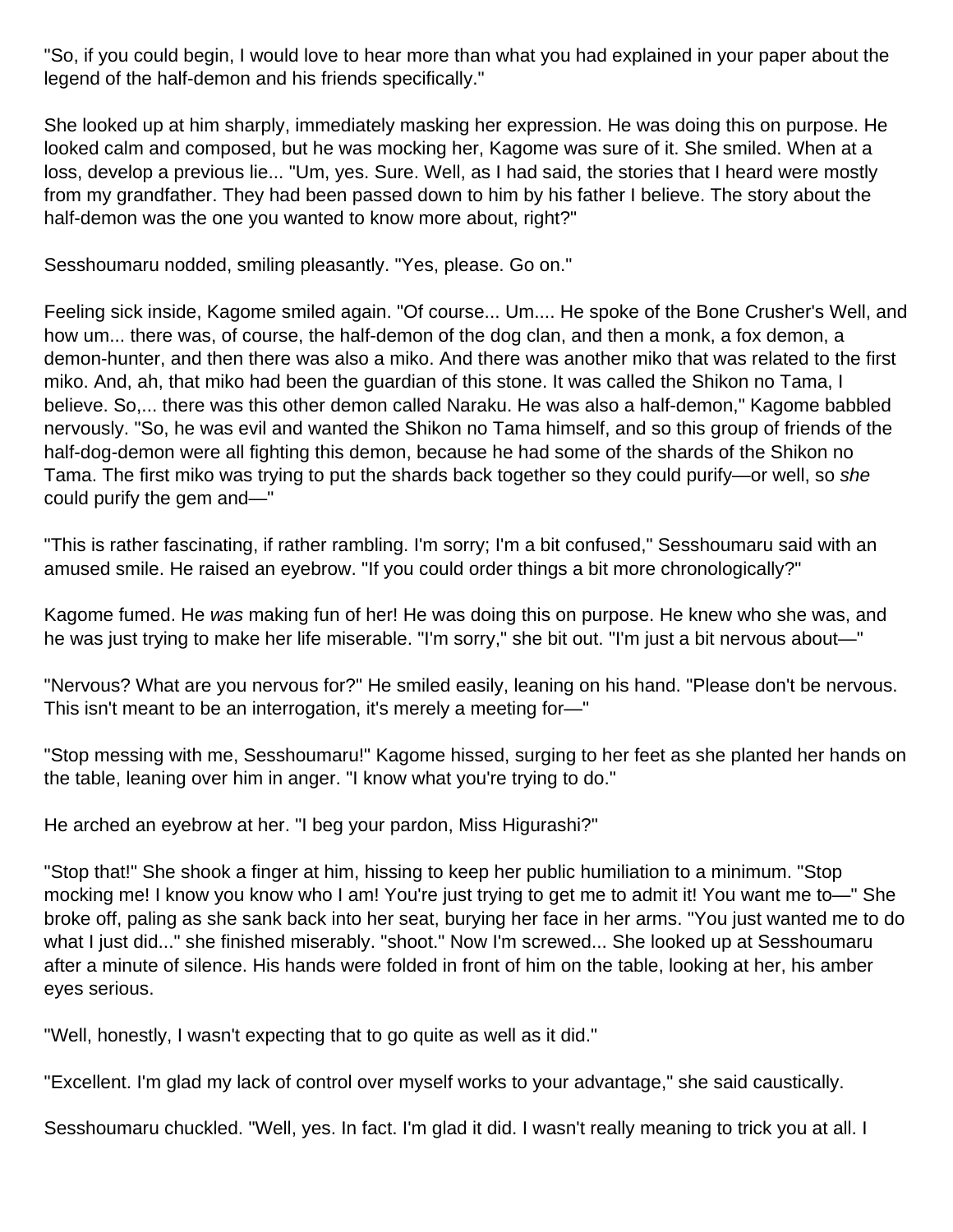"So, if you could begin, I would love to hear more than what you had explained in your paper about the legend of the half-demon and his friends specifically."

She looked up at him sharply, immediately masking her expression. He was doing this on purpose. He looked calm and composed, but he was mocking her, Kagome was sure of it. She smiled. When at a loss, develop a previous lie... "Um, yes. Sure. Well, as I had said, the stories that I heard were mostly from my grandfather. They had been passed down to him by his father I believe. The story about the half-demon was the one you wanted to know more about, right?"

Sesshoumaru nodded, smiling pleasantly. "Yes, please. Go on."

Feeling sick inside, Kagome smiled again. "Of course... Um.... He spoke of the Bone Crusher's Well, and how um... there was, of course, the half-demon of the dog clan, and then a monk, a fox demon, a demon-hunter, and then there was also a miko. And there was another miko that was related to the first miko. And, ah, that miko had been the guardian of this stone. It was called the Shikon no Tama, I believe. So,... there was this other demon called Naraku. He was also a half-demon," Kagome babbled nervously. "So, he was evil and wanted the Shikon no Tama himself, and so this group of friends of the half-dog-demon were all fighting this demon, because he had some of the shards of the Shikon no Tama. The first miko was trying to put the shards back together so they could purify—or well, so she could purify the gem and—"

"This is rather fascinating, if rather rambling. I'm sorry; I'm a bit confused," Sesshoumaru said with an amused smile. He raised an eyebrow. "If you could order things a bit more chronologically?"

Kagome fumed. He was making fun of her! He was doing this on purpose. He knew who she was, and he was just trying to make her life miserable. "I'm sorry," she bit out. "I'm just a bit nervous about—"

"Nervous? What are you nervous for?" He smiled easily, leaning on his hand. "Please don't be nervous. This isn't meant to be an interrogation, it's merely a meeting for—"

"Stop messing with me, Sesshoumaru!" Kagome hissed, surging to her feet as she planted her hands on the table, leaning over him in anger. "I know what you're trying to do."

He arched an eyebrow at her. "I beg your pardon, Miss Higurashi?"

"Stop that!" She shook a finger at him, hissing to keep her public humiliation to a minimum. "Stop mocking me! I know you know who I am! You're just trying to get me to admit it! You want me to—" She broke off, paling as she sank back into her seat, burying her face in her arms. "You just wanted me to do what I just did..." she finished miserably. "shoot." Now I'm screwed... She looked up at Sesshoumaru after a minute of silence. His hands were folded in front of him on the table, looking at her, his amber eyes serious.

"Well, honestly, I wasn't expecting that to go quite as well as it did."

"Excellent. I'm glad my lack of control over myself works to your advantage," she said caustically.

Sesshoumaru chuckled. "Well, yes. In fact. I'm glad it did. I wasn't really meaning to trick you at all. I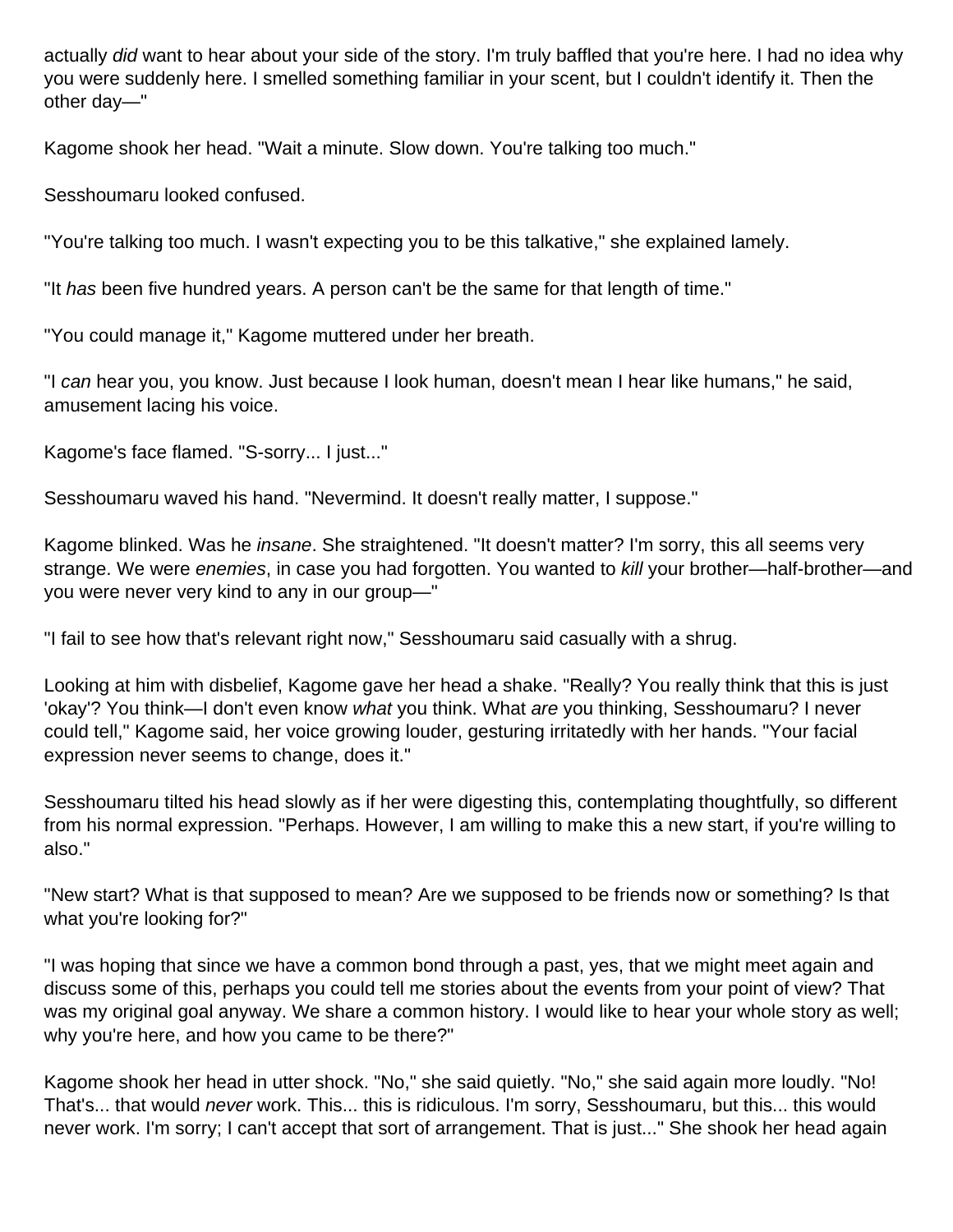actually did want to hear about your side of the story. I'm truly baffled that you're here. I had no idea why you were suddenly here. I smelled something familiar in your scent, but I couldn't identify it. Then the other day—"

Kagome shook her head. "Wait a minute. Slow down. You're talking too much."

Sesshoumaru looked confused.

"You're talking too much. I wasn't expecting you to be this talkative," she explained lamely.

"It has been five hundred years. A person can't be the same for that length of time."

"You could manage it," Kagome muttered under her breath.

"I can hear you, you know. Just because I look human, doesn't mean I hear like humans," he said, amusement lacing his voice.

Kagome's face flamed. "S-sorry... I just..."

Sesshoumaru waved his hand. "Nevermind. It doesn't really matter, I suppose."

Kagome blinked. Was he *insane*. She straightened. "It doesn't matter? I'm sorry, this all seems very strange. We were enemies, in case you had forgotten. You wanted to kill your brother—half-brother—and you were never very kind to any in our group—"

"I fail to see how that's relevant right now," Sesshoumaru said casually with a shrug.

Looking at him with disbelief, Kagome gave her head a shake. "Really? You really think that this is just 'okay'? You think—I don't even know what you think. What are you thinking, Sesshoumaru? I never could tell," Kagome said, her voice growing louder, gesturing irritatedly with her hands. "Your facial expression never seems to change, does it."

Sesshoumaru tilted his head slowly as if her were digesting this, contemplating thoughtfully, so different from his normal expression. "Perhaps. However, I am willing to make this a new start, if you're willing to also."

"New start? What is that supposed to mean? Are we supposed to be friends now or something? Is that what you're looking for?"

"I was hoping that since we have a common bond through a past, yes, that we might meet again and discuss some of this, perhaps you could tell me stories about the events from your point of view? That was my original goal anyway. We share a common history. I would like to hear your whole story as well; why you're here, and how you came to be there?"

Kagome shook her head in utter shock. "No," she said quietly. "No," she said again more loudly. "No! That's... that would *never* work. This... this is ridiculous. I'm sorry, Sesshoumaru, but this... this would never work. I'm sorry; I can't accept that sort of arrangement. That is just..." She shook her head again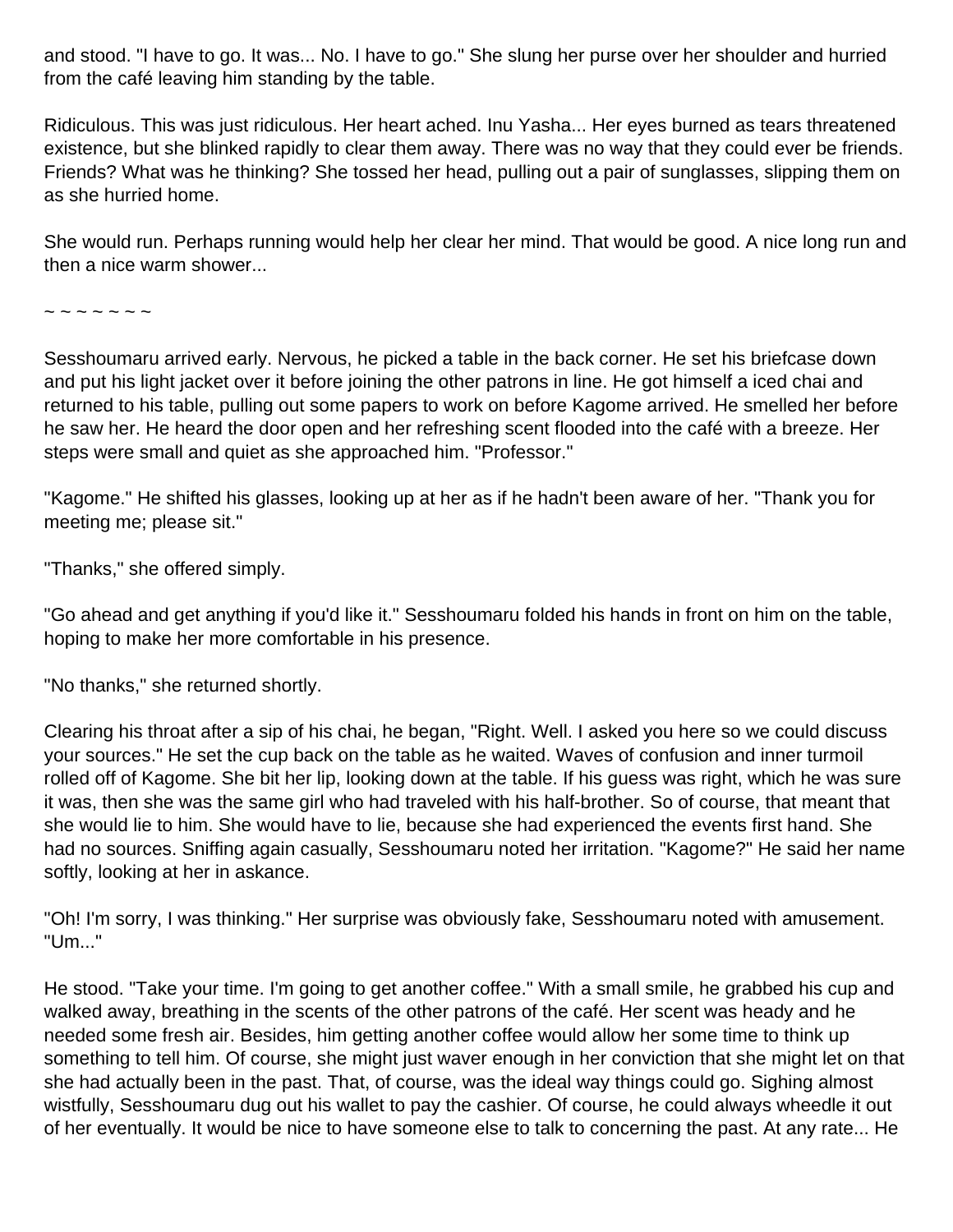and stood. "I have to go. It was... No. I have to go." She slung her purse over her shoulder and hurried from the café leaving him standing by the table.

Ridiculous. This was just ridiculous. Her heart ached. Inu Yasha... Her eyes burned as tears threatened existence, but she blinked rapidly to clear them away. There was no way that they could ever be friends. Friends? What was he thinking? She tossed her head, pulling out a pair of sunglasses, slipping them on as she hurried home.

She would run. Perhaps running would help her clear her mind. That would be good. A nice long run and then a nice warm shower...

~ ~ ~ ~ ~ ~ ~

Sesshoumaru arrived early. Nervous, he picked a table in the back corner. He set his briefcase down and put his light jacket over it before joining the other patrons in line. He got himself a iced chai and returned to his table, pulling out some papers to work on before Kagome arrived. He smelled her before he saw her. He heard the door open and her refreshing scent flooded into the café with a breeze. Her steps were small and quiet as she approached him. "Professor."

"Kagome." He shifted his glasses, looking up at her as if he hadn't been aware of her. "Thank you for meeting me; please sit."

"Thanks," she offered simply.

"Go ahead and get anything if you'd like it." Sesshoumaru folded his hands in front on him on the table, hoping to make her more comfortable in his presence.

"No thanks," she returned shortly.

Clearing his throat after a sip of his chai, he began, "Right. Well. I asked you here so we could discuss your sources." He set the cup back on the table as he waited. Waves of confusion and inner turmoil rolled off of Kagome. She bit her lip, looking down at the table. If his guess was right, which he was sure it was, then she was the same girl who had traveled with his half-brother. So of course, that meant that she would lie to him. She would have to lie, because she had experienced the events first hand. She had no sources. Sniffing again casually, Sesshoumaru noted her irritation. "Kagome?" He said her name softly, looking at her in askance.

"Oh! I'm sorry, I was thinking." Her surprise was obviously fake, Sesshoumaru noted with amusement. "Um..."

He stood. "Take your time. I'm going to get another coffee." With a small smile, he grabbed his cup and walked away, breathing in the scents of the other patrons of the café. Her scent was heady and he needed some fresh air. Besides, him getting another coffee would allow her some time to think up something to tell him. Of course, she might just waver enough in her conviction that she might let on that she had actually been in the past. That, of course, was the ideal way things could go. Sighing almost wistfully, Sesshoumaru dug out his wallet to pay the cashier. Of course, he could always wheedle it out of her eventually. It would be nice to have someone else to talk to concerning the past. At any rate... He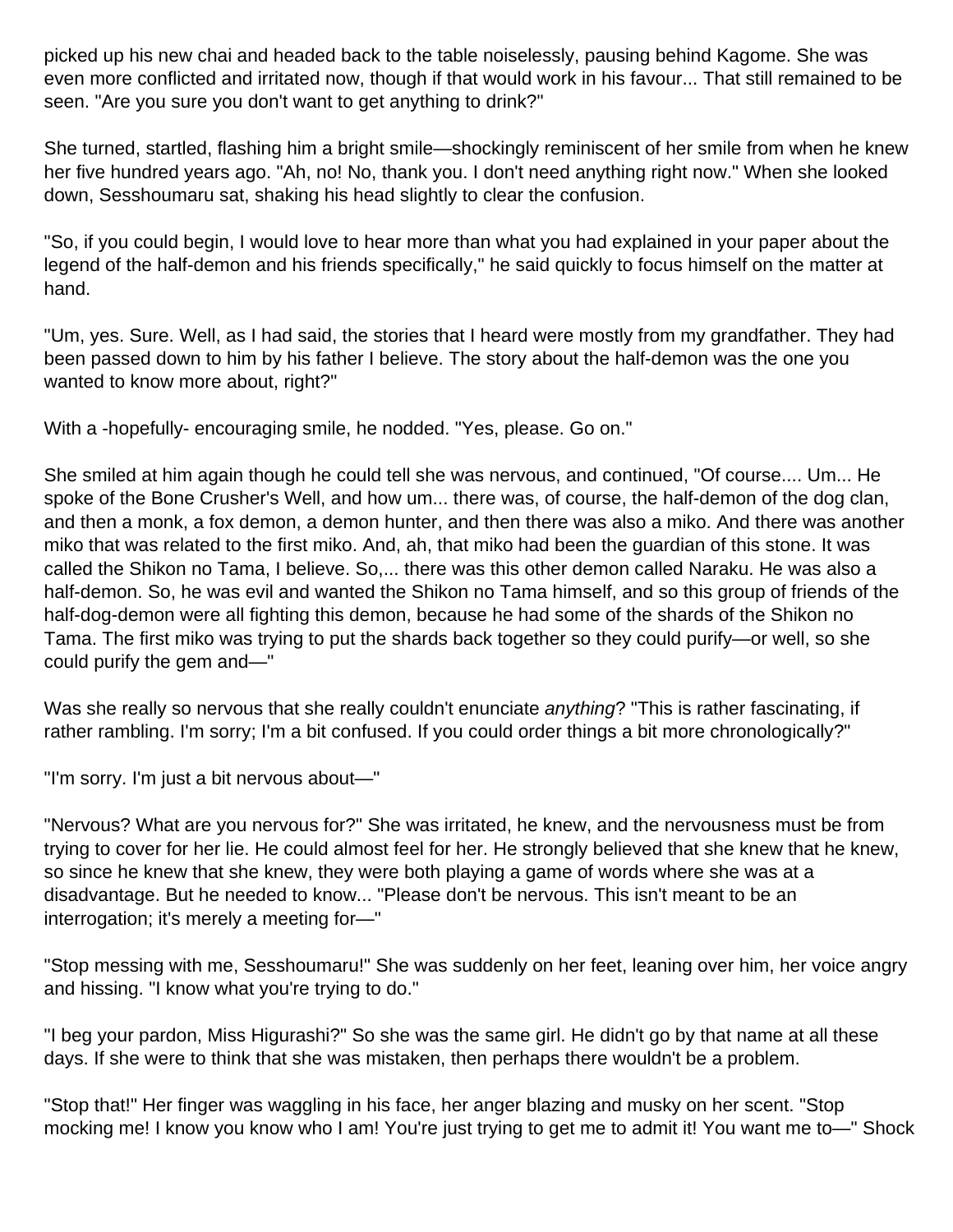picked up his new chai and headed back to the table noiselessly, pausing behind Kagome. She was even more conflicted and irritated now, though if that would work in his favour... That still remained to be seen. "Are you sure you don't want to get anything to drink?"

She turned, startled, flashing him a bright smile—shockingly reminiscent of her smile from when he knew her five hundred years ago. "Ah, no! No, thank you. I don't need anything right now." When she looked down, Sesshoumaru sat, shaking his head slightly to clear the confusion.

"So, if you could begin, I would love to hear more than what you had explained in your paper about the legend of the half-demon and his friends specifically," he said quickly to focus himself on the matter at hand.

"Um, yes. Sure. Well, as I had said, the stories that I heard were mostly from my grandfather. They had been passed down to him by his father I believe. The story about the half-demon was the one you wanted to know more about, right?"

With a -hopefully- encouraging smile, he nodded. "Yes, please. Go on."

She smiled at him again though he could tell she was nervous, and continued, "Of course.... Um... He spoke of the Bone Crusher's Well, and how um... there was, of course, the half-demon of the dog clan, and then a monk, a fox demon, a demon hunter, and then there was also a miko. And there was another miko that was related to the first miko. And, ah, that miko had been the guardian of this stone. It was called the Shikon no Tama, I believe. So,... there was this other demon called Naraku. He was also a half-demon. So, he was evil and wanted the Shikon no Tama himself, and so this group of friends of the half-dog-demon were all fighting this demon, because he had some of the shards of the Shikon no Tama. The first miko was trying to put the shards back together so they could purify—or well, so she could purify the gem and—"

Was she really so nervous that she really couldn't enunciate anything? "This is rather fascinating, if rather rambling. I'm sorry; I'm a bit confused. If you could order things a bit more chronologically?"

"I'm sorry. I'm just a bit nervous about—"

"Nervous? What are you nervous for?" She was irritated, he knew, and the nervousness must be from trying to cover for her lie. He could almost feel for her. He strongly believed that she knew that he knew, so since he knew that she knew, they were both playing a game of words where she was at a disadvantage. But he needed to know... "Please don't be nervous. This isn't meant to be an interrogation; it's merely a meeting for—"

"Stop messing with me, Sesshoumaru!" She was suddenly on her feet, leaning over him, her voice angry and hissing. "I know what you're trying to do."

"I beg your pardon, Miss Higurashi?" So she was the same girl. He didn't go by that name at all these days. If she were to think that she was mistaken, then perhaps there wouldn't be a problem.

"Stop that!" Her finger was waggling in his face, her anger blazing and musky on her scent. "Stop mocking me! I know you know who I am! You're just trying to get me to admit it! You want me to—" Shock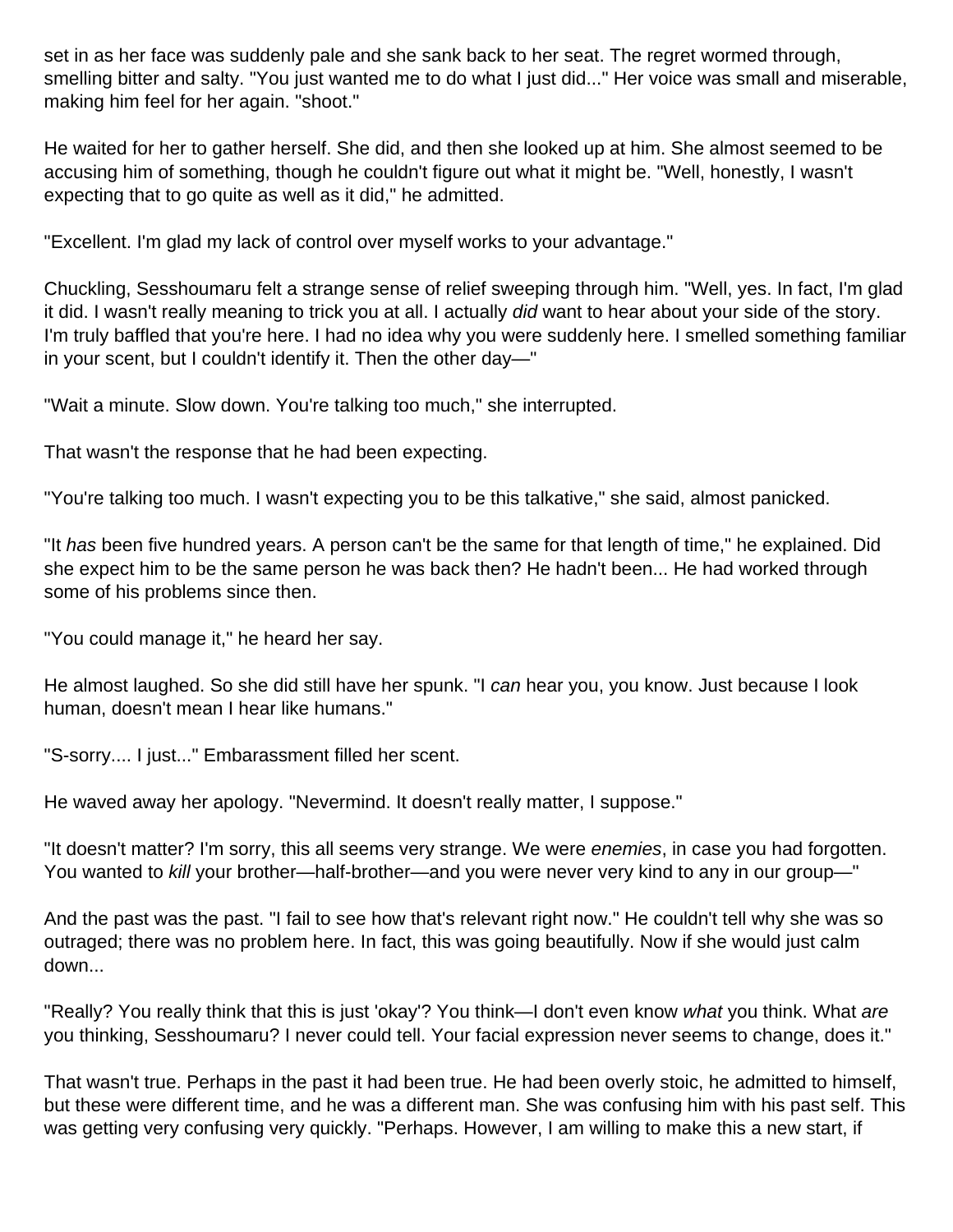set in as her face was suddenly pale and she sank back to her seat. The regret wormed through, smelling bitter and salty. "You just wanted me to do what I just did..." Her voice was small and miserable, making him feel for her again. "shoot."

He waited for her to gather herself. She did, and then she looked up at him. She almost seemed to be accusing him of something, though he couldn't figure out what it might be. "Well, honestly, I wasn't expecting that to go quite as well as it did," he admitted.

"Excellent. I'm glad my lack of control over myself works to your advantage."

Chuckling, Sesshoumaru felt a strange sense of relief sweeping through him. "Well, yes. In fact, I'm glad it did. I wasn't really meaning to trick you at all. I actually did want to hear about your side of the story. I'm truly baffled that you're here. I had no idea why you were suddenly here. I smelled something familiar in your scent, but I couldn't identify it. Then the other day—"

"Wait a minute. Slow down. You're talking too much," she interrupted.

That wasn't the response that he had been expecting.

"You're talking too much. I wasn't expecting you to be this talkative," she said, almost panicked.

"It has been five hundred years. A person can't be the same for that length of time," he explained. Did she expect him to be the same person he was back then? He hadn't been... He had worked through some of his problems since then.

"You could manage it," he heard her say.

He almost laughed. So she did still have her spunk. "I can hear you, you know. Just because I look human, doesn't mean I hear like humans."

"S-sorry.... I just..." Embarassment filled her scent.

He waved away her apology. "Nevermind. It doesn't really matter, I suppose."

"It doesn't matter? I'm sorry, this all seems very strange. We were enemies, in case you had forgotten. You wanted to kill your brother—half-brother—and you were never very kind to any in our group—"

And the past was the past. "I fail to see how that's relevant right now." He couldn't tell why she was so outraged; there was no problem here. In fact, this was going beautifully. Now if she would just calm down...

"Really? You really think that this is just 'okay'? You think—I don't even know what you think. What are you thinking, Sesshoumaru? I never could tell. Your facial expression never seems to change, does it."

That wasn't true. Perhaps in the past it had been true. He had been overly stoic, he admitted to himself, but these were different time, and he was a different man. She was confusing him with his past self. This was getting very confusing very quickly. "Perhaps. However, I am willing to make this a new start, if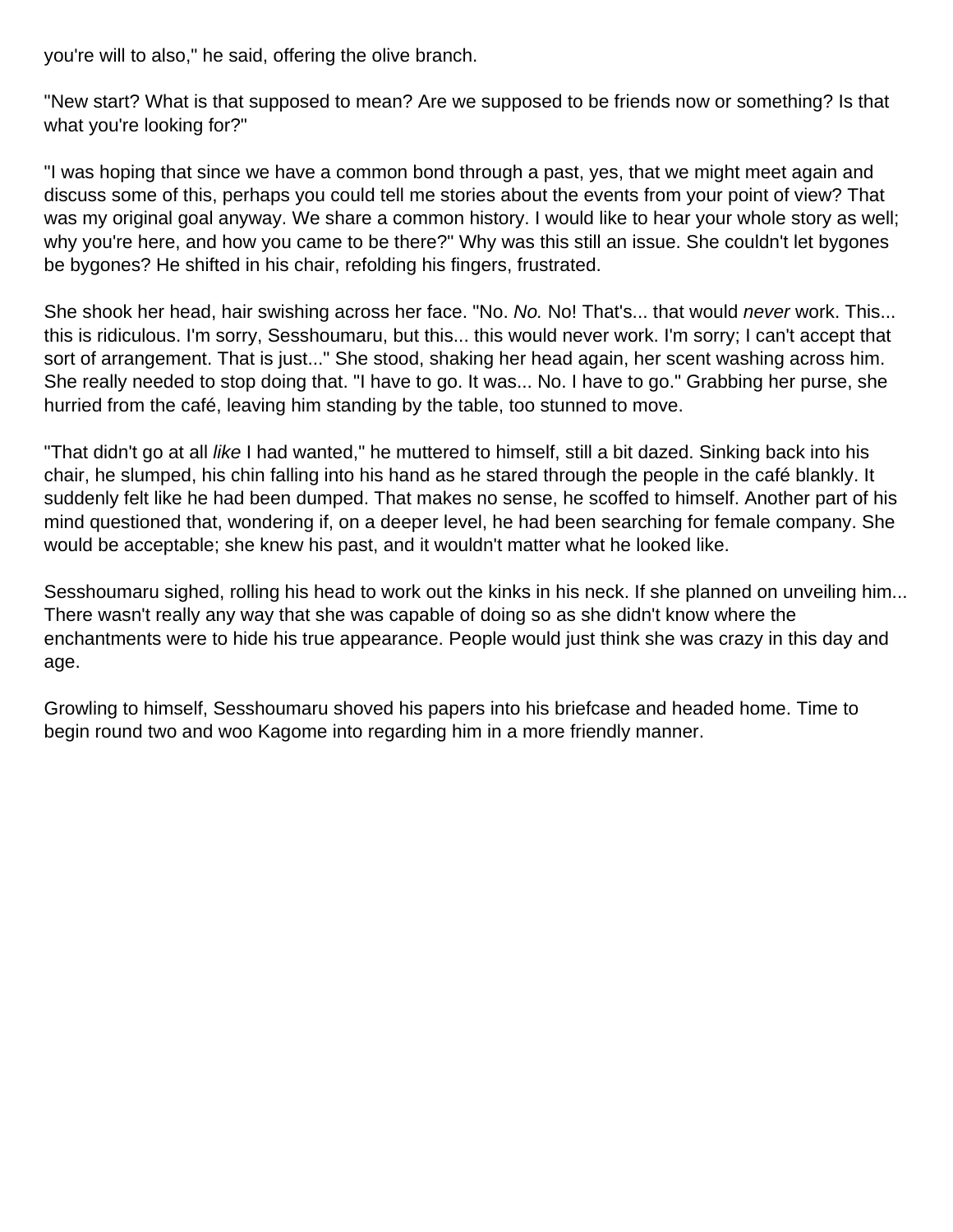you're will to also," he said, offering the olive branch.

"New start? What is that supposed to mean? Are we supposed to be friends now or something? Is that what you're looking for?"

"I was hoping that since we have a common bond through a past, yes, that we might meet again and discuss some of this, perhaps you could tell me stories about the events from your point of view? That was my original goal anyway. We share a common history. I would like to hear your whole story as well; why you're here, and how you came to be there?" Why was this still an issue. She couldn't let bygones be bygones? He shifted in his chair, refolding his fingers, frustrated.

She shook her head, hair swishing across her face. "No. No. No! That's... that would never work. This... this is ridiculous. I'm sorry, Sesshoumaru, but this... this would never work. I'm sorry; I can't accept that sort of arrangement. That is just..." She stood, shaking her head again, her scent washing across him. She really needed to stop doing that. "I have to go. It was... No. I have to go." Grabbing her purse, she hurried from the café, leaving him standing by the table, too stunned to move.

"That didn't go at all *like* I had wanted," he muttered to himself, still a bit dazed. Sinking back into his chair, he slumped, his chin falling into his hand as he stared through the people in the café blankly. It suddenly felt like he had been dumped. That makes no sense, he scoffed to himself. Another part of his mind questioned that, wondering if, on a deeper level, he had been searching for female company. She would be acceptable; she knew his past, and it wouldn't matter what he looked like.

Sesshoumaru sighed, rolling his head to work out the kinks in his neck. If she planned on unveiling him... There wasn't really any way that she was capable of doing so as she didn't know where the enchantments were to hide his true appearance. People would just think she was crazy in this day and age.

Growling to himself, Sesshoumaru shoved his papers into his briefcase and headed home. Time to begin round two and woo Kagome into regarding him in a more friendly manner.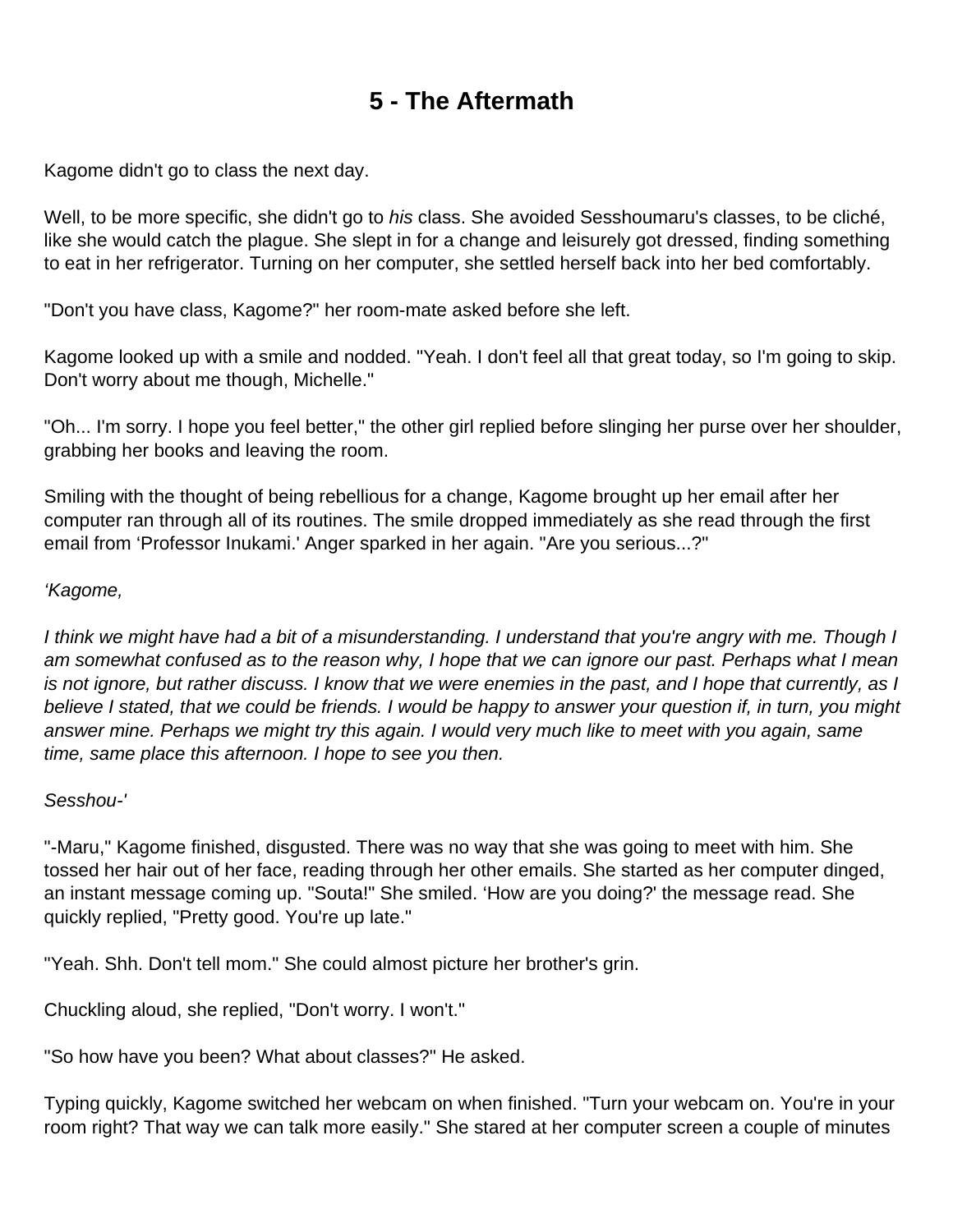# **5 - The Aftermath**

<span id="page-27-0"></span>Kagome didn't go to class the next day.

Well, to be more specific, she didn't go to his class. She avoided Sesshoumaru's classes, to be cliché, like she would catch the plague. She slept in for a change and leisurely got dressed, finding something to eat in her refrigerator. Turning on her computer, she settled herself back into her bed comfortably.

"Don't you have class, Kagome?" her room-mate asked before she left.

Kagome looked up with a smile and nodded. "Yeah. I don't feel all that great today, so I'm going to skip. Don't worry about me though, Michelle."

"Oh... I'm sorry. I hope you feel better," the other girl replied before slinging her purse over her shoulder, grabbing her books and leaving the room.

Smiling with the thought of being rebellious for a change, Kagome brought up her email after her computer ran through all of its routines. The smile dropped immediately as she read through the first email from 'Professor Inukami.' Anger sparked in her again. "Are you serious...?"

#### 'Kagome,

I think we might have had a bit of a misunderstanding. I understand that you're angry with me. Though I am somewhat confused as to the reason why, I hope that we can ignore our past. Perhaps what I mean is not ignore, but rather discuss. I know that we were enemies in the past, and I hope that currently, as I believe I stated, that we could be friends. I would be happy to answer your question if, in turn, you might answer mine. Perhaps we might try this again. I would very much like to meet with you again, same time, same place this afternoon. I hope to see you then.

#### Sesshou-'

"-Maru," Kagome finished, disgusted. There was no way that she was going to meet with him. She tossed her hair out of her face, reading through her other emails. She started as her computer dinged, an instant message coming up. "Souta!" She smiled. 'How are you doing?' the message read. She quickly replied, "Pretty good. You're up late."

"Yeah. Shh. Don't tell mom." She could almost picture her brother's grin.

Chuckling aloud, she replied, "Don't worry. I won't."

"So how have you been? What about classes?" He asked.

Typing quickly, Kagome switched her webcam on when finished. "Turn your webcam on. You're in your room right? That way we can talk more easily." She stared at her computer screen a couple of minutes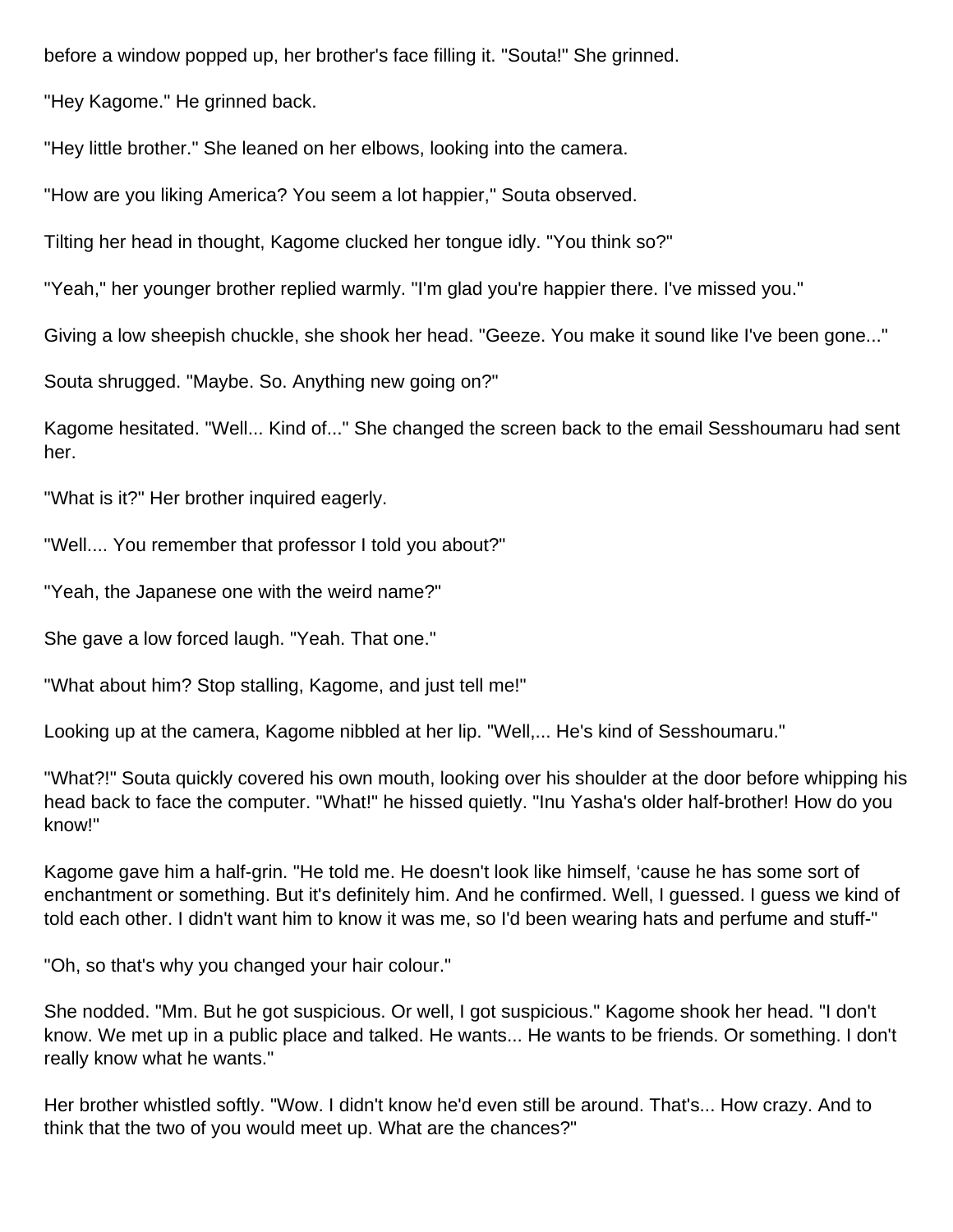before a window popped up, her brother's face filling it. "Souta!" She grinned.

"Hey Kagome." He grinned back.

"Hey little brother." She leaned on her elbows, looking into the camera.

"How are you liking America? You seem a lot happier," Souta observed.

Tilting her head in thought, Kagome clucked her tongue idly. "You think so?"

"Yeah," her younger brother replied warmly. "I'm glad you're happier there. I've missed you."

Giving a low sheepish chuckle, she shook her head. "Geeze. You make it sound like I've been gone..."

Souta shrugged. "Maybe. So. Anything new going on?"

Kagome hesitated. "Well... Kind of..." She changed the screen back to the email Sesshoumaru had sent her.

"What is it?" Her brother inquired eagerly.

"Well.... You remember that professor I told you about?"

"Yeah, the Japanese one with the weird name?"

She gave a low forced laugh. "Yeah. That one."

"What about him? Stop stalling, Kagome, and just tell me!"

Looking up at the camera, Kagome nibbled at her lip. "Well,... He's kind of Sesshoumaru."

"What?!" Souta quickly covered his own mouth, looking over his shoulder at the door before whipping his head back to face the computer. "What!" he hissed quietly. "Inu Yasha's older half-brother! How do you know!"

Kagome gave him a half-grin. "He told me. He doesn't look like himself, 'cause he has some sort of enchantment or something. But it's definitely him. And he confirmed. Well, I guessed. I guess we kind of told each other. I didn't want him to know it was me, so I'd been wearing hats and perfume and stuff-"

"Oh, so that's why you changed your hair colour."

She nodded. "Mm. But he got suspicious. Or well, I got suspicious." Kagome shook her head. "I don't know. We met up in a public place and talked. He wants... He wants to be friends. Or something. I don't really know what he wants."

Her brother whistled softly. "Wow. I didn't know he'd even still be around. That's... How crazy. And to think that the two of you would meet up. What are the chances?"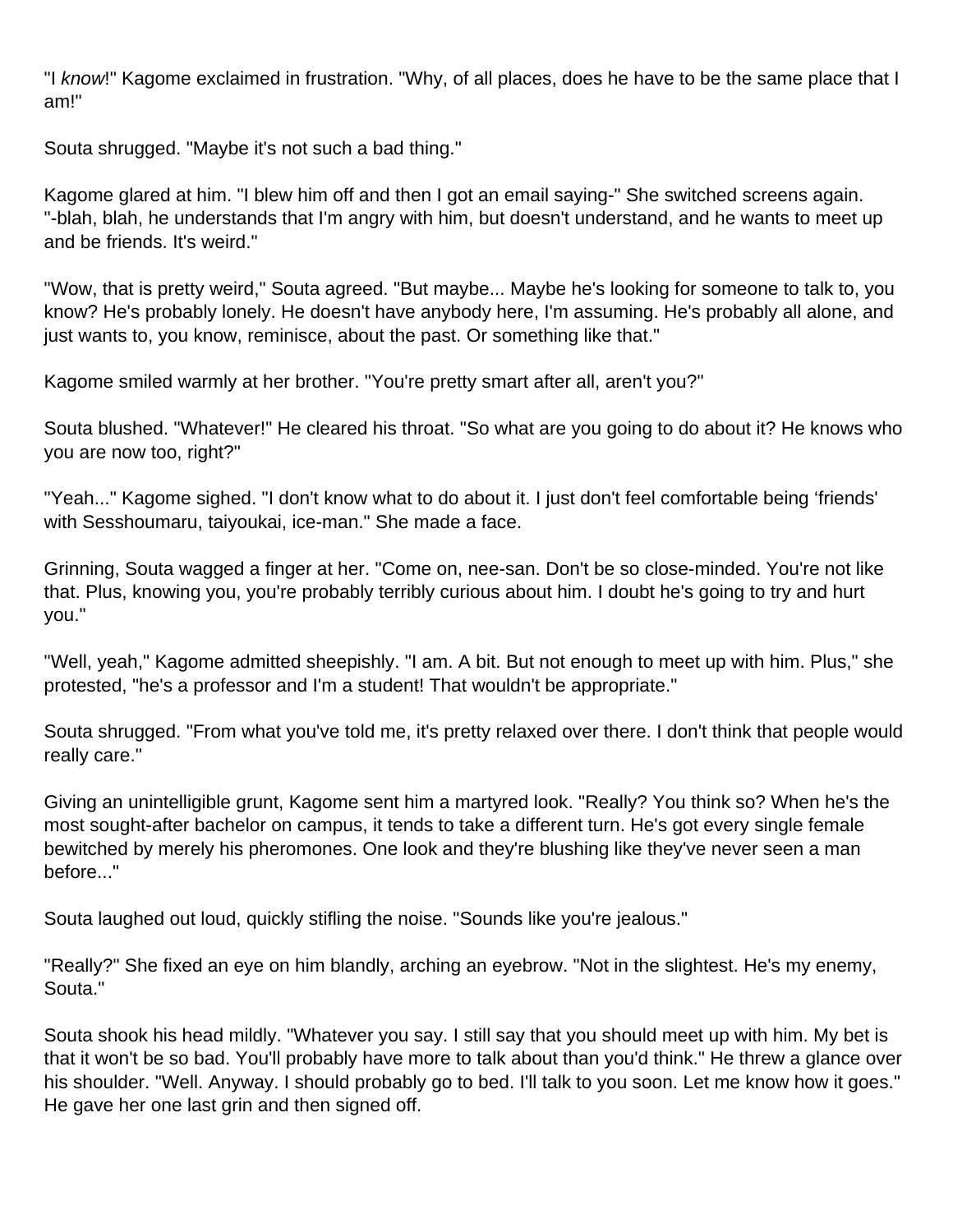"I know!" Kagome exclaimed in frustration. "Why, of all places, does he have to be the same place that I am!"

Souta shrugged. "Maybe it's not such a bad thing."

Kagome glared at him. "I blew him off and then I got an email saying-" She switched screens again. "-blah, blah, he understands that I'm angry with him, but doesn't understand, and he wants to meet up and be friends. It's weird."

"Wow, that is pretty weird," Souta agreed. "But maybe... Maybe he's looking for someone to talk to, you know? He's probably lonely. He doesn't have anybody here, I'm assuming. He's probably all alone, and just wants to, you know, reminisce, about the past. Or something like that."

Kagome smiled warmly at her brother. "You're pretty smart after all, aren't you?"

Souta blushed. "Whatever!" He cleared his throat. "So what are you going to do about it? He knows who you are now too, right?"

"Yeah..." Kagome sighed. "I don't know what to do about it. I just don't feel comfortable being 'friends' with Sesshoumaru, taiyoukai, ice-man." She made a face.

Grinning, Souta wagged a finger at her. "Come on, nee-san. Don't be so close-minded. You're not like that. Plus, knowing you, you're probably terribly curious about him. I doubt he's going to try and hurt you."

"Well, yeah," Kagome admitted sheepishly. "I am. A bit. But not enough to meet up with him. Plus," she protested, "he's a professor and I'm a student! That wouldn't be appropriate."

Souta shrugged. "From what you've told me, it's pretty relaxed over there. I don't think that people would really care."

Giving an unintelligible grunt, Kagome sent him a martyred look. "Really? You think so? When he's the most sought-after bachelor on campus, it tends to take a different turn. He's got every single female bewitched by merely his pheromones. One look and they're blushing like they've never seen a man before..."

Souta laughed out loud, quickly stifling the noise. "Sounds like you're jealous."

"Really?" She fixed an eye on him blandly, arching an eyebrow. "Not in the slightest. He's my enemy, Souta."

Souta shook his head mildly. "Whatever you say. I still say that you should meet up with him. My bet is that it won't be so bad. You'll probably have more to talk about than you'd think." He threw a glance over his shoulder. "Well. Anyway. I should probably go to bed. I'll talk to you soon. Let me know how it goes." He gave her one last grin and then signed off.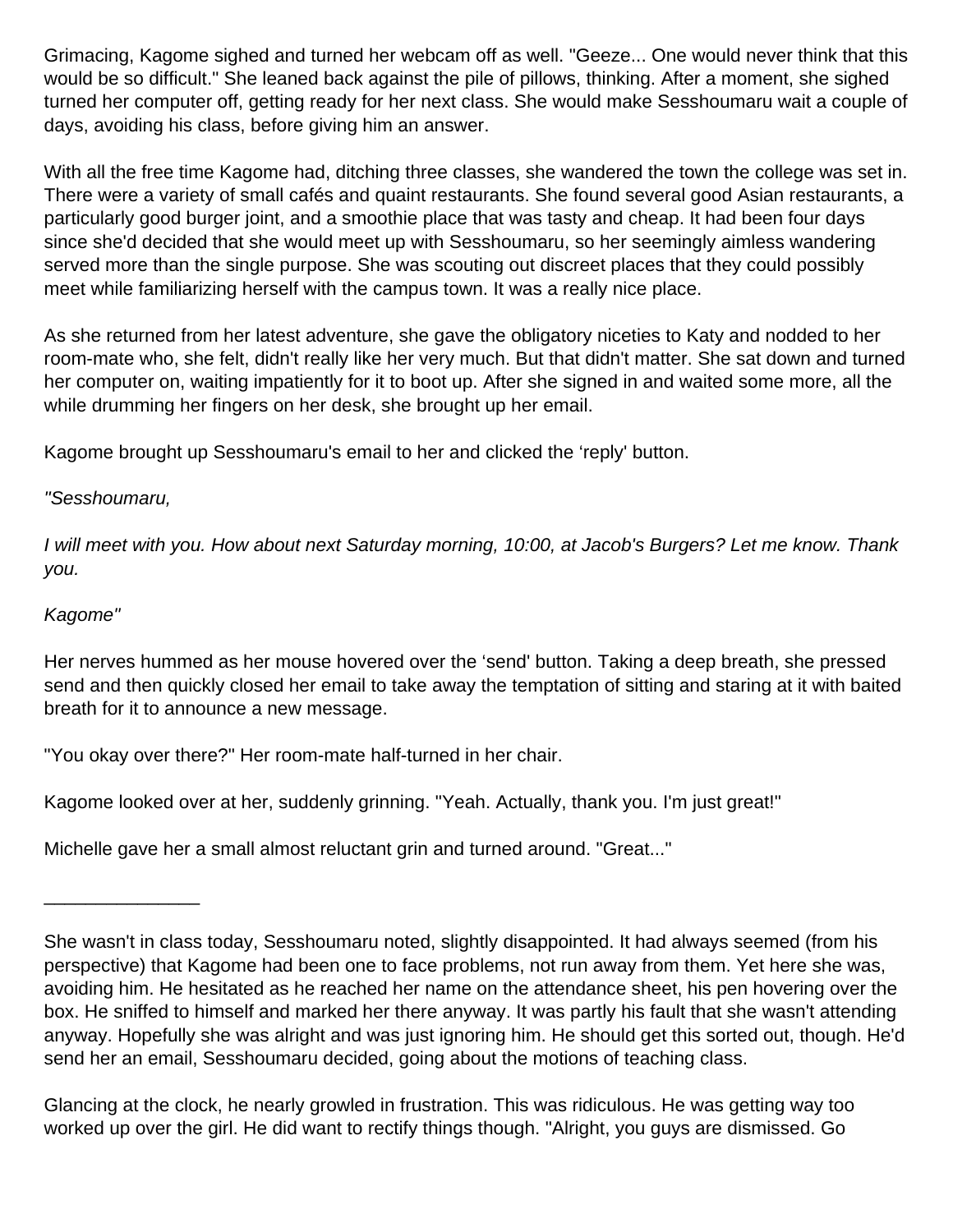Grimacing, Kagome sighed and turned her webcam off as well. "Geeze... One would never think that this would be so difficult." She leaned back against the pile of pillows, thinking. After a moment, she sighed turned her computer off, getting ready for her next class. She would make Sesshoumaru wait a couple of days, avoiding his class, before giving him an answer.

With all the free time Kagome had, ditching three classes, she wandered the town the college was set in. There were a variety of small cafés and quaint restaurants. She found several good Asian restaurants, a particularly good burger joint, and a smoothie place that was tasty and cheap. It had been four days since she'd decided that she would meet up with Sesshoumaru, so her seemingly aimless wandering served more than the single purpose. She was scouting out discreet places that they could possibly meet while familiarizing herself with the campus town. It was a really nice place.

As she returned from her latest adventure, she gave the obligatory niceties to Katy and nodded to her room-mate who, she felt, didn't really like her very much. But that didn't matter. She sat down and turned her computer on, waiting impatiently for it to boot up. After she signed in and waited some more, all the while drumming her fingers on her desk, she brought up her email.

Kagome brought up Sesshoumaru's email to her and clicked the 'reply' button.

#### "Sesshoumaru,

I will meet with you. How about next Saturday morning, 10:00, at Jacob's Burgers? Let me know. Thank you.

#### Kagome"

Her nerves hummed as her mouse hovered over the 'send' button. Taking a deep breath, she pressed send and then quickly closed her email to take away the temptation of sitting and staring at it with baited breath for it to announce a new message.

"You okay over there?" Her room-mate half-turned in her chair.

Kagome looked over at her, suddenly grinning. "Yeah. Actually, thank you. I'm just great!"

Michelle gave her a small almost reluctant grin and turned around. "Great..."

\_\_\_\_\_\_\_\_\_\_\_\_\_\_\_

Glancing at the clock, he nearly growled in frustration. This was ridiculous. He was getting way too worked up over the girl. He did want to rectify things though. "Alright, you guys are dismissed. Go

She wasn't in class today, Sesshoumaru noted, slightly disappointed. It had always seemed (from his perspective) that Kagome had been one to face problems, not run away from them. Yet here she was, avoiding him. He hesitated as he reached her name on the attendance sheet, his pen hovering over the box. He sniffed to himself and marked her there anyway. It was partly his fault that she wasn't attending anyway. Hopefully she was alright and was just ignoring him. He should get this sorted out, though. He'd send her an email, Sesshoumaru decided, going about the motions of teaching class.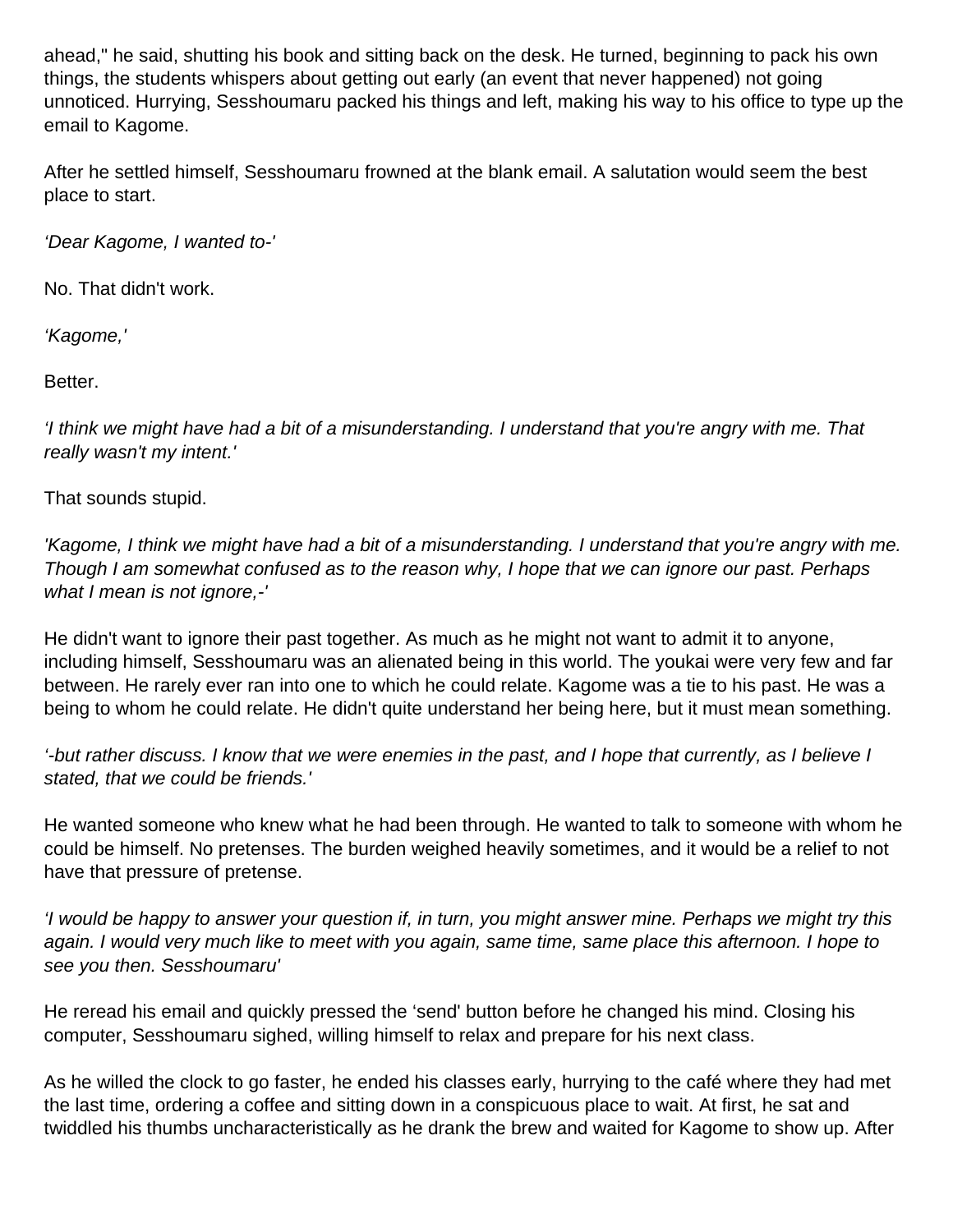ahead," he said, shutting his book and sitting back on the desk. He turned, beginning to pack his own things, the students whispers about getting out early (an event that never happened) not going unnoticed. Hurrying, Sesshoumaru packed his things and left, making his way to his office to type up the email to Kagome.

After he settled himself, Sesshoumaru frowned at the blank email. A salutation would seem the best place to start.

'Dear Kagome, I wanted to-'

No. That didn't work.

'Kagome,'

Better.

'I think we might have had a bit of a misunderstanding. I understand that you're angry with me. That really wasn't my intent.'

That sounds stupid.

'Kagome, I think we might have had a bit of a misunderstanding. I understand that you're angry with me. Though I am somewhat confused as to the reason why, I hope that we can ignore our past. Perhaps what I mean is not ignore,-'

He didn't want to ignore their past together. As much as he might not want to admit it to anyone, including himself, Sesshoumaru was an alienated being in this world. The youkai were very few and far between. He rarely ever ran into one to which he could relate. Kagome was a tie to his past. He was a being to whom he could relate. He didn't quite understand her being here, but it must mean something.

'-but rather discuss. I know that we were enemies in the past, and I hope that currently, as I believe I stated, that we could be friends.'

He wanted someone who knew what he had been through. He wanted to talk to someone with whom he could be himself. No pretenses. The burden weighed heavily sometimes, and it would be a relief to not have that pressure of pretense.

'I would be happy to answer your question if, in turn, you might answer mine. Perhaps we might try this again. I would very much like to meet with you again, same time, same place this afternoon. I hope to see you then. Sesshoumaru'

He reread his email and quickly pressed the 'send' button before he changed his mind. Closing his computer, Sesshoumaru sighed, willing himself to relax and prepare for his next class.

As he willed the clock to go faster, he ended his classes early, hurrying to the café where they had met the last time, ordering a coffee and sitting down in a conspicuous place to wait. At first, he sat and twiddled his thumbs uncharacteristically as he drank the brew and waited for Kagome to show up. After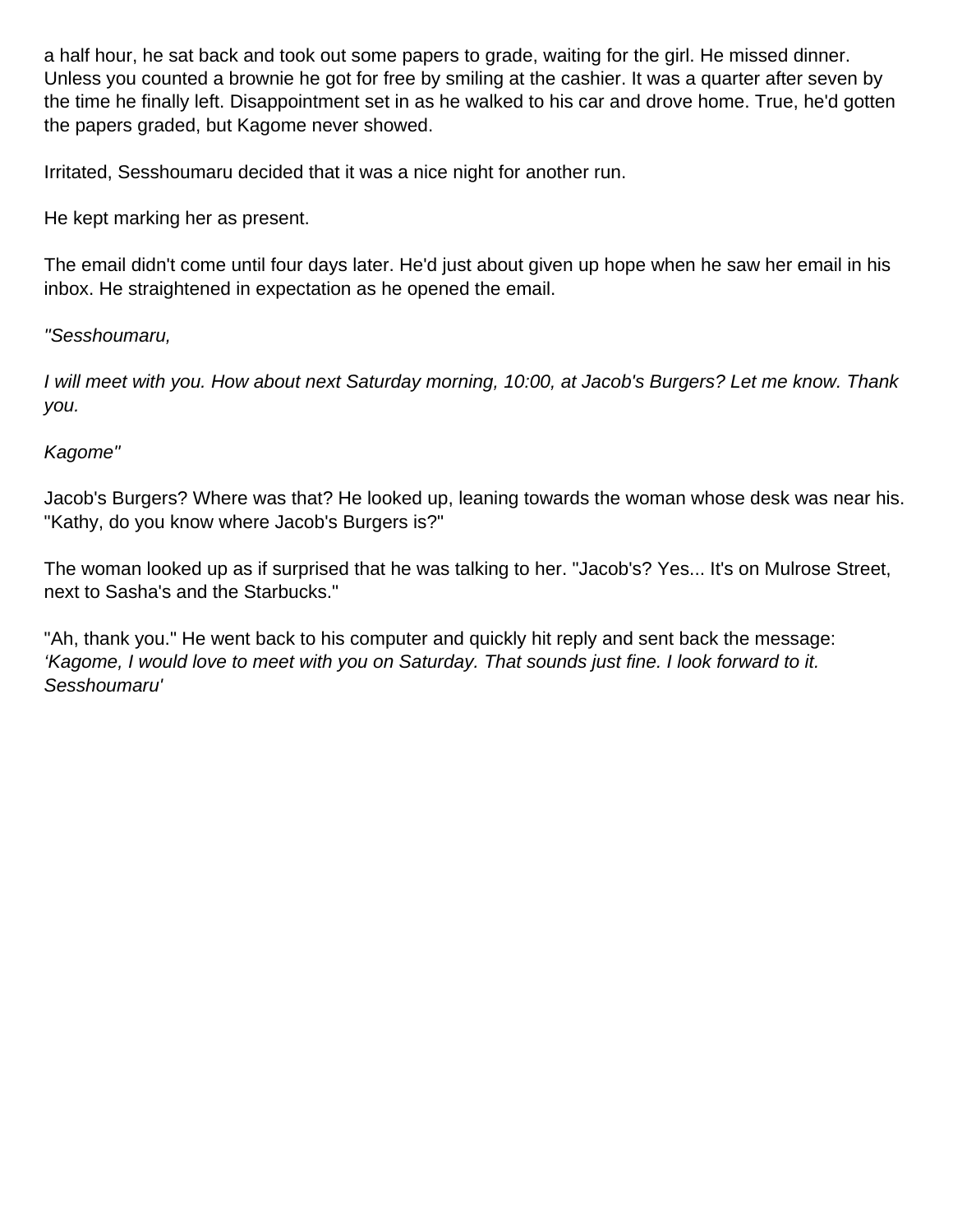a half hour, he sat back and took out some papers to grade, waiting for the girl. He missed dinner. Unless you counted a brownie he got for free by smiling at the cashier. It was a quarter after seven by the time he finally left. Disappointment set in as he walked to his car and drove home. True, he'd gotten the papers graded, but Kagome never showed.

Irritated, Sesshoumaru decided that it was a nice night for another run.

He kept marking her as present.

The email didn't come until four days later. He'd just about given up hope when he saw her email in his inbox. He straightened in expectation as he opened the email.

#### "Sesshoumaru,

I will meet with you. How about next Saturday morning, 10:00, at Jacob's Burgers? Let me know. Thank you.

#### Kagome"

Jacob's Burgers? Where was that? He looked up, leaning towards the woman whose desk was near his. "Kathy, do you know where Jacob's Burgers is?"

The woman looked up as if surprised that he was talking to her. "Jacob's? Yes... It's on Mulrose Street, next to Sasha's and the Starbucks."

"Ah, thank you." He went back to his computer and quickly hit reply and sent back the message: 'Kagome, I would love to meet with you on Saturday. That sounds just fine. I look forward to it. Sesshoumaru'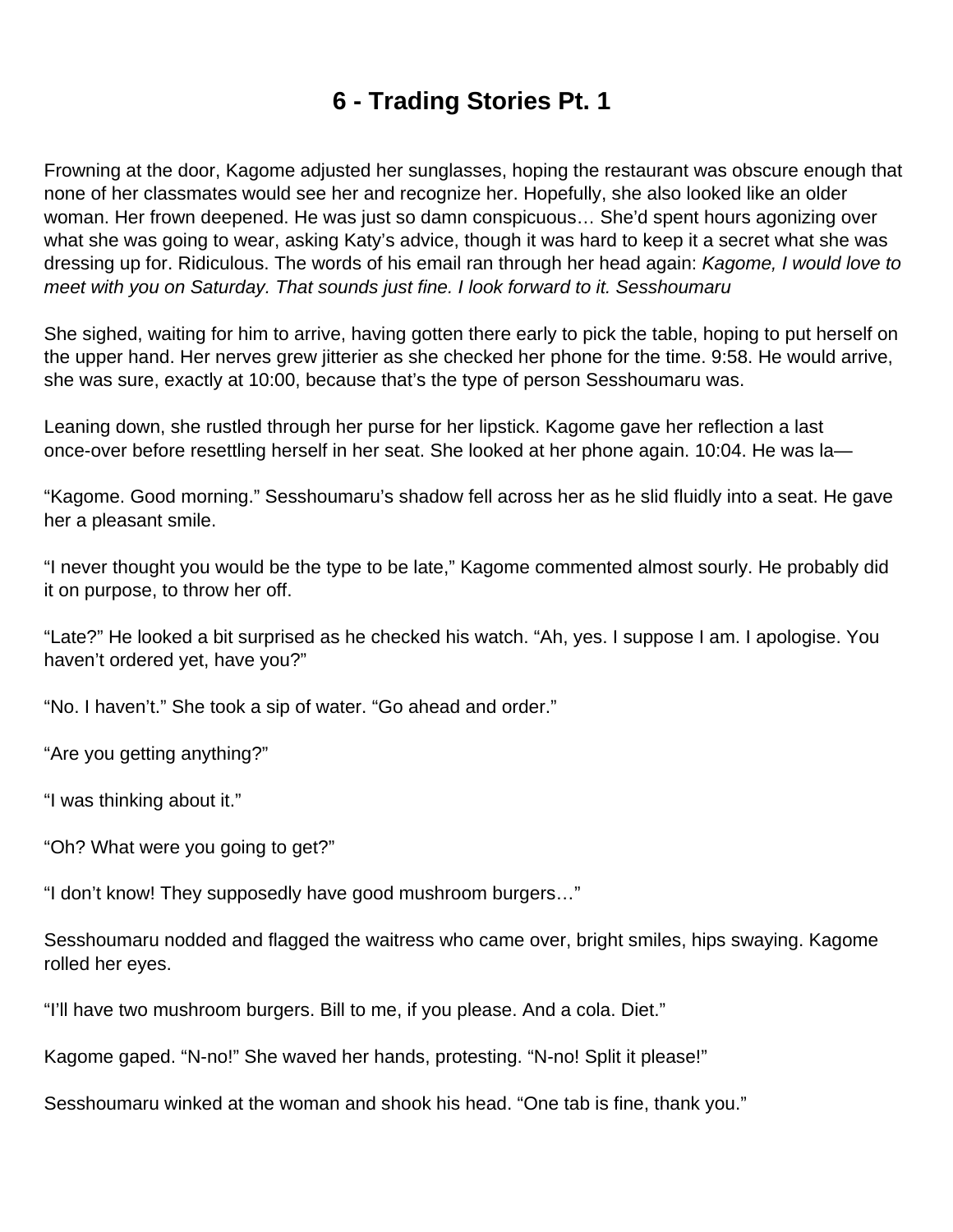### **6 - Trading Stories Pt. 1**

<span id="page-33-0"></span>Frowning at the door, Kagome adjusted her sunglasses, hoping the restaurant was obscure enough that none of her classmates would see her and recognize her. Hopefully, she also looked like an older woman. Her frown deepened. He was just so damn conspicuous… She'd spent hours agonizing over what she was going to wear, asking Katy's advice, though it was hard to keep it a secret what she was dressing up for. Ridiculous. The words of his email ran through her head again: Kagome, I would love to meet with you on Saturday. That sounds just fine. I look forward to it. Sesshoumaru

She sighed, waiting for him to arrive, having gotten there early to pick the table, hoping to put herself on the upper hand. Her nerves grew jitterier as she checked her phone for the time. 9:58. He would arrive, she was sure, exactly at 10:00, because that's the type of person Sesshoumaru was.

Leaning down, she rustled through her purse for her lipstick. Kagome gave her reflection a last once-over before resettling herself in her seat. She looked at her phone again. 10:04. He was la—

"Kagome. Good morning." Sesshoumaru's shadow fell across her as he slid fluidly into a seat. He gave her a pleasant smile.

"I never thought you would be the type to be late," Kagome commented almost sourly. He probably did it on purpose, to throw her off.

"Late?" He looked a bit surprised as he checked his watch. "Ah, yes. I suppose I am. I apologise. You haven't ordered yet, have you?"

"No. I haven't." She took a sip of water. "Go ahead and order."

"Are you getting anything?"

"I was thinking about it."

"Oh? What were you going to get?"

"I don't know! They supposedly have good mushroom burgers…"

Sesshoumaru nodded and flagged the waitress who came over, bright smiles, hips swaying. Kagome rolled her eyes.

"I'll have two mushroom burgers. Bill to me, if you please. And a cola. Diet."

Kagome gaped. "N-no!" She waved her hands, protesting. "N-no! Split it please!"

Sesshoumaru winked at the woman and shook his head. "One tab is fine, thank you."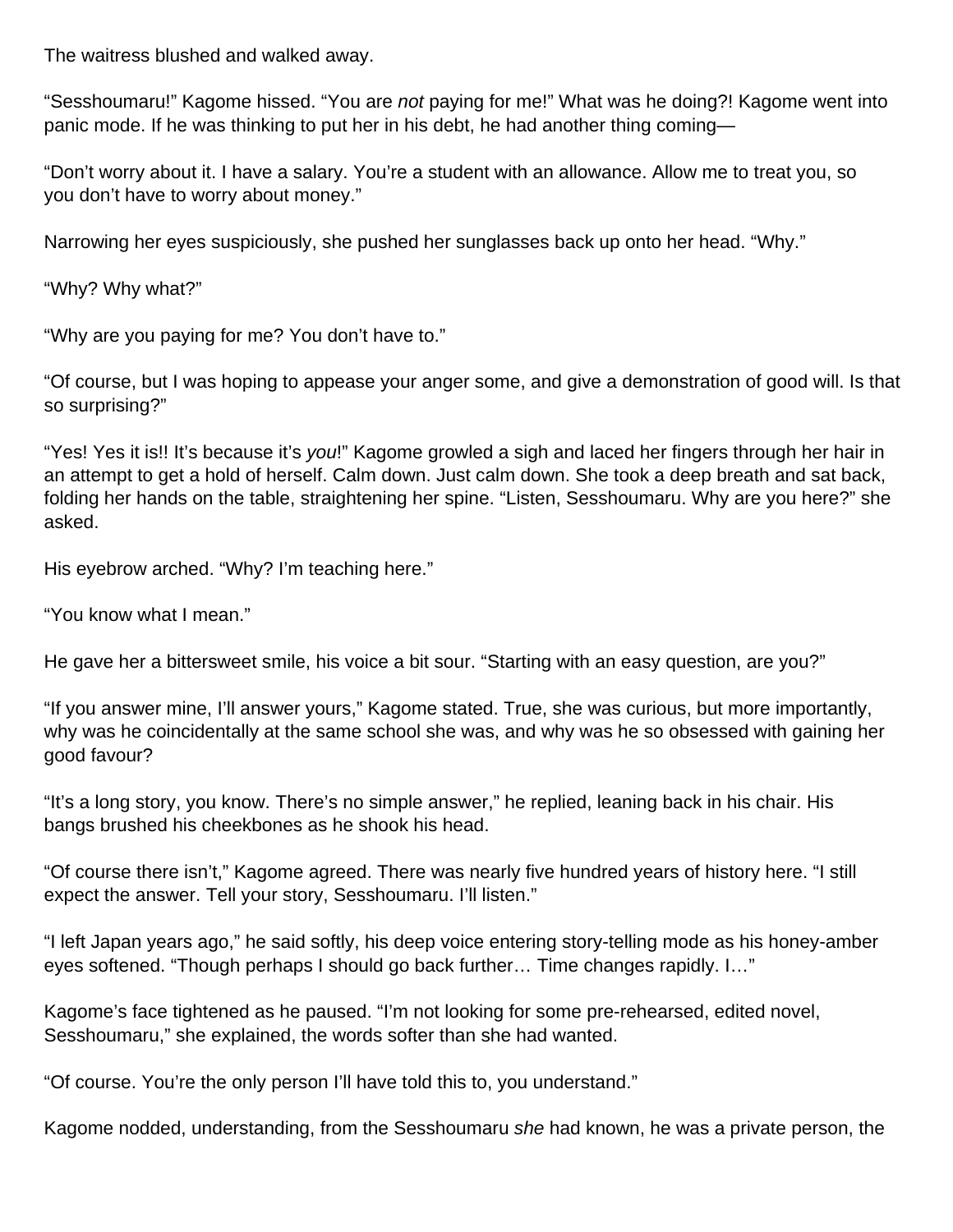The waitress blushed and walked away.

"Sesshoumaru!" Kagome hissed. "You are not paying for me!" What was he doing?! Kagome went into panic mode. If he was thinking to put her in his debt, he had another thing coming—

"Don't worry about it. I have a salary. You're a student with an allowance. Allow me to treat you, so you don't have to worry about money."

Narrowing her eyes suspiciously, she pushed her sunglasses back up onto her head. "Why."

"Why? Why what?"

"Why are you paying for me? You don't have to."

"Of course, but I was hoping to appease your anger some, and give a demonstration of good will. Is that so surprising?"

"Yes! Yes it is!! It's because it's you!" Kagome growled a sigh and laced her fingers through her hair in an attempt to get a hold of herself. Calm down. Just calm down. She took a deep breath and sat back, folding her hands on the table, straightening her spine. "Listen, Sesshoumaru. Why are you here?" she asked.

His eyebrow arched. "Why? I'm teaching here."

"You know what I mean."

He gave her a bittersweet smile, his voice a bit sour. "Starting with an easy question, are you?"

"If you answer mine, I'll answer yours," Kagome stated. True, she was curious, but more importantly, why was he coincidentally at the same school she was, and why was he so obsessed with gaining her good favour?

"It's a long story, you know. There's no simple answer," he replied, leaning back in his chair. His bangs brushed his cheekbones as he shook his head.

"Of course there isn't," Kagome agreed. There was nearly five hundred years of history here. "I still expect the answer. Tell your story, Sesshoumaru. I'll listen."

"I left Japan years ago," he said softly, his deep voice entering story-telling mode as his honey-amber eyes softened. "Though perhaps I should go back further… Time changes rapidly. I…"

Kagome's face tightened as he paused. "I'm not looking for some pre-rehearsed, edited novel, Sesshoumaru," she explained, the words softer than she had wanted.

"Of course. You're the only person I'll have told this to, you understand."

Kagome nodded, understanding, from the Sesshoumaru she had known, he was a private person, the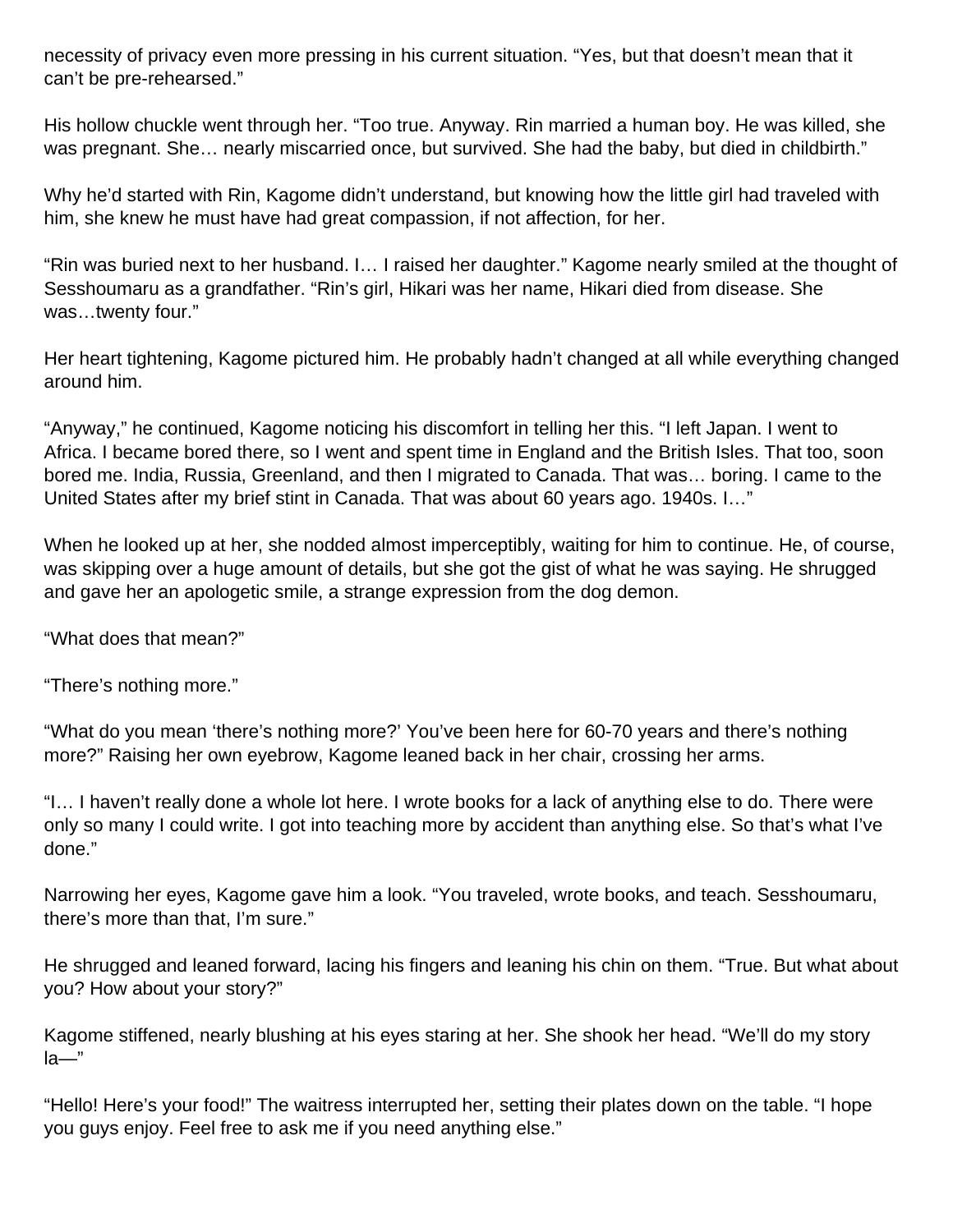necessity of privacy even more pressing in his current situation. "Yes, but that doesn't mean that it can't be pre-rehearsed."

His hollow chuckle went through her. "Too true. Anyway. Rin married a human boy. He was killed, she was pregnant. She… nearly miscarried once, but survived. She had the baby, but died in childbirth."

Why he'd started with Rin, Kagome didn't understand, but knowing how the little girl had traveled with him, she knew he must have had great compassion, if not affection, for her.

"Rin was buried next to her husband. I… I raised her daughter." Kagome nearly smiled at the thought of Sesshoumaru as a grandfather. "Rin's girl, Hikari was her name, Hikari died from disease. She was…twenty four."

Her heart tightening, Kagome pictured him. He probably hadn't changed at all while everything changed around him.

"Anyway," he continued, Kagome noticing his discomfort in telling her this. "I left Japan. I went to Africa. I became bored there, so I went and spent time in England and the British Isles. That too, soon bored me. India, Russia, Greenland, and then I migrated to Canada. That was… boring. I came to the United States after my brief stint in Canada. That was about 60 years ago. 1940s. I…"

When he looked up at her, she nodded almost imperceptibly, waiting for him to continue. He, of course, was skipping over a huge amount of details, but she got the gist of what he was saying. He shrugged and gave her an apologetic smile, a strange expression from the dog demon.

"What does that mean?"

"There's nothing more."

"What do you mean 'there's nothing more?' You've been here for 60-70 years and there's nothing more?" Raising her own eyebrow, Kagome leaned back in her chair, crossing her arms.

"I… I haven't really done a whole lot here. I wrote books for a lack of anything else to do. There were only so many I could write. I got into teaching more by accident than anything else. So that's what I've done."

Narrowing her eyes, Kagome gave him a look. "You traveled, wrote books, and teach. Sesshoumaru, there's more than that, I'm sure."

He shrugged and leaned forward, lacing his fingers and leaning his chin on them. "True. But what about you? How about your story?"

Kagome stiffened, nearly blushing at his eyes staring at her. She shook her head. "We'll do my story la—"

"Hello! Here's your food!" The waitress interrupted her, setting their plates down on the table. "I hope you guys enjoy. Feel free to ask me if you need anything else."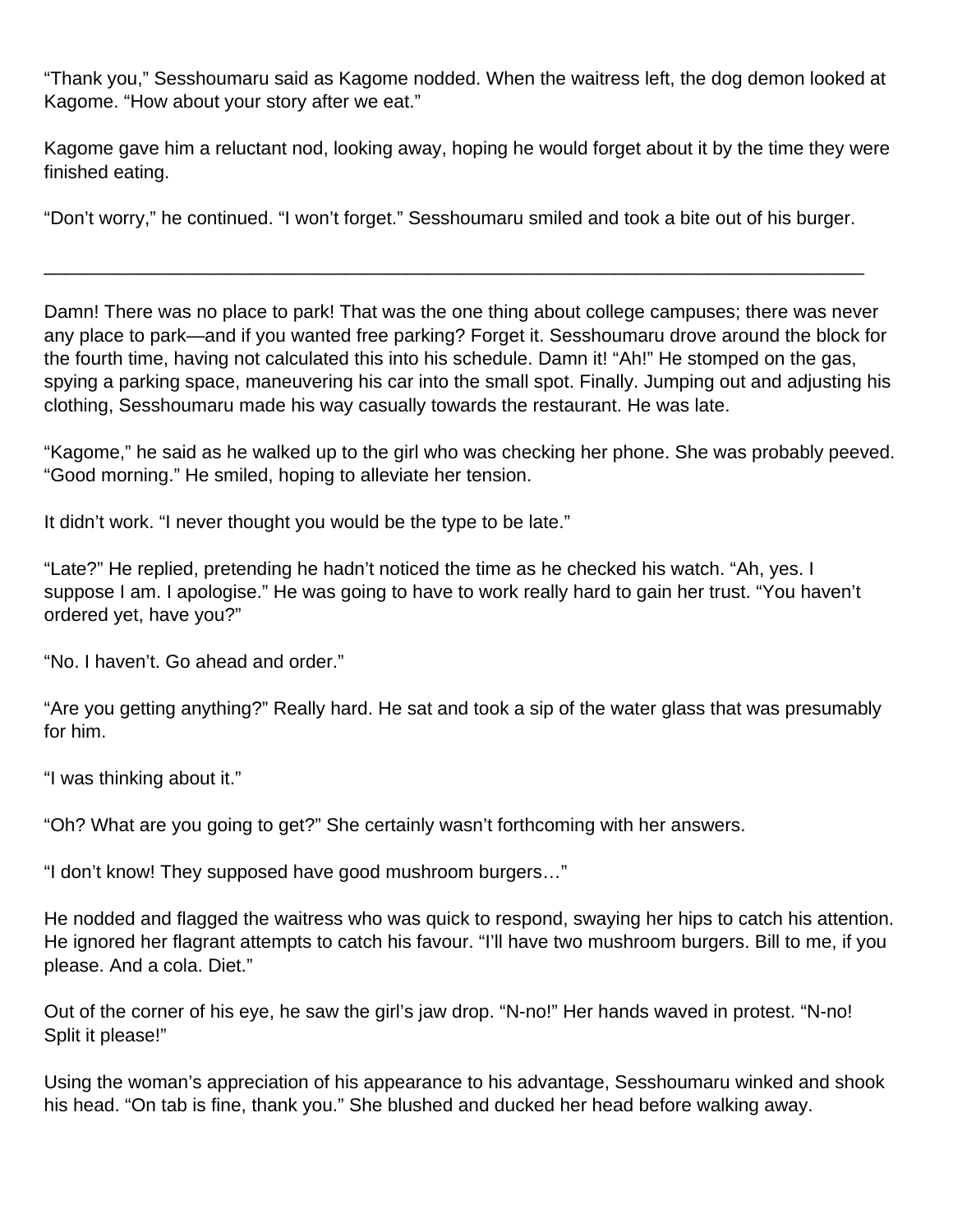"Thank you," Sesshoumaru said as Kagome nodded. When the waitress left, the dog demon looked at Kagome. "How about your story after we eat."

Kagome gave him a reluctant nod, looking away, hoping he would forget about it by the time they were finished eating.

"Don't worry," he continued. "I won't forget." Sesshoumaru smiled and took a bite out of his burger.

\_\_\_\_\_\_\_\_\_\_\_\_\_\_\_\_\_\_\_\_\_\_\_\_\_\_\_\_\_\_\_\_\_\_\_\_\_\_\_\_\_\_\_\_\_\_\_\_\_\_\_\_\_\_\_\_\_\_\_\_\_\_\_\_\_\_\_\_\_\_\_\_\_\_\_\_\_\_\_

Damn! There was no place to park! That was the one thing about college campuses; there was never any place to park—and if you wanted free parking? Forget it. Sesshoumaru drove around the block for the fourth time, having not calculated this into his schedule. Damn it! "Ah!" He stomped on the gas, spying a parking space, maneuvering his car into the small spot. Finally. Jumping out and adjusting his clothing, Sesshoumaru made his way casually towards the restaurant. He was late.

"Kagome," he said as he walked up to the girl who was checking her phone. She was probably peeved. "Good morning." He smiled, hoping to alleviate her tension.

It didn't work. "I never thought you would be the type to be late."

"Late?" He replied, pretending he hadn't noticed the time as he checked his watch. "Ah, yes. I suppose I am. I apologise." He was going to have to work really hard to gain her trust. "You haven't ordered yet, have you?"

"No. I haven't. Go ahead and order."

"Are you getting anything?" Really hard. He sat and took a sip of the water glass that was presumably for him.

"I was thinking about it."

"Oh? What are you going to get?" She certainly wasn't forthcoming with her answers.

"I don't know! They supposed have good mushroom burgers…"

He nodded and flagged the waitress who was quick to respond, swaying her hips to catch his attention. He ignored her flagrant attempts to catch his favour. "I'll have two mushroom burgers. Bill to me, if you please. And a cola. Diet."

Out of the corner of his eye, he saw the girl's jaw drop. "N-no!" Her hands waved in protest. "N-no! Split it please!"

Using the woman's appreciation of his appearance to his advantage, Sesshoumaru winked and shook his head. "On tab is fine, thank you." She blushed and ducked her head before walking away.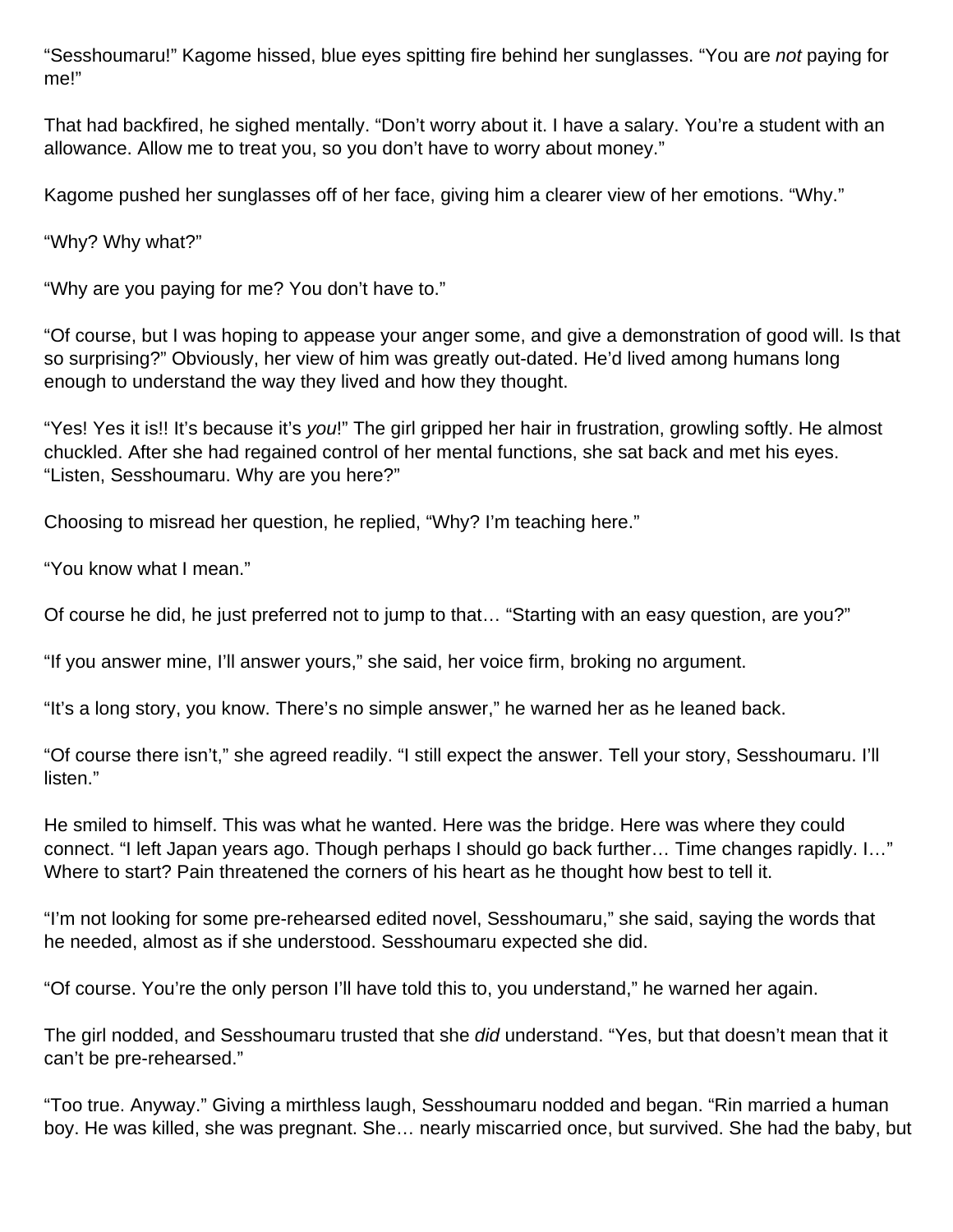"Sesshoumaru!" Kagome hissed, blue eyes spitting fire behind her sunglasses. "You are not paying for me!"

That had backfired, he sighed mentally. "Don't worry about it. I have a salary. You're a student with an allowance. Allow me to treat you, so you don't have to worry about money."

Kagome pushed her sunglasses off of her face, giving him a clearer view of her emotions. "Why."

"Why? Why what?"

"Why are you paying for me? You don't have to."

"Of course, but I was hoping to appease your anger some, and give a demonstration of good will. Is that so surprising?" Obviously, her view of him was greatly out-dated. He'd lived among humans long enough to understand the way they lived and how they thought.

"Yes! Yes it is!! It's because it's you!" The girl gripped her hair in frustration, growling softly. He almost chuckled. After she had regained control of her mental functions, she sat back and met his eyes. "Listen, Sesshoumaru. Why are you here?"

Choosing to misread her question, he replied, "Why? I'm teaching here."

"You know what I mean."

Of course he did, he just preferred not to jump to that… "Starting with an easy question, are you?"

"If you answer mine, I'll answer yours," she said, her voice firm, broking no argument.

"It's a long story, you know. There's no simple answer," he warned her as he leaned back.

"Of course there isn't," she agreed readily. "I still expect the answer. Tell your story, Sesshoumaru. I'll listen."

He smiled to himself. This was what he wanted. Here was the bridge. Here was where they could connect. "I left Japan years ago. Though perhaps I should go back further… Time changes rapidly. I…" Where to start? Pain threatened the corners of his heart as he thought how best to tell it.

"I'm not looking for some pre-rehearsed edited novel, Sesshoumaru," she said, saying the words that he needed, almost as if she understood. Sesshoumaru expected she did.

"Of course. You're the only person I'll have told this to, you understand," he warned her again.

The girl nodded, and Sesshoumaru trusted that she *did* understand. "Yes, but that doesn't mean that it can't be pre-rehearsed."

"Too true. Anyway." Giving a mirthless laugh, Sesshoumaru nodded and began. "Rin married a human boy. He was killed, she was pregnant. She… nearly miscarried once, but survived. She had the baby, but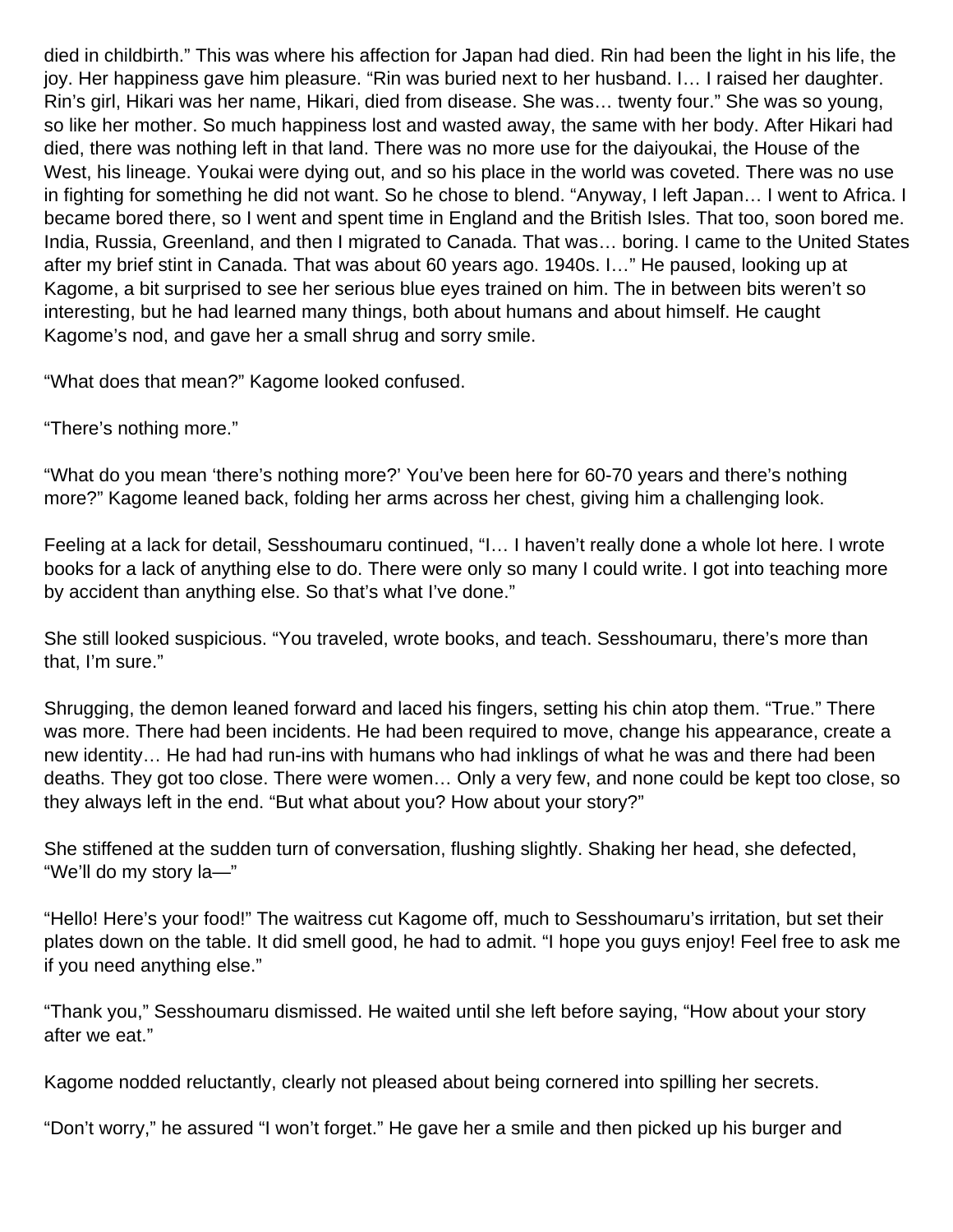died in childbirth." This was where his affection for Japan had died. Rin had been the light in his life, the joy. Her happiness gave him pleasure. "Rin was buried next to her husband. I… I raised her daughter. Rin's girl, Hikari was her name, Hikari, died from disease. She was… twenty four." She was so young, so like her mother. So much happiness lost and wasted away, the same with her body. After Hikari had died, there was nothing left in that land. There was no more use for the daiyoukai, the House of the West, his lineage. Youkai were dying out, and so his place in the world was coveted. There was no use in fighting for something he did not want. So he chose to blend. "Anyway, I left Japan… I went to Africa. I became bored there, so I went and spent time in England and the British Isles. That too, soon bored me. India, Russia, Greenland, and then I migrated to Canada. That was… boring. I came to the United States after my brief stint in Canada. That was about 60 years ago. 1940s. I…" He paused, looking up at Kagome, a bit surprised to see her serious blue eyes trained on him. The in between bits weren't so interesting, but he had learned many things, both about humans and about himself. He caught Kagome's nod, and gave her a small shrug and sorry smile.

"What does that mean?" Kagome looked confused.

"There's nothing more."

"What do you mean 'there's nothing more?' You've been here for 60-70 years and there's nothing more?" Kagome leaned back, folding her arms across her chest, giving him a challenging look.

Feeling at a lack for detail, Sesshoumaru continued, "I… I haven't really done a whole lot here. I wrote books for a lack of anything else to do. There were only so many I could write. I got into teaching more by accident than anything else. So that's what I've done."

She still looked suspicious. "You traveled, wrote books, and teach. Sesshoumaru, there's more than that, I'm sure."

Shrugging, the demon leaned forward and laced his fingers, setting his chin atop them. "True." There was more. There had been incidents. He had been required to move, change his appearance, create a new identity… He had had run-ins with humans who had inklings of what he was and there had been deaths. They got too close. There were women… Only a very few, and none could be kept too close, so they always left in the end. "But what about you? How about your story?"

She stiffened at the sudden turn of conversation, flushing slightly. Shaking her head, she defected, "We'll do my story la—"

"Hello! Here's your food!" The waitress cut Kagome off, much to Sesshoumaru's irritation, but set their plates down on the table. It did smell good, he had to admit. "I hope you guys enjoy! Feel free to ask me if you need anything else."

"Thank you," Sesshoumaru dismissed. He waited until she left before saying, "How about your story after we eat."

Kagome nodded reluctantly, clearly not pleased about being cornered into spilling her secrets.

"Don't worry," he assured "I won't forget." He gave her a smile and then picked up his burger and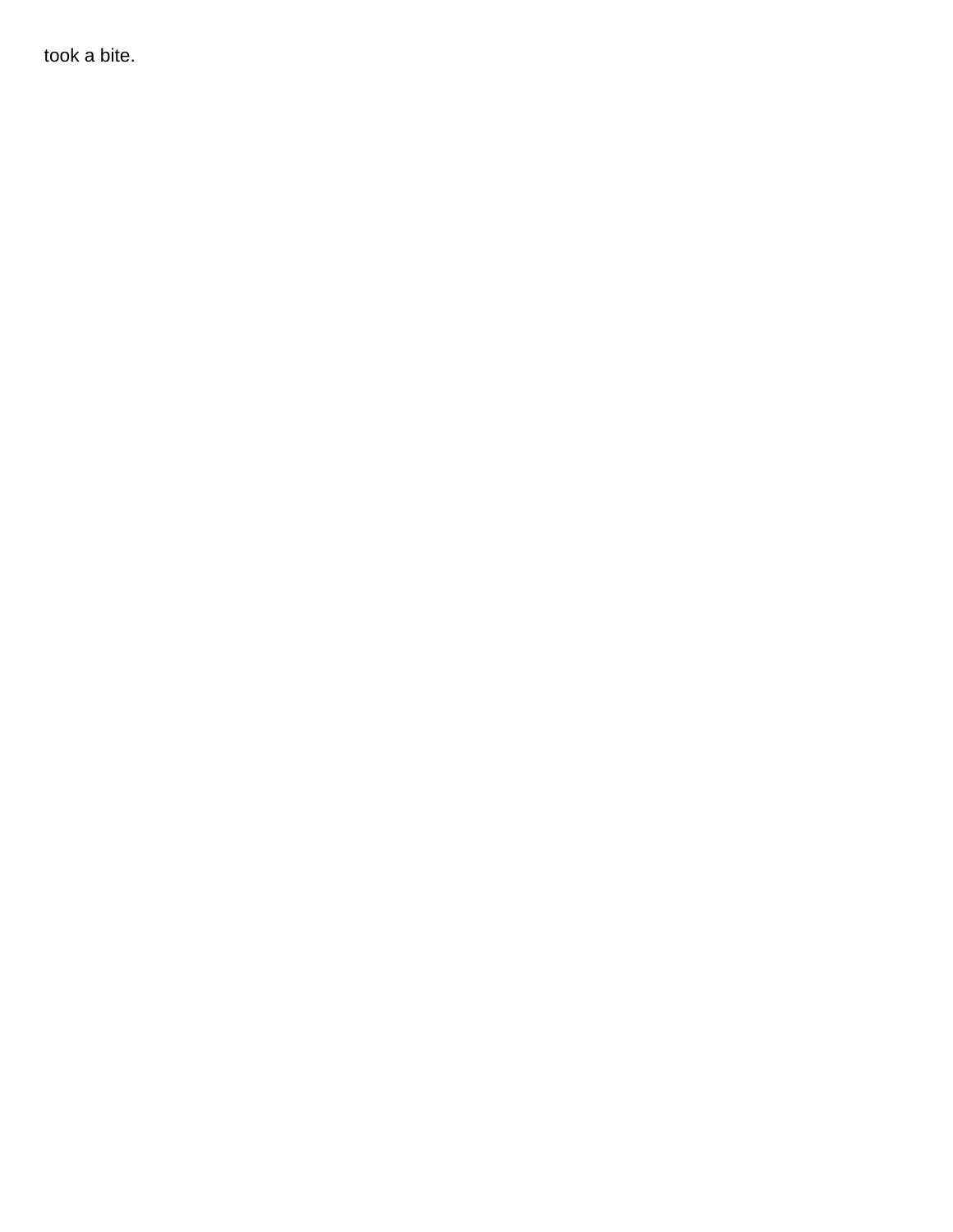took a bite.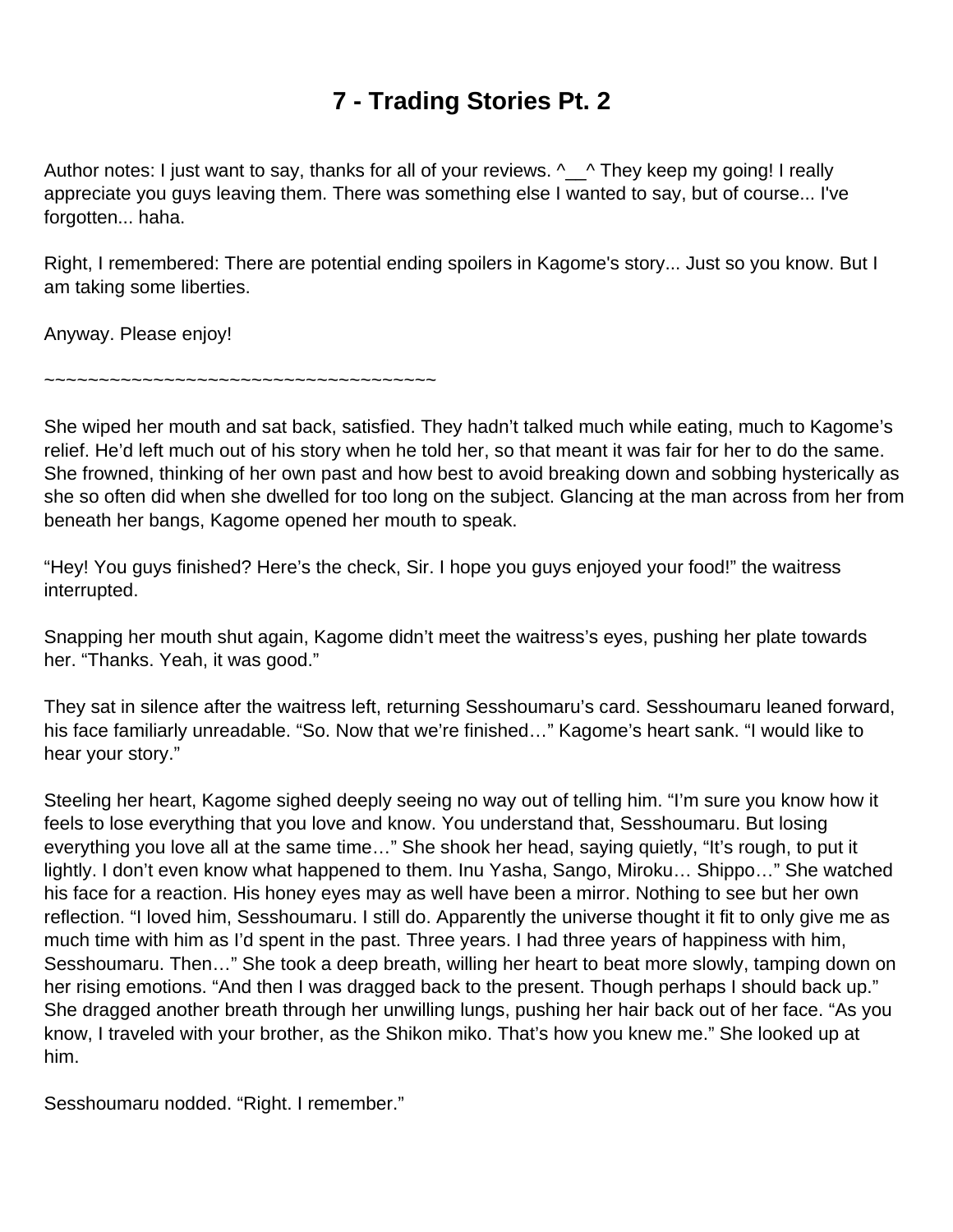# **7 - Trading Stories Pt. 2**

<span id="page-40-0"></span>Author notes: I just want to say, thanks for all of your reviews.  $\sim$  They keep my going! I really appreciate you guys leaving them. There was something else I wanted to say, but of course... I've forgotten... haha.

Right, I remembered: There are potential ending spoilers in Kagome's story... Just so you know. But I am taking some liberties.

Anyway. Please enjoy!

~~~~~~~~~~~~~~~~~~~~~~~~~~~~~~~~~

She wiped her mouth and sat back, satisfied. They hadn't talked much while eating, much to Kagome's relief. He'd left much out of his story when he told her, so that meant it was fair for her to do the same. She frowned, thinking of her own past and how best to avoid breaking down and sobbing hysterically as she so often did when she dwelled for too long on the subject. Glancing at the man across from her from beneath her bangs, Kagome opened her mouth to speak.

"Hey! You guys finished? Here's the check, Sir. I hope you guys enjoyed your food!" the waitress interrupted.

Snapping her mouth shut again, Kagome didn't meet the waitress's eyes, pushing her plate towards her. "Thanks. Yeah, it was good."

They sat in silence after the waitress left, returning Sesshoumaru's card. Sesshoumaru leaned forward, his face familiarly unreadable. "So. Now that we're finished…" Kagome's heart sank. "I would like to hear your story."

Steeling her heart, Kagome sighed deeply seeing no way out of telling him. "I'm sure you know how it feels to lose everything that you love and know. You understand that, Sesshoumaru. But losing everything you love all at the same time…" She shook her head, saying quietly, "It's rough, to put it lightly. I don't even know what happened to them. Inu Yasha, Sango, Miroku… Shippo…" She watched his face for a reaction. His honey eyes may as well have been a mirror. Nothing to see but her own reflection. "I loved him, Sesshoumaru. I still do. Apparently the universe thought it fit to only give me as much time with him as I'd spent in the past. Three years. I had three years of happiness with him, Sesshoumaru. Then…" She took a deep breath, willing her heart to beat more slowly, tamping down on her rising emotions. "And then I was dragged back to the present. Though perhaps I should back up." She dragged another breath through her unwilling lungs, pushing her hair back out of her face. "As you know, I traveled with your brother, as the Shikon miko. That's how you knew me." She looked up at him.

Sesshoumaru nodded. "Right. I remember."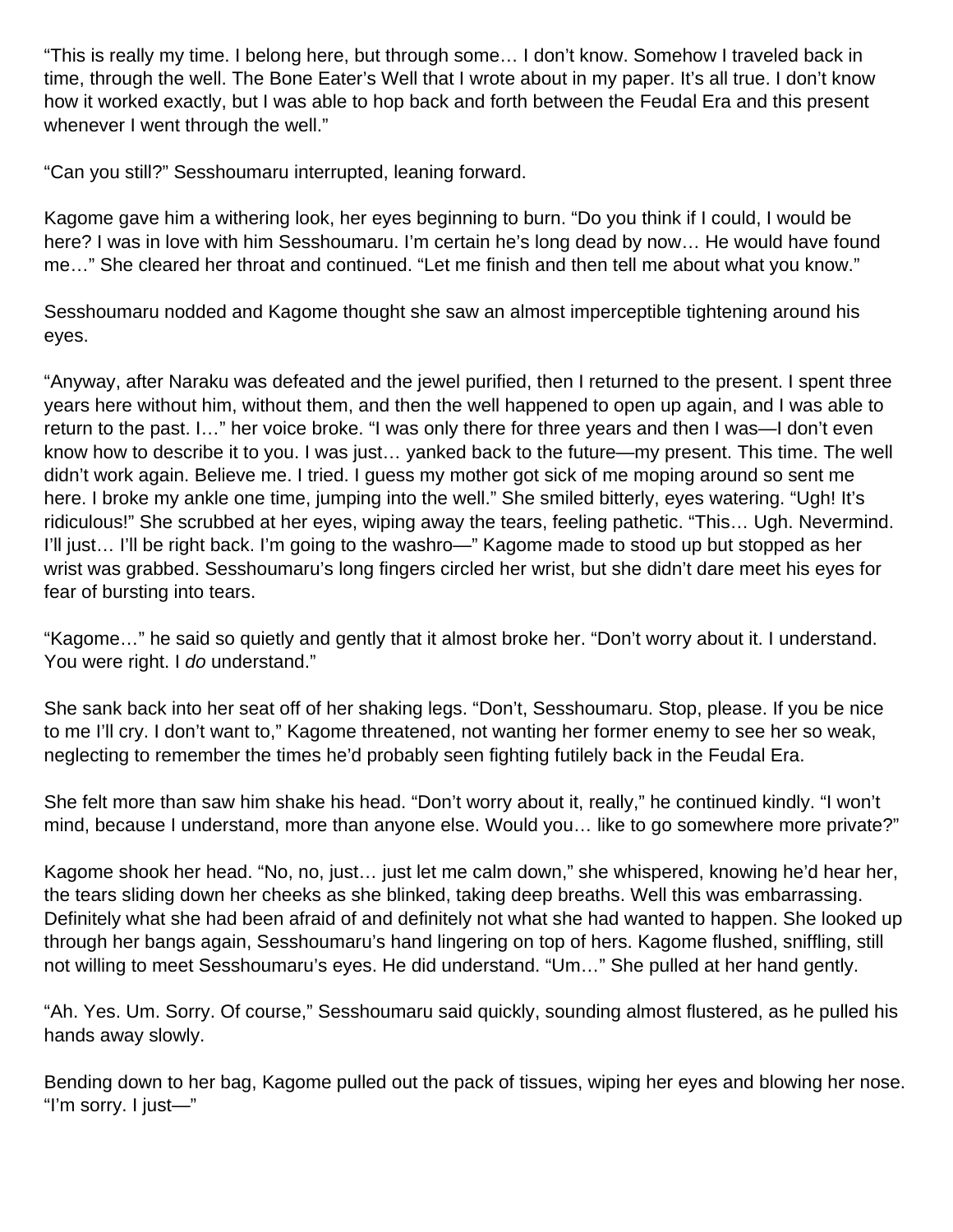"This is really my time. I belong here, but through some… I don't know. Somehow I traveled back in time, through the well. The Bone Eater's Well that I wrote about in my paper. It's all true. I don't know how it worked exactly, but I was able to hop back and forth between the Feudal Era and this present whenever I went through the well."

"Can you still?" Sesshoumaru interrupted, leaning forward.

Kagome gave him a withering look, her eyes beginning to burn. "Do you think if I could, I would be here? I was in love with him Sesshoumaru. I'm certain he's long dead by now… He would have found me…" She cleared her throat and continued. "Let me finish and then tell me about what you know."

Sesshoumaru nodded and Kagome thought she saw an almost imperceptible tightening around his eyes.

"Anyway, after Naraku was defeated and the jewel purified, then I returned to the present. I spent three years here without him, without them, and then the well happened to open up again, and I was able to return to the past. I…" her voice broke. "I was only there for three years and then I was—I don't even know how to describe it to you. I was just… yanked back to the future—my present. This time. The well didn't work again. Believe me. I tried. I guess my mother got sick of me moping around so sent me here. I broke my ankle one time, jumping into the well." She smiled bitterly, eyes watering. "Ugh! It's ridiculous!" She scrubbed at her eyes, wiping away the tears, feeling pathetic. "This… Ugh. Nevermind. I'll just… I'll be right back. I'm going to the washro—" Kagome made to stood up but stopped as her wrist was grabbed. Sesshoumaru's long fingers circled her wrist, but she didn't dare meet his eyes for fear of bursting into tears.

"Kagome…" he said so quietly and gently that it almost broke her. "Don't worry about it. I understand. You were right. I do understand."

She sank back into her seat off of her shaking legs. "Don't, Sesshoumaru. Stop, please. If you be nice to me I'll cry. I don't want to," Kagome threatened, not wanting her former enemy to see her so weak, neglecting to remember the times he'd probably seen fighting futilely back in the Feudal Era.

She felt more than saw him shake his head. "Don't worry about it, really," he continued kindly. "I won't mind, because I understand, more than anyone else. Would you… like to go somewhere more private?"

Kagome shook her head. "No, no, just… just let me calm down," she whispered, knowing he'd hear her, the tears sliding down her cheeks as she blinked, taking deep breaths. Well this was embarrassing. Definitely what she had been afraid of and definitely not what she had wanted to happen. She looked up through her bangs again, Sesshoumaru's hand lingering on top of hers. Kagome flushed, sniffling, still not willing to meet Sesshoumaru's eyes. He did understand. "Um…" She pulled at her hand gently.

"Ah. Yes. Um. Sorry. Of course," Sesshoumaru said quickly, sounding almost flustered, as he pulled his hands away slowly.

Bending down to her bag, Kagome pulled out the pack of tissues, wiping her eyes and blowing her nose. "I'm sorry. I just—"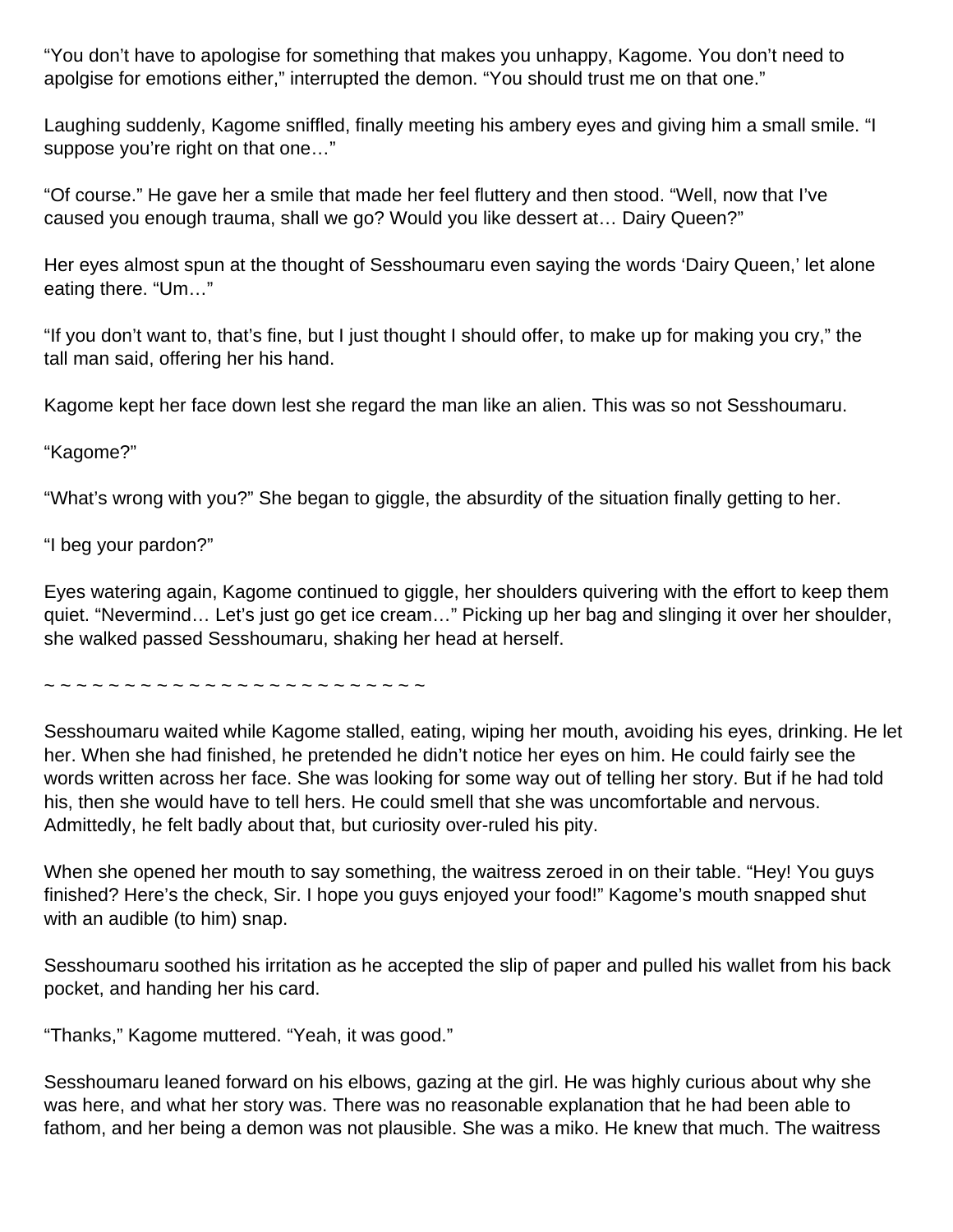"You don't have to apologise for something that makes you unhappy, Kagome. You don't need to apolgise for emotions either," interrupted the demon. "You should trust me on that one."

Laughing suddenly, Kagome sniffled, finally meeting his ambery eyes and giving him a small smile. "I suppose you're right on that one..."

"Of course." He gave her a smile that made her feel fluttery and then stood. "Well, now that I've caused you enough trauma, shall we go? Would you like dessert at… Dairy Queen?"

Her eyes almost spun at the thought of Sesshoumaru even saying the words 'Dairy Queen,' let alone eating there. "Um…"

"If you don't want to, that's fine, but I just thought I should offer, to make up for making you cry," the tall man said, offering her his hand.

Kagome kept her face down lest she regard the man like an alien. This was so not Sesshoumaru.

"Kagome?"

"What's wrong with you?" She began to giggle, the absurdity of the situation finally getting to her.

"I beg your pardon?"

Eyes watering again, Kagome continued to giggle, her shoulders quivering with the effort to keep them quiet. "Nevermind… Let's just go get ice cream…" Picking up her bag and slinging it over her shoulder, she walked passed Sesshoumaru, shaking her head at herself.

~ ~ ~ ~ ~ ~ ~ ~ ~ ~ ~ ~ ~ ~ ~ ~ ~ ~ ~ ~ ~ ~ ~ ~

Sesshoumaru waited while Kagome stalled, eating, wiping her mouth, avoiding his eyes, drinking. He let her. When she had finished, he pretended he didn't notice her eyes on him. He could fairly see the words written across her face. She was looking for some way out of telling her story. But if he had told his, then she would have to tell hers. He could smell that she was uncomfortable and nervous. Admittedly, he felt badly about that, but curiosity over-ruled his pity.

When she opened her mouth to say something, the waitress zeroed in on their table. "Hey! You guys finished? Here's the check, Sir. I hope you guys enjoyed your food!" Kagome's mouth snapped shut with an audible (to him) snap.

Sesshoumaru soothed his irritation as he accepted the slip of paper and pulled his wallet from his back pocket, and handing her his card.

"Thanks," Kagome muttered. "Yeah, it was good."

Sesshoumaru leaned forward on his elbows, gazing at the girl. He was highly curious about why she was here, and what her story was. There was no reasonable explanation that he had been able to fathom, and her being a demon was not plausible. She was a miko. He knew that much. The waitress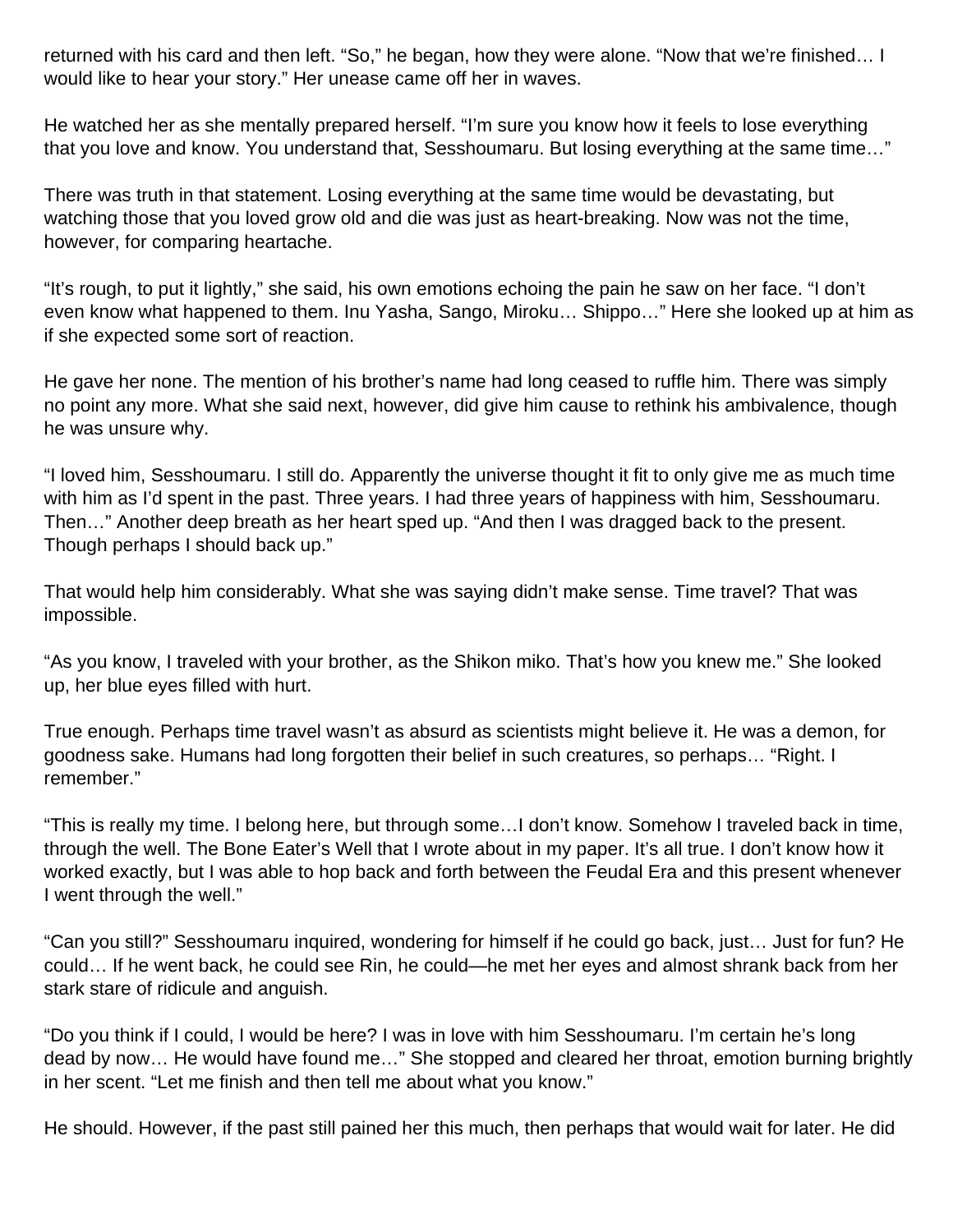returned with his card and then left. "So," he began, how they were alone. "Now that we're finished… I would like to hear your story." Her unease came off her in waves.

He watched her as she mentally prepared herself. "I'm sure you know how it feels to lose everything that you love and know. You understand that, Sesshoumaru. But losing everything at the same time…"

There was truth in that statement. Losing everything at the same time would be devastating, but watching those that you loved grow old and die was just as heart-breaking. Now was not the time, however, for comparing heartache.

"It's rough, to put it lightly," she said, his own emotions echoing the pain he saw on her face. "I don't even know what happened to them. Inu Yasha, Sango, Miroku… Shippo…" Here she looked up at him as if she expected some sort of reaction.

He gave her none. The mention of his brother's name had long ceased to ruffle him. There was simply no point any more. What she said next, however, did give him cause to rethink his ambivalence, though he was unsure why.

"I loved him, Sesshoumaru. I still do. Apparently the universe thought it fit to only give me as much time with him as I'd spent in the past. Three years. I had three years of happiness with him, Sesshoumaru. Then…" Another deep breath as her heart sped up. "And then I was dragged back to the present. Though perhaps I should back up."

That would help him considerably. What she was saying didn't make sense. Time travel? That was impossible.

"As you know, I traveled with your brother, as the Shikon miko. That's how you knew me." She looked up, her blue eyes filled with hurt.

True enough. Perhaps time travel wasn't as absurd as scientists might believe it. He was a demon, for goodness sake. Humans had long forgotten their belief in such creatures, so perhaps… "Right. I remember."

"This is really my time. I belong here, but through some…I don't know. Somehow I traveled back in time, through the well. The Bone Eater's Well that I wrote about in my paper. It's all true. I don't know how it worked exactly, but I was able to hop back and forth between the Feudal Era and this present whenever I went through the well."

"Can you still?" Sesshoumaru inquired, wondering for himself if he could go back, just… Just for fun? He could… If he went back, he could see Rin, he could—he met her eyes and almost shrank back from her stark stare of ridicule and anguish.

"Do you think if I could, I would be here? I was in love with him Sesshoumaru. I'm certain he's long dead by now… He would have found me…" She stopped and cleared her throat, emotion burning brightly in her scent. "Let me finish and then tell me about what you know."

He should. However, if the past still pained her this much, then perhaps that would wait for later. He did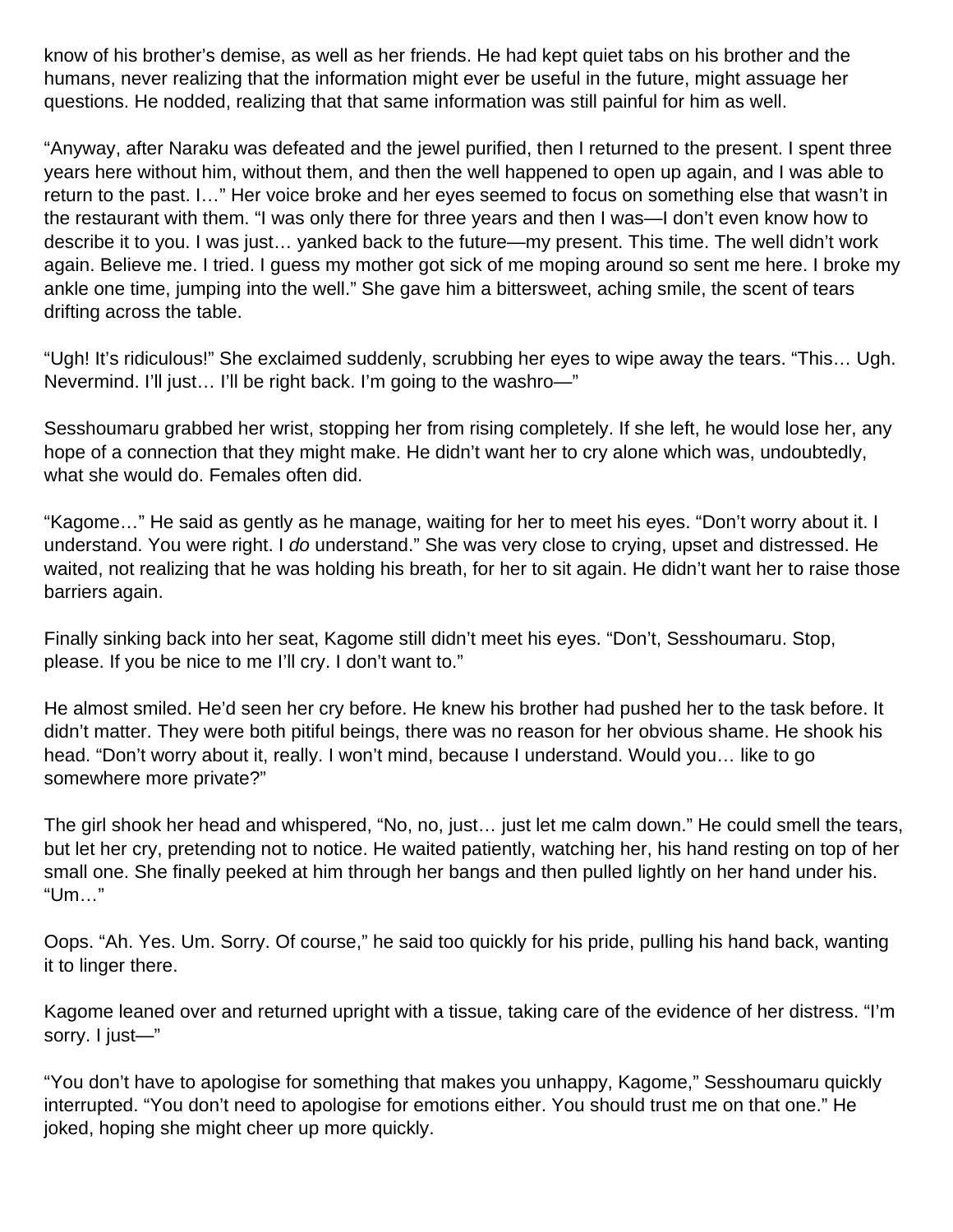know of his brother's demise, as well as her friends. He had kept quiet tabs on his brother and the humans, never realizing that the information might ever be useful in the future, might assuage her questions. He nodded, realizing that that same information was still painful for him as well.

"Anyway, after Naraku was defeated and the jewel purified, then I returned to the present. I spent three years here without him, without them, and then the well happened to open up again, and I was able to return to the past. I…" Her voice broke and her eyes seemed to focus on something else that wasn't in the restaurant with them. "I was only there for three years and then I was—I don't even know how to describe it to you. I was just… yanked back to the future—my present. This time. The well didn't work again. Believe me. I tried. I guess my mother got sick of me moping around so sent me here. I broke my ankle one time, jumping into the well." She gave him a bittersweet, aching smile, the scent of tears drifting across the table.

"Ugh! It's ridiculous!" She exclaimed suddenly, scrubbing her eyes to wipe away the tears. "This… Ugh. Nevermind. I'll just… I'll be right back. I'm going to the washro—"

Sesshoumaru grabbed her wrist, stopping her from rising completely. If she left, he would lose her, any hope of a connection that they might make. He didn't want her to cry alone which was, undoubtedly, what she would do. Females often did.

"Kagome…" He said as gently as he manage, waiting for her to meet his eyes. "Don't worry about it. I understand. You were right. I do understand." She was very close to crying, upset and distressed. He waited, not realizing that he was holding his breath, for her to sit again. He didn't want her to raise those barriers again.

Finally sinking back into her seat, Kagome still didn't meet his eyes. "Don't, Sesshoumaru. Stop, please. If you be nice to me I'll cry. I don't want to."

He almost smiled. He'd seen her cry before. He knew his brother had pushed her to the task before. It didn't matter. They were both pitiful beings, there was no reason for her obvious shame. He shook his head. "Don't worry about it, really. I won't mind, because I understand. Would you… like to go somewhere more private?"

The girl shook her head and whispered, "No, no, just… just let me calm down." He could smell the tears, but let her cry, pretending not to notice. He waited patiently, watching her, his hand resting on top of her small one. She finally peeked at him through her bangs and then pulled lightly on her hand under his. "Um…"

Oops. "Ah. Yes. Um. Sorry. Of course," he said too quickly for his pride, pulling his hand back, wanting it to linger there.

Kagome leaned over and returned upright with a tissue, taking care of the evidence of her distress. "I'm sorry. I just—"

"You don't have to apologise for something that makes you unhappy, Kagome," Sesshoumaru quickly interrupted. "You don't need to apologise for emotions either. You should trust me on that one." He joked, hoping she might cheer up more quickly.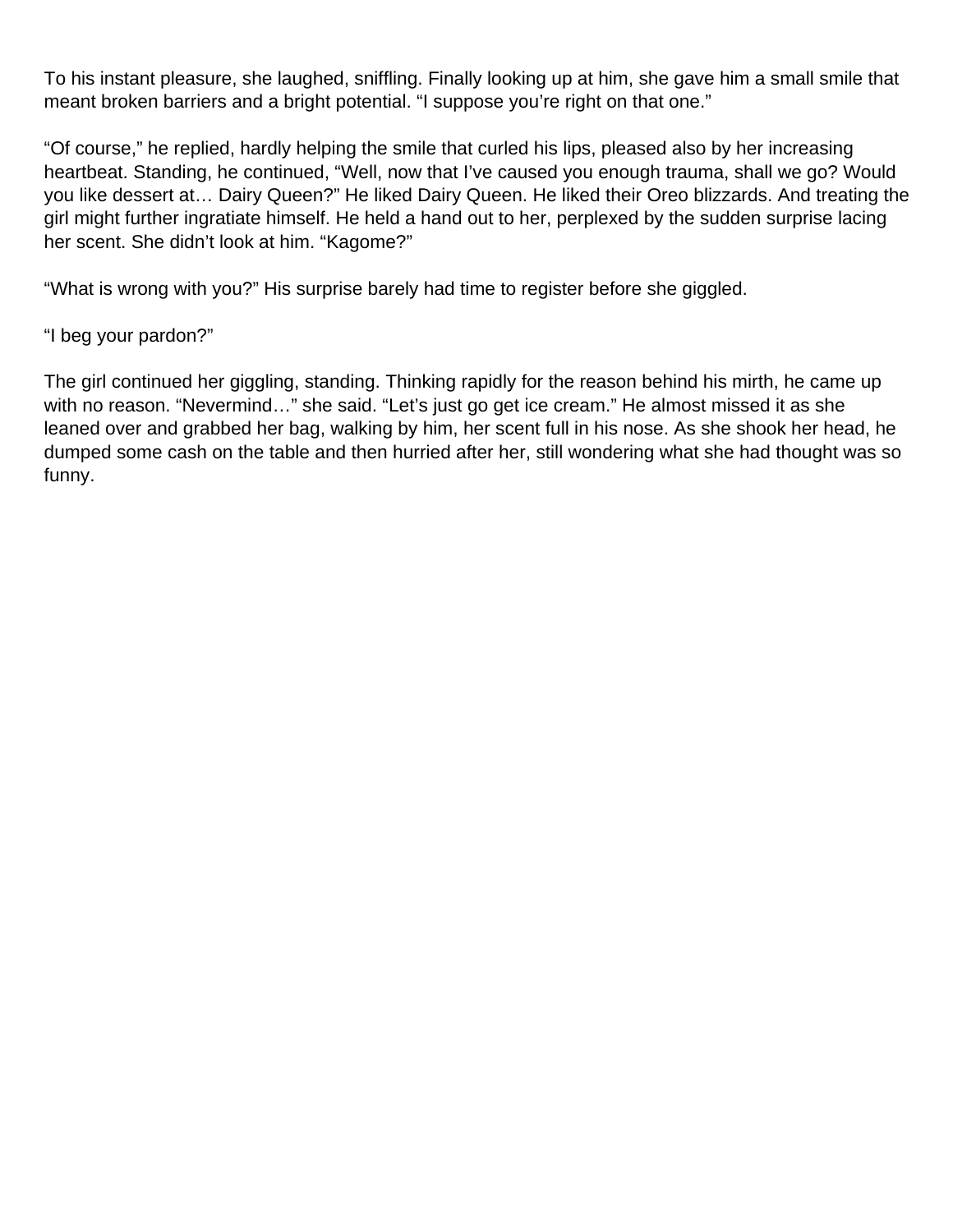To his instant pleasure, she laughed, sniffling. Finally looking up at him, she gave him a small smile that meant broken barriers and a bright potential. "I suppose you're right on that one."

"Of course," he replied, hardly helping the smile that curled his lips, pleased also by her increasing heartbeat. Standing, he continued, "Well, now that I've caused you enough trauma, shall we go? Would you like dessert at… Dairy Queen?" He liked Dairy Queen. He liked their Oreo blizzards. And treating the girl might further ingratiate himself. He held a hand out to her, perplexed by the sudden surprise lacing her scent. She didn't look at him. "Kagome?"

"What is wrong with you?" His surprise barely had time to register before she giggled.

### "I beg your pardon?"

The girl continued her giggling, standing. Thinking rapidly for the reason behind his mirth, he came up with no reason. "Nevermind…" she said. "Let's just go get ice cream." He almost missed it as she leaned over and grabbed her bag, walking by him, her scent full in his nose. As she shook her head, he dumped some cash on the table and then hurried after her, still wondering what she had thought was so funny.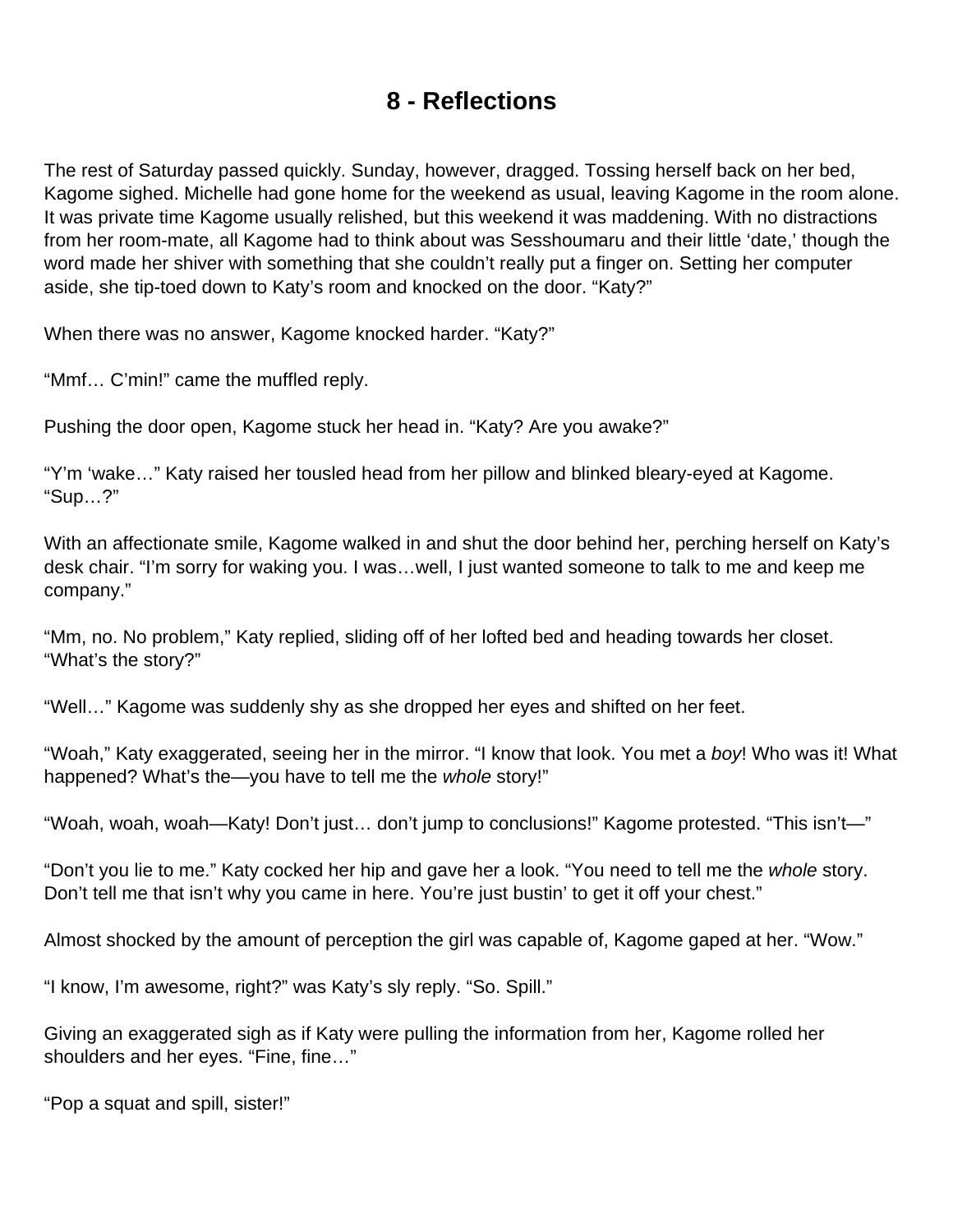### **8 - Reflections**

<span id="page-46-0"></span>The rest of Saturday passed quickly. Sunday, however, dragged. Tossing herself back on her bed, Kagome sighed. Michelle had gone home for the weekend as usual, leaving Kagome in the room alone. It was private time Kagome usually relished, but this weekend it was maddening. With no distractions from her room-mate, all Kagome had to think about was Sesshoumaru and their little 'date,' though the word made her shiver with something that she couldn't really put a finger on. Setting her computer aside, she tip-toed down to Katy's room and knocked on the door. "Katy?"

When there was no answer, Kagome knocked harder. "Katy?"

"Mmf… C'min!" came the muffled reply.

Pushing the door open, Kagome stuck her head in. "Katy? Are you awake?"

"Y'm 'wake…" Katy raised her tousled head from her pillow and blinked bleary-eyed at Kagome. "Sup…?"

With an affectionate smile, Kagome walked in and shut the door behind her, perching herself on Katy's desk chair. "I'm sorry for waking you. I was…well, I just wanted someone to talk to me and keep me company."

"Mm, no. No problem," Katy replied, sliding off of her lofted bed and heading towards her closet. "What's the story?"

"Well…" Kagome was suddenly shy as she dropped her eyes and shifted on her feet.

"Woah," Katy exaggerated, seeing her in the mirror. "I know that look. You met a boy! Who was it! What happened? What's the—you have to tell me the whole story!"

"Woah, woah, woah—Katy! Don't just… don't jump to conclusions!" Kagome protested. "This isn't—"

"Don't you lie to me." Katy cocked her hip and gave her a look. "You need to tell me the whole story. Don't tell me that isn't why you came in here. You're just bustin' to get it off your chest."

Almost shocked by the amount of perception the girl was capable of, Kagome gaped at her. "Wow."

"I know, I'm awesome, right?" was Katy's sly reply. "So. Spill."

Giving an exaggerated sigh as if Katy were pulling the information from her, Kagome rolled her shoulders and her eyes. "Fine, fine…"

"Pop a squat and spill, sister!"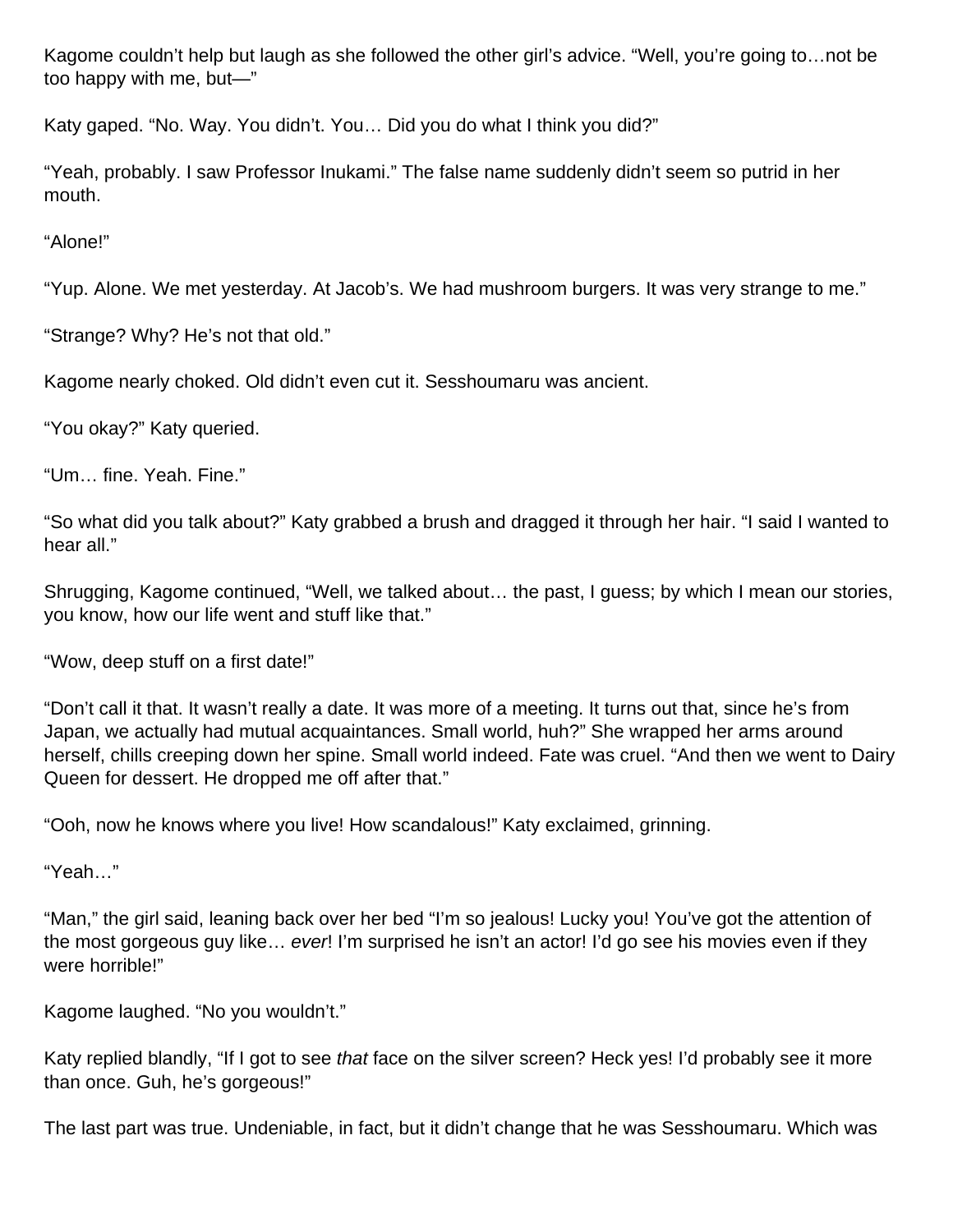Kagome couldn't help but laugh as she followed the other girl's advice. "Well, you're going to…not be too happy with me, but—"

Katy gaped. "No. Way. You didn't. You… Did you do what I think you did?"

"Yeah, probably. I saw Professor Inukami." The false name suddenly didn't seem so putrid in her mouth.

"Alone!"

"Yup. Alone. We met yesterday. At Jacob's. We had mushroom burgers. It was very strange to me."

"Strange? Why? He's not that old."

Kagome nearly choked. Old didn't even cut it. Sesshoumaru was ancient.

"You okay?" Katy queried.

"Um… fine. Yeah. Fine."

"So what did you talk about?" Katy grabbed a brush and dragged it through her hair. "I said I wanted to hear all."

Shrugging, Kagome continued, "Well, we talked about… the past, I guess; by which I mean our stories, you know, how our life went and stuff like that."

"Wow, deep stuff on a first date!"

"Don't call it that. It wasn't really a date. It was more of a meeting. It turns out that, since he's from Japan, we actually had mutual acquaintances. Small world, huh?" She wrapped her arms around herself, chills creeping down her spine. Small world indeed. Fate was cruel. "And then we went to Dairy Queen for dessert. He dropped me off after that."

"Ooh, now he knows where you live! How scandalous!" Katy exclaimed, grinning.

"Yeah…"

"Man," the girl said, leaning back over her bed "I'm so jealous! Lucky you! You've got the attention of the most gorgeous guy like... ever! I'm surprised he isn't an actor! I'd go see his movies even if they were horrible!"

Kagome laughed. "No you wouldn't."

Katy replied blandly, "If I got to see that face on the silver screen? Heck yes! I'd probably see it more than once. Guh, he's gorgeous!"

The last part was true. Undeniable, in fact, but it didn't change that he was Sesshoumaru. Which was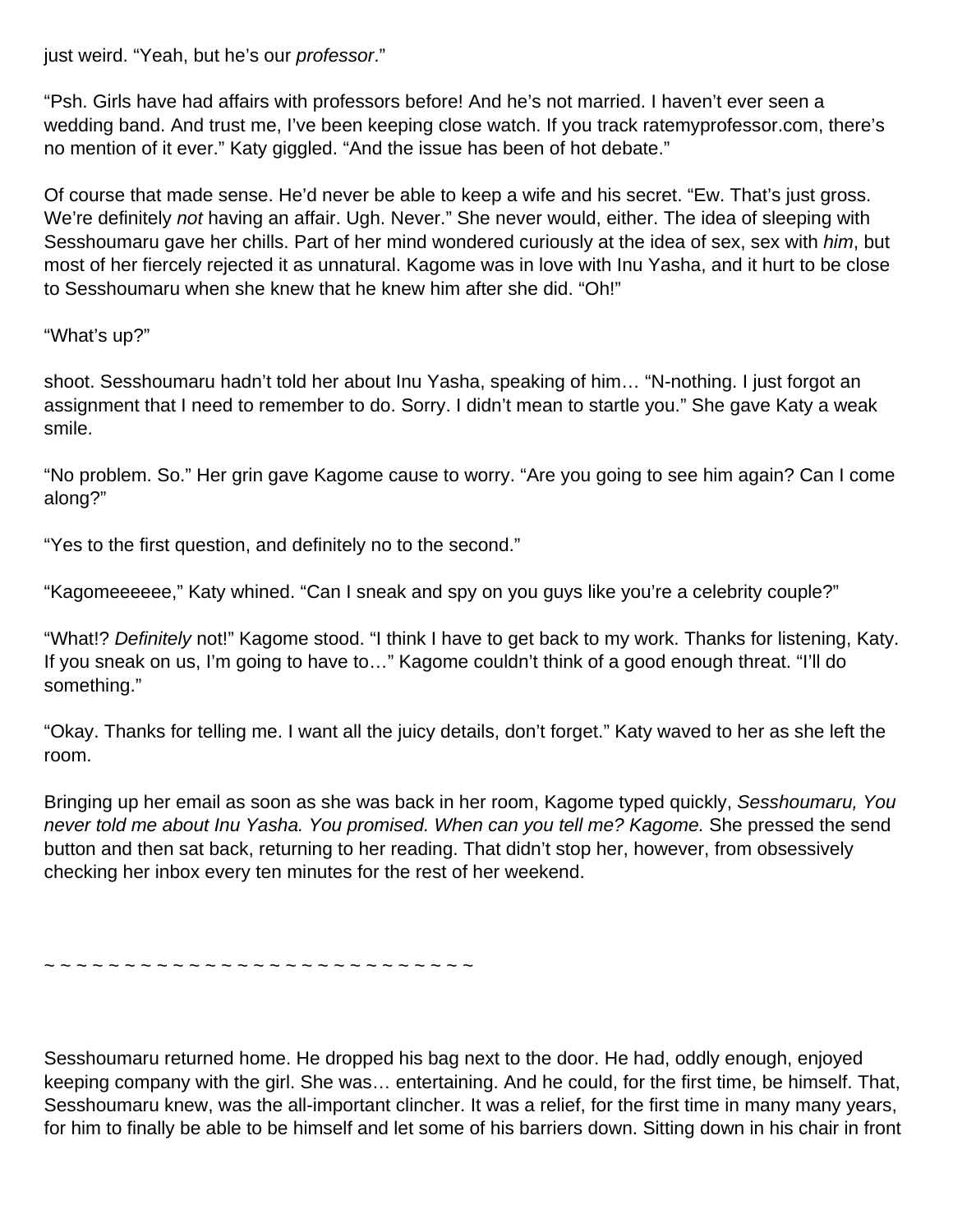just weird. "Yeah, but he's our professor."

"Psh. Girls have had affairs with professors before! And he's not married. I haven't ever seen a wedding band. And trust me, I've been keeping close watch. If you track ratemyprofessor.com, there's no mention of it ever." Katy giggled. "And the issue has been of hot debate."

Of course that made sense. He'd never be able to keep a wife and his secret. "Ew. That's just gross. We're definitely not having an affair. Ugh. Never." She never would, either. The idea of sleeping with Sesshoumaru gave her chills. Part of her mind wondered curiously at the idea of sex, sex with him, but most of her fiercely rejected it as unnatural. Kagome was in love with Inu Yasha, and it hurt to be close to Sesshoumaru when she knew that he knew him after she did. "Oh!"

"What's up?"

shoot. Sesshoumaru hadn't told her about Inu Yasha, speaking of him… "N-nothing. I just forgot an assignment that I need to remember to do. Sorry. I didn't mean to startle you." She gave Katy a weak smile.

"No problem. So." Her grin gave Kagome cause to worry. "Are you going to see him again? Can I come along?"

"Yes to the first question, and definitely no to the second."

"Kagomeeeeee," Katy whined. "Can I sneak and spy on you guys like you're a celebrity couple?"

"What!? Definitely not!" Kagome stood. "I think I have to get back to my work. Thanks for listening, Katy. If you sneak on us, I'm going to have to…" Kagome couldn't think of a good enough threat. "I'll do something."

"Okay. Thanks for telling me. I want all the juicy details, don't forget." Katy waved to her as she left the room.

Bringing up her email as soon as she was back in her room, Kagome typed quickly, Sesshoumaru, You never told me about Inu Yasha. You promised. When can you tell me? Kagome. She pressed the send button and then sat back, returning to her reading. That didn't stop her, however, from obsessively checking her inbox every ten minutes for the rest of her weekend.

~ ~ ~ ~ ~ ~ ~ ~ ~ ~ ~ ~ ~ ~ ~ ~ ~ ~ ~ ~ ~ ~ ~ ~ ~ ~ ~

Sesshoumaru returned home. He dropped his bag next to the door. He had, oddly enough, enjoyed keeping company with the girl. She was… entertaining. And he could, for the first time, be himself. That, Sesshoumaru knew, was the all-important clincher. It was a relief, for the first time in many many years, for him to finally be able to be himself and let some of his barriers down. Sitting down in his chair in front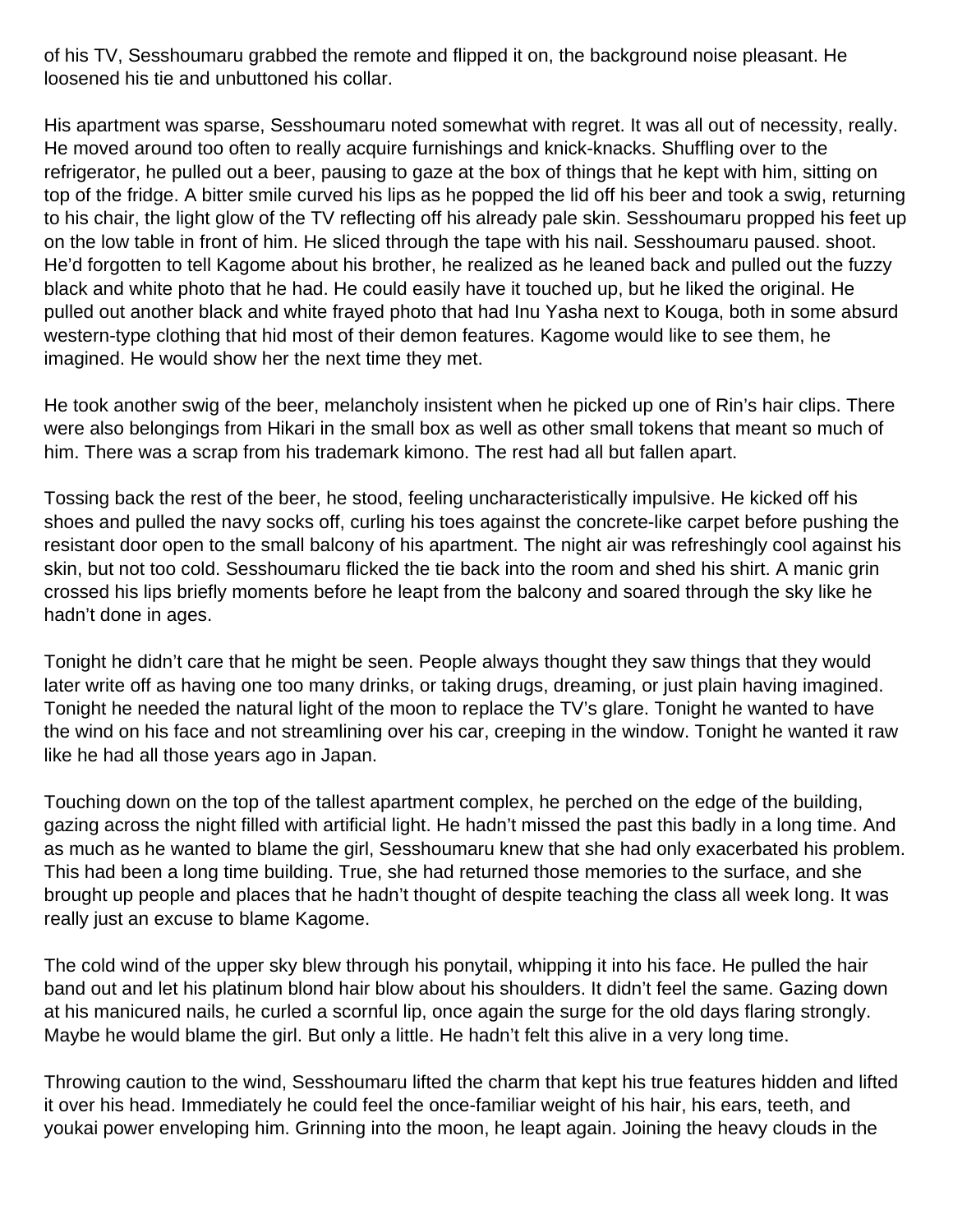of his TV, Sesshoumaru grabbed the remote and flipped it on, the background noise pleasant. He loosened his tie and unbuttoned his collar.

His apartment was sparse, Sesshoumaru noted somewhat with regret. It was all out of necessity, really. He moved around too often to really acquire furnishings and knick-knacks. Shuffling over to the refrigerator, he pulled out a beer, pausing to gaze at the box of things that he kept with him, sitting on top of the fridge. A bitter smile curved his lips as he popped the lid off his beer and took a swig, returning to his chair, the light glow of the TV reflecting off his already pale skin. Sesshoumaru propped his feet up on the low table in front of him. He sliced through the tape with his nail. Sesshoumaru paused. shoot. He'd forgotten to tell Kagome about his brother, he realized as he leaned back and pulled out the fuzzy black and white photo that he had. He could easily have it touched up, but he liked the original. He pulled out another black and white frayed photo that had Inu Yasha next to Kouga, both in some absurd western-type clothing that hid most of their demon features. Kagome would like to see them, he imagined. He would show her the next time they met.

He took another swig of the beer, melancholy insistent when he picked up one of Rin's hair clips. There were also belongings from Hikari in the small box as well as other small tokens that meant so much of him. There was a scrap from his trademark kimono. The rest had all but fallen apart.

Tossing back the rest of the beer, he stood, feeling uncharacteristically impulsive. He kicked off his shoes and pulled the navy socks off, curling his toes against the concrete-like carpet before pushing the resistant door open to the small balcony of his apartment. The night air was refreshingly cool against his skin, but not too cold. Sesshoumaru flicked the tie back into the room and shed his shirt. A manic grin crossed his lips briefly moments before he leapt from the balcony and soared through the sky like he hadn't done in ages.

Tonight he didn't care that he might be seen. People always thought they saw things that they would later write off as having one too many drinks, or taking drugs, dreaming, or just plain having imagined. Tonight he needed the natural light of the moon to replace the TV's glare. Tonight he wanted to have the wind on his face and not streamlining over his car, creeping in the window. Tonight he wanted it raw like he had all those years ago in Japan.

Touching down on the top of the tallest apartment complex, he perched on the edge of the building, gazing across the night filled with artificial light. He hadn't missed the past this badly in a long time. And as much as he wanted to blame the girl, Sesshoumaru knew that she had only exacerbated his problem. This had been a long time building. True, she had returned those memories to the surface, and she brought up people and places that he hadn't thought of despite teaching the class all week long. It was really just an excuse to blame Kagome.

The cold wind of the upper sky blew through his ponytail, whipping it into his face. He pulled the hair band out and let his platinum blond hair blow about his shoulders. It didn't feel the same. Gazing down at his manicured nails, he curled a scornful lip, once again the surge for the old days flaring strongly. Maybe he would blame the girl. But only a little. He hadn't felt this alive in a very long time.

Throwing caution to the wind, Sesshoumaru lifted the charm that kept his true features hidden and lifted it over his head. Immediately he could feel the once-familiar weight of his hair, his ears, teeth, and youkai power enveloping him. Grinning into the moon, he leapt again. Joining the heavy clouds in the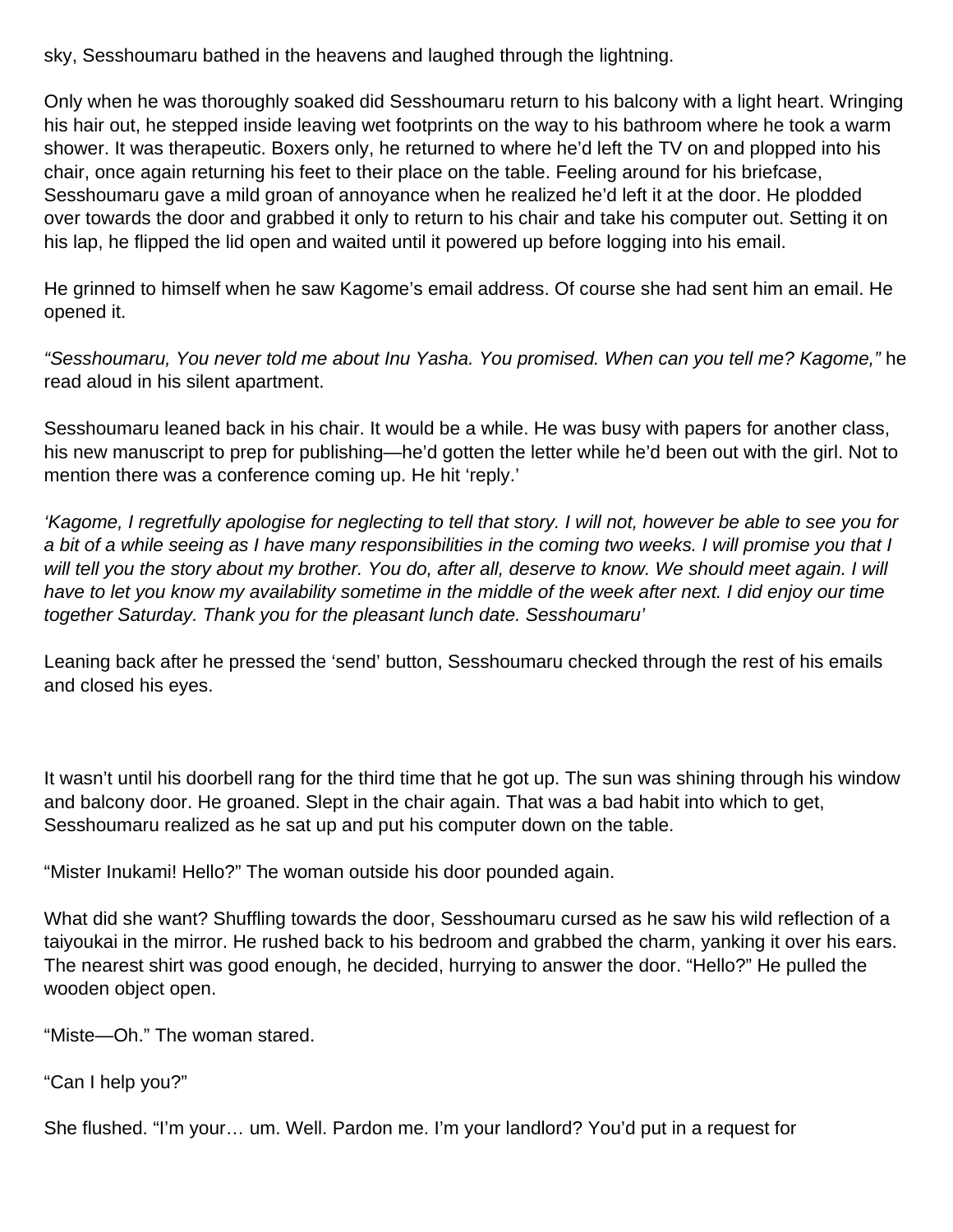sky, Sesshoumaru bathed in the heavens and laughed through the lightning.

Only when he was thoroughly soaked did Sesshoumaru return to his balcony with a light heart. Wringing his hair out, he stepped inside leaving wet footprints on the way to his bathroom where he took a warm shower. It was therapeutic. Boxers only, he returned to where he'd left the TV on and plopped into his chair, once again returning his feet to their place on the table. Feeling around for his briefcase, Sesshoumaru gave a mild groan of annoyance when he realized he'd left it at the door. He plodded over towards the door and grabbed it only to return to his chair and take his computer out. Setting it on his lap, he flipped the lid open and waited until it powered up before logging into his email.

He grinned to himself when he saw Kagome's email address. Of course she had sent him an email. He opened it.

"Sesshoumaru, You never told me about Inu Yasha. You promised. When can you tell me? Kagome," he read aloud in his silent apartment.

Sesshoumaru leaned back in his chair. It would be a while. He was busy with papers for another class, his new manuscript to prep for publishing—he'd gotten the letter while he'd been out with the girl. Not to mention there was a conference coming up. He hit 'reply.'

'Kagome, I regretfully apologise for neglecting to tell that story. I will not, however be able to see you for a bit of a while seeing as I have many responsibilities in the coming two weeks. I will promise you that I will tell you the story about my brother. You do, after all, deserve to know. We should meet again. I will have to let you know my availability sometime in the middle of the week after next. I did enjoy our time together Saturday. Thank you for the pleasant lunch date. Sesshoumaru'

Leaning back after he pressed the 'send' button, Sesshoumaru checked through the rest of his emails and closed his eyes.

It wasn't until his doorbell rang for the third time that he got up. The sun was shining through his window and balcony door. He groaned. Slept in the chair again. That was a bad habit into which to get, Sesshoumaru realized as he sat up and put his computer down on the table.

"Mister Inukami! Hello?" The woman outside his door pounded again.

What did she want? Shuffling towards the door, Sesshoumaru cursed as he saw his wild reflection of a taiyoukai in the mirror. He rushed back to his bedroom and grabbed the charm, yanking it over his ears. The nearest shirt was good enough, he decided, hurrying to answer the door. "Hello?" He pulled the wooden object open.

"Miste—Oh." The woman stared.

"Can I help you?"

She flushed. "I'm your… um. Well. Pardon me. I'm your landlord? You'd put in a request for